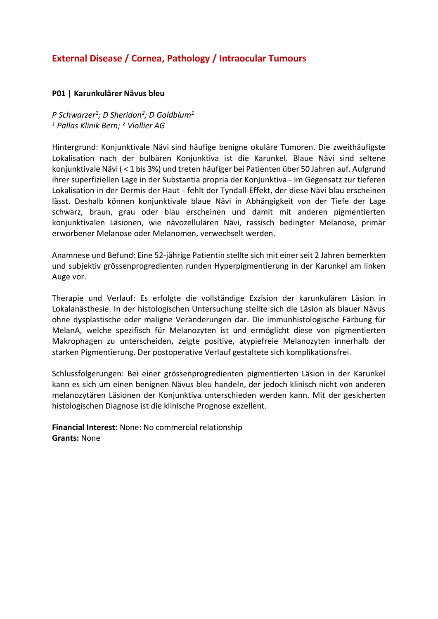# **External Disease / Cornea, Pathology / Intraocular Tumours**

#### **P01 | Karunkulärer Nävus bleu**

*P Schwarzer<sup>1</sup> ; D Sheridon<sup>2</sup> ; D Goldblum<sup>1</sup> <sup>1</sup> Pallas Klinik Bern; <sup>2</sup> Viollier AG*

Hintergrund: Konjunktivale Nävi sind häufige benigne okuläre Tumoren. Die zweithäufigste Lokalisation nach der bulbären Konjunktiva ist die Karunkel. Blaue Nävi sind seltene konjunktivale Nävi ( < 1 bis 3%) und treten häufiger bei Patienten über 50 Jahren auf. Aufgrund ihrer superfiziellen Lage in der Substantia propria der Konjunktiva - im Gegensatz zur tieferen Lokalisation in der Dermis der Haut - fehlt der Tyndall-Effekt, der diese Nävi blau erscheinen lässt. Deshalb können konjunktivale blaue Nävi in Abhängigkeit von der Tiefe der Lage schwarz, braun, grau oder blau erscheinen und damit mit anderen pigmentierten konjunktivalen Läsionen, wie nävozellulären Nävi, rassisch bedingter Melanose, primär erworbener Melanose oder Melanomen, verwechselt werden.

Anamnese und Befund: Eine 52-jährige Patientin stellte sich mit einer seit 2 Jahren bemerkten und subjektiv grössenprogredienten runden Hyperpigmentierung in der Karunkel am linken Auge vor.

Therapie und Verlauf: Es erfolgte die vollständige Exzision der karunkulären Läsion in Lokalanästhesie. In der histologischen Untersuchung stellte sich die Läsion als blauer Nävus ohne dysplastische oder maligne Veränderungen dar. Die immunhistologische Färbung für MelanA, welche spezifisch für Melanozyten ist und ermöglicht diese von pigmentierten Makrophagen zu unterscheiden, zeigte positive, atypiefreie Melanozyten innerhalb der starken Pigmentierung. Der postoperative Verlauf gestaltete sich komplikationsfrei.

Schlussfolgerungen: Bei einer grössenprogredienten pigmentierten Läsion in der Karunkel kann es sich um einen benignen Nävus bleu handeln, der jedoch klinisch nicht von anderen melanozytären Läsionen der Konjunktiva unterschieden werden kann. Mit der gesicherten histologischen Diagnose ist die klinische Prognose exzellent.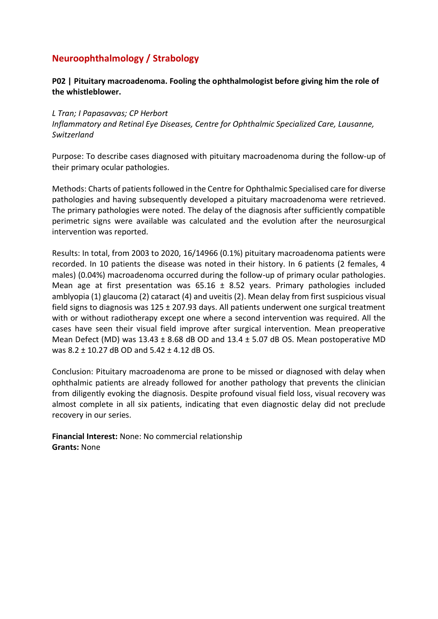# **Neuroophthalmology / Strabology**

### **P02 | Pituitary macroadenoma. Fooling the ophthalmologist before giving him the role of the whistleblower.**

#### *L Tran; I Papasavvas; CP Herbort*

*Inflammatory and Retinal Eye Diseases, Centre for Ophthalmic Specialized Care, Lausanne, Switzerland*

Purpose: To describe cases diagnosed with pituitary macroadenoma during the follow-up of their primary ocular pathologies.

Methods: Charts of patients followed in the Centre for Ophthalmic Specialised care for diverse pathologies and having subsequently developed a pituitary macroadenoma were retrieved. The primary pathologies were noted. The delay of the diagnosis after sufficiently compatible perimetric signs were available was calculated and the evolution after the neurosurgical intervention was reported.

Results: In total, from 2003 to 2020, 16/14966 (0.1%) pituitary macroadenoma patients were recorded. In 10 patients the disease was noted in their history. In 6 patients (2 females, 4 males) (0.04%) macroadenoma occurred during the follow-up of primary ocular pathologies. Mean age at first presentation was  $65.16 \pm 8.52$  years. Primary pathologies included amblyopia (1) glaucoma (2) cataract (4) and uveitis (2). Mean delay from first suspicious visual field signs to diagnosis was  $125 \pm 207.93$  days. All patients underwent one surgical treatment with or without radiotherapy except one where a second intervention was required. All the cases have seen their visual field improve after surgical intervention. Mean preoperative Mean Defect (MD) was  $13.43 \pm 8.68$  dB OD and  $13.4 \pm 5.07$  dB OS. Mean postoperative MD was 8.2 ± 10.27 dB OD and 5.42 ± 4.12 dB OS.

Conclusion: Pituitary macroadenoma are prone to be missed or diagnosed with delay when ophthalmic patients are already followed for another pathology that prevents the clinician from diligently evoking the diagnosis. Despite profound visual field loss, visual recovery was almost complete in all six patients, indicating that even diagnostic delay did not preclude recovery in our series.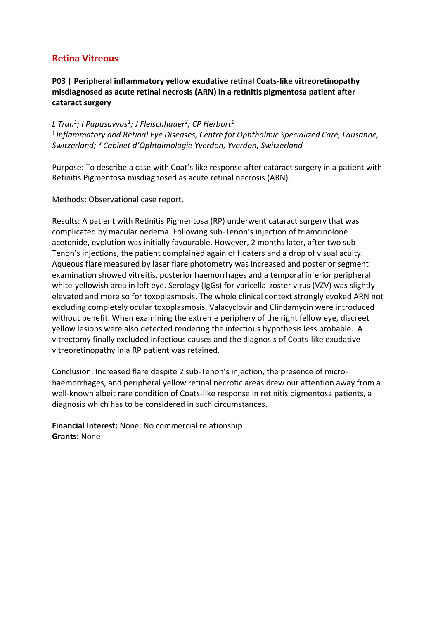## **P03 | Peripheral inflammatory yellow exudative retinal Coats-like vitreoretinopathy misdiagnosed as acute retinal necrosis (ARN) in a retinitis pigmentosa patient after cataract surgery**

## *L Tran<sup>1</sup> ; I Papasavvas<sup>1</sup> ; J Fleischhauer<sup>2</sup> ; CP Herbort<sup>1</sup>*

*¹ Inflammatory and Retinal Eye Diseases, Centre for Ophthalmic Specialized Care, Lausanne, Switzerland; ² Cabinet d'Ophtalmologie Yverdon, Yverdon, Switzerland*

Purpose: To describe a case with Coat's like response after cataract surgery in a patient with Retinitis Pigmentosa misdiagnosed as acute retinal necrosis (ARN).

Methods: Observational case report.

Results: A patient with Retinitis Pigmentosa (RP) underwent cataract surgery that was complicated by macular oedema. Following sub-Tenon's injection of triamcinolone acetonide, evolution was initially favourable. However, 2 months later, after two sub-Tenon's injections, the patient complained again of floaters and a drop of visual acuity. Aqueous flare measured by laser flare photometry was increased and posterior segment examination showed vitreitis, posterior haemorrhages and a temporal inferior peripheral white-yellowish area in left eye. Serology (IgGs) for varicella-zoster virus (VZV) was slightly elevated and more so for toxoplasmosis. The whole clinical context strongly evoked ARN not excluding completely ocular toxoplasmosis. Valacyclovir and Clindamycin were introduced without benefit. When examining the extreme periphery of the right fellow eye, discreet yellow lesions were also detected rendering the infectious hypothesis less probable. A vitrectomy finally excluded infectious causes and the diagnosis of Coats-like exudative vitreoretinopathy in a RP patient was retained.

Conclusion: Increased flare despite 2 sub-Tenon's injection, the presence of microhaemorrhages, and peripheral yellow retinal necrotic areas drew our attention away from a well-known albeit rare condition of Coats-like response in retinitis pigmentosa patients, a diagnosis which has to be considered in such circumstances.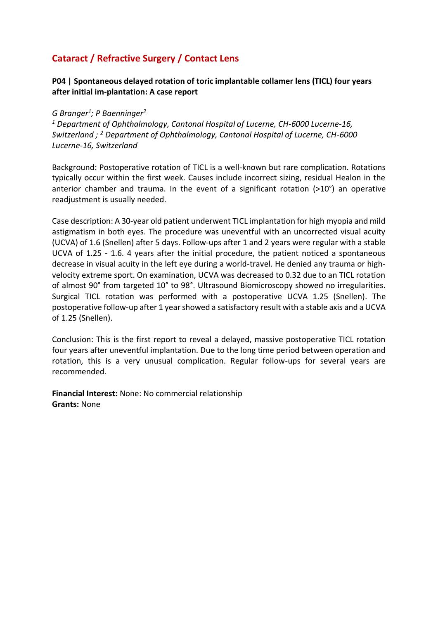# **Cataract / Refractive Surgery / Contact Lens**

## **P04 | Spontaneous delayed rotation of toric implantable collamer lens (TICL) four years after initial im-plantation: A case report**

### *G Branger<sup>1</sup> ; P Baenninger<sup>2</sup>*

*<sup>1</sup> Department of Ophthalmology, Cantonal Hospital of Lucerne, CH-6000 Lucerne-16, Switzerland ; <sup>2</sup> Department of Ophthalmology, Cantonal Hospital of Lucerne, CH-6000 Lucerne-16, Switzerland*

Background: Postoperative rotation of TICL is a well-known but rare complication. Rotations typically occur within the first week. Causes include incorrect sizing, residual Healon in the anterior chamber and trauma. In the event of a significant rotation (>10°) an operative readjustment is usually needed.

Case description: A 30-year old patient underwent TICL implantation for high myopia and mild astigmatism in both eyes. The procedure was uneventful with an uncorrected visual acuity (UCVA) of 1.6 (Snellen) after 5 days. Follow-ups after 1 and 2 years were regular with a stable UCVA of 1.25 - 1.6. 4 years after the initial procedure, the patient noticed a spontaneous decrease in visual acuity in the left eye during a world-travel. He denied any trauma or highvelocity extreme sport. On examination, UCVA was decreased to 0.32 due to an TICL rotation of almost 90° from targeted 10° to 98°. Ultrasound Biomicroscopy showed no irregularities. Surgical TICL rotation was performed with a postoperative UCVA 1.25 (Snellen). The postoperative follow-up after 1 year showed a satisfactory result with a stable axis and a UCVA of 1.25 (Snellen).

Conclusion: This is the first report to reveal a delayed, massive postoperative TICL rotation four years after uneventful implantation. Due to the long time period between operation and rotation, this is a very unusual complication. Regular follow-ups for several years are recommended.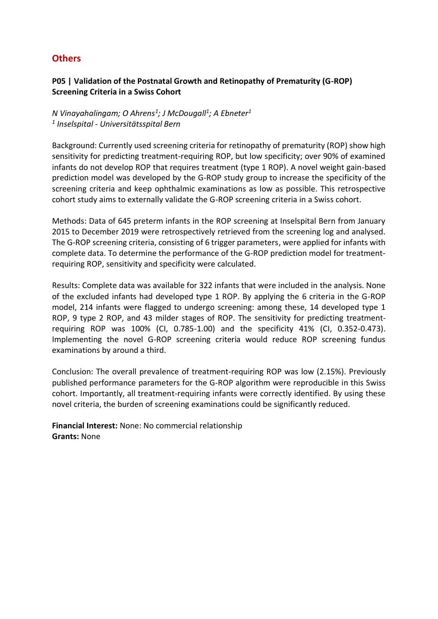# **Others**

### **P05 | Validation of the Postnatal Growth and Retinopathy of Prematurity (G-ROP) Screening Criteria in a Swiss Cohort**

*N Vinayahalingam; O Ahrens<sup>1</sup> ; J McDougall<sup>1</sup> ; A Ebneter<sup>1</sup> 1 Inselspital - Universitätsspital Bern*

Background: Currently used screening criteria for retinopathy of prematurity (ROP) show high sensitivity for predicting treatment-requiring ROP, but low specificity; over 90% of examined infants do not develop ROP that requires treatment (type 1 ROP). A novel weight gain-based prediction model was developed by the G-ROP study group to increase the specificity of the screening criteria and keep ophthalmic examinations as low as possible. This retrospective cohort study aims to externally validate the G-ROP screening criteria in a Swiss cohort.

Methods: Data of 645 preterm infants in the ROP screening at Inselspital Bern from January 2015 to December 2019 were retrospectively retrieved from the screening log and analysed. The G-ROP screening criteria, consisting of 6 trigger parameters, were applied for infants with complete data. To determine the performance of the G-ROP prediction model for treatmentrequiring ROP, sensitivity and specificity were calculated.

Results: Complete data was available for 322 infants that were included in the analysis. None of the excluded infants had developed type 1 ROP. By applying the 6 criteria in the G-ROP model, 214 infants were flagged to undergo screening: among these, 14 developed type 1 ROP, 9 type 2 ROP, and 43 milder stages of ROP. The sensitivity for predicting treatmentrequiring ROP was 100% (CI, 0.785-1.00) and the specificity 41% (CI, 0.352-0.473). Implementing the novel G-ROP screening criteria would reduce ROP screening fundus examinations by around a third.

Conclusion: The overall prevalence of treatment-requiring ROP was low (2.15%). Previously published performance parameters for the G-ROP algorithm were reproducible in this Swiss cohort. Importantly, all treatment-requiring infants were correctly identified. By using these novel criteria, the burden of screening examinations could be significantly reduced.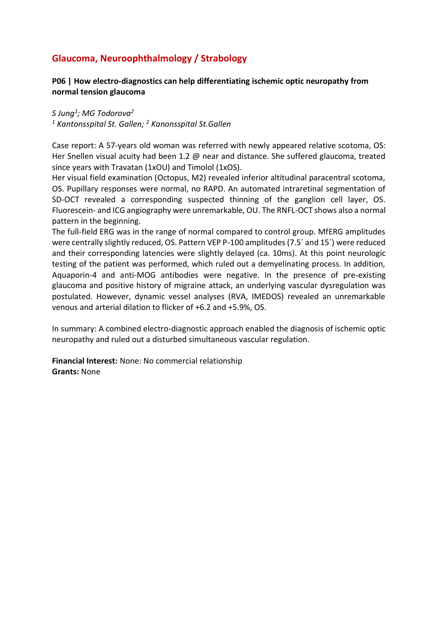# **Glaucoma, Neuroophthalmology / Strabology**

### **P06 | How electro-diagnostics can help differentiating ischemic optic neuropathy from normal tension glaucoma**

*S Jung<sup>1</sup> ; MG Todorova<sup>2</sup> <sup>1</sup> Kantonsspital St. Gallen; <sup>2</sup> Kanonsspital St.Gallen*

Case report: A 57-years old woman was referred with newly appeared relative scotoma, OS: Her Snellen visual acuity had been 1.2 @ near and distance. She suffered glaucoma, treated since years with Travatan (1xOU) and Timolol (1xOS).

Her visual field examination (Octopus, M2) revealed inferior altitudinal paracentral scotoma, OS. Pupillary responses were normal, no RAPD. An automated intraretinal segmentation of SD-OCT revealed a corresponding suspected thinning of the ganglion cell layer, OS. Fluorescein- and ICG angiography were unremarkable, OU. The RNFL-OCT shows also a normal pattern in the beginning.

The full-field ERG was in the range of normal compared to control group. MfERG amplitudes were centrally slightly reduced, OS. Pattern VEP P-100 amplitudes (7.5´ and 15´) were reduced and their corresponding latencies were slightly delayed (ca. 10ms). At this point neurologic testing of the patient was performed, which ruled out a demyelinating process. In addition, Aquaporin-4 and anti-MOG antibodies were negative. In the presence of pre-existing glaucoma and positive history of migraine attack, an underlying vascular dysregulation was postulated. However, dynamic vessel analyses (RVA, IMEDOS) revealed an unremarkable venous and arterial dilation to flicker of +6.2 and +5.9%, OS.

In summary: A combined electro-diagnostic approach enabled the diagnosis of ischemic optic neuropathy and ruled out a disturbed simultaneous vascular regulation.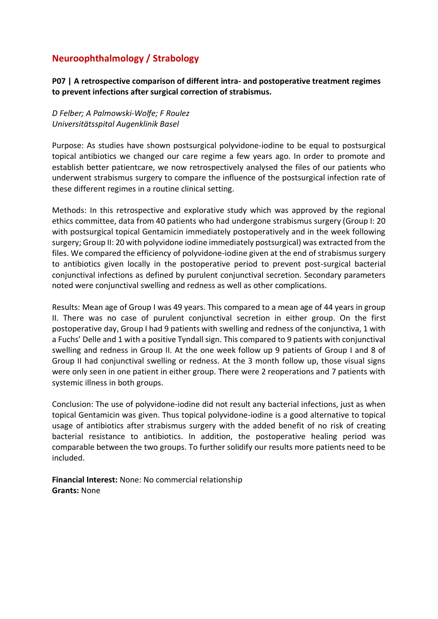# **Neuroophthalmology / Strabology**

**P07 | A retrospective comparison of different intra- and postoperative treatment regimes to prevent infections after surgical correction of strabismus.**

*D Felber; A Palmowski-Wolfe; F Roulez Universitätsspital Augenklinik Basel*

Purpose: As studies have shown postsurgical polyvidone-iodine to be equal to postsurgical topical antibiotics we changed our care regime a few years ago. In order to promote and establish better patientcare, we now retrospectively analysed the files of our patients who underwent strabismus surgery to compare the influence of the postsurgical infection rate of these different regimes in a routine clinical setting.

Methods: In this retrospective and explorative study which was approved by the regional ethics committee, data from 40 patients who had undergone strabismus surgery (Group I: 20 with postsurgical topical Gentamicin immediately postoperatively and in the week following surgery; Group II: 20 with polyvidone iodine immediately postsurgical) was extracted from the files. We compared the efficiency of polyvidone-iodine given at the end of strabismus surgery to antibiotics given locally in the postoperative period to prevent post-surgical bacterial conjunctival infections as defined by purulent conjunctival secretion. Secondary parameters noted were conjunctival swelling and redness as well as other complications.

Results: Mean age of Group I was 49 years. This compared to a mean age of 44 years in group II. There was no case of purulent conjunctival secretion in either group. On the first postoperative day, Group I had 9 patients with swelling and redness of the conjunctiva, 1 with a Fuchs' Delle and 1 with a positive Tyndall sign. This compared to 9 patients with conjunctival swelling and redness in Group II. At the one week follow up 9 patients of Group I and 8 of Group II had conjunctival swelling or redness. At the 3 month follow up, those visual signs were only seen in one patient in either group. There were 2 reoperations and 7 patients with systemic illness in both groups.

Conclusion: The use of polyvidone-iodine did not result any bacterial infections, just as when topical Gentamicin was given. Thus topical polyvidone-iodine is a good alternative to topical usage of antibiotics after strabismus surgery with the added benefit of no risk of creating bacterial resistance to antibiotics. In addition, the postoperative healing period was comparable between the two groups. To further solidify our results more patients need to be included.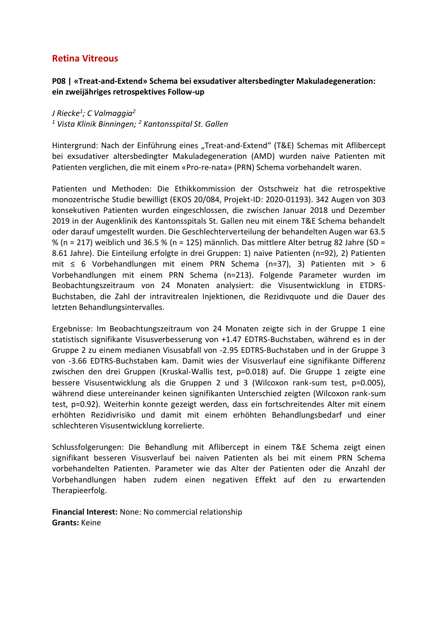### **P08 | «Treat-and-Extend» Schema bei exsudativer altersbedingter Makuladegeneration: ein zweijähriges retrospektives Follow-up**

*J Riecke<sup>1</sup> ; C Valmaggia<sup>2</sup>*

*<sup>1</sup> Vista Klinik Binningen; <sup>2</sup> Kantonsspital St. Gallen*

Hintergrund: Nach der Einführung eines "Treat-and-Extend" (T&E) Schemas mit Aflibercept bei exsudativer altersbedingter Makuladegeneration (AMD) wurden naive Patienten mit Patienten verglichen, die mit einem «Pro-re-nata» (PRN) Schema vorbehandelt waren.

Patienten und Methoden: Die Ethikkommission der Ostschweiz hat die retrospektive monozentrische Studie bewilligt (EKOS 20/084, Projekt-ID: 2020-01193). 342 Augen von 303 konsekutiven Patienten wurden eingeschlossen, die zwischen Januar 2018 und Dezember 2019 in der Augenklinik des Kantonsspitals St. Gallen neu mit einem T&E Schema behandelt oder darauf umgestellt wurden. Die Geschlechterverteilung der behandelten Augen war 63.5 % (n = 217) weiblich und 36.5 % (n = 125) männlich. Das mittlere Alter betrug 82 Jahre (SD = 8.61 Jahre). Die Einteilung erfolgte in drei Gruppen: 1) naive Patienten (n=92), 2) Patienten mit ≤ 6 Vorbehandlungen mit einem PRN Schema (n=37), 3) Patienten mit > 6 Vorbehandlungen mit einem PRN Schema (n=213). Folgende Parameter wurden im Beobachtungszeitraum von 24 Monaten analysiert: die Visusentwicklung in ETDRS-Buchstaben, die Zahl der intravitrealen Injektionen, die Rezidivquote und die Dauer des letzten Behandlungsintervalles.

Ergebnisse: Im Beobachtungszeitraum von 24 Monaten zeigte sich in der Gruppe 1 eine statistisch signifikante Visusverbesserung von +1.47 EDTRS-Buchstaben, während es in der Gruppe 2 zu einem medianen Visusabfall von -2.95 EDTRS-Buchstaben und in der Gruppe 3 von -3.66 EDTRS-Buchstaben kam. Damit wies der Visusverlauf eine signifikante Differenz zwischen den drei Gruppen (Kruskal-Wallis test, p=0.018) auf. Die Gruppe 1 zeigte eine bessere Visusentwicklung als die Gruppen 2 und 3 (Wilcoxon rank-sum test, p=0.005), während diese untereinander keinen signifikanten Unterschied zeigten (Wilcoxon rank-sum test, p=0.92). Weiterhin konnte gezeigt werden, dass ein fortschreitendes Alter mit einem erhöhten Rezidivrisiko und damit mit einem erhöhten Behandlungsbedarf und einer schlechteren Visusentwicklung korrelierte.

Schlussfolgerungen: Die Behandlung mit Aflibercept in einem T&E Schema zeigt einen signifikant besseren Visusverlauf bei naiven Patienten als bei mit einem PRN Schema vorbehandelten Patienten. Parameter wie das Alter der Patienten oder die Anzahl der Vorbehandlungen haben zudem einen negativen Effekt auf den zu erwartenden Therapieerfolg.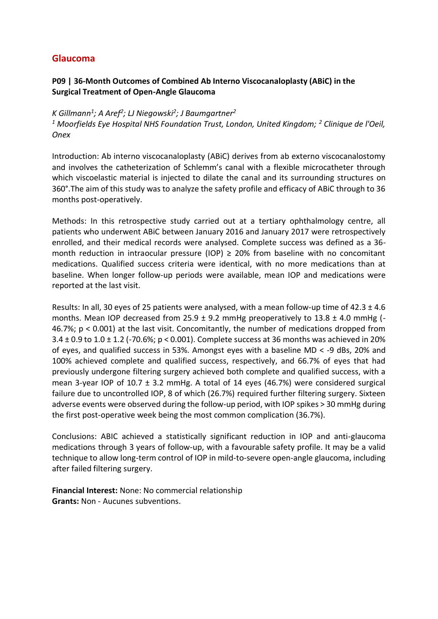## **Glaucoma**

## **P09 | 36-Month Outcomes of Combined Ab Interno Viscocanaloplasty (ABiC) in the Surgical Treatment of Open-Angle Glaucoma**

## *K Gillmann<sup>1</sup> ; A Aref<sup>2</sup> ; LJ Niegowski<sup>2</sup> ; J Baumgartner<sup>2</sup>*

*<sup>1</sup> Moorfields Eye Hospital NHS Foundation Trust, London, United Kingdom; <sup>2</sup> Clinique de l'Oeil, Onex*

Introduction: Ab interno viscocanaloplasty (ABiC) derives from ab externo viscocanalostomy and involves the catheterization of Schlemm's canal with a flexible microcatheter through which viscoelastic material is injected to dilate the canal and its surrounding structures on 360°.The aim of this study was to analyze the safety profile and efficacy of ABiC through to 36 months post-operatively.

Methods: In this retrospective study carried out at a tertiary ophthalmology centre, all patients who underwent ABiC between January 2016 and January 2017 were retrospectively enrolled, and their medical records were analysed. Complete success was defined as a 36 month reduction in intraocular pressure (IOP)  $\geq$  20% from baseline with no concomitant medications. Qualified success criteria were identical, with no more medications than at baseline. When longer follow-up periods were available, mean IOP and medications were reported at the last visit.

Results: In all, 30 eyes of 25 patients were analysed, with a mean follow-up time of  $42.3 \pm 4.6$ months. Mean IOP decreased from 25.9  $\pm$  9.2 mmHg preoperatively to 13.8  $\pm$  4.0 mmHg (-46.7%; p < 0.001) at the last visit. Concomitantly, the number of medications dropped from  $3.4 \pm 0.9$  to  $1.0 \pm 1.2$  (-70.6%; p < 0.001). Complete success at 36 months was achieved in 20% of eyes, and qualified success in 53%. Amongst eyes with a baseline MD < -9 dBs, 20% and 100% achieved complete and qualified success, respectively, and 66.7% of eyes that had previously undergone filtering surgery achieved both complete and qualified success, with a mean 3-year IOP of 10.7  $\pm$  3.2 mmHg. A total of 14 eyes (46.7%) were considered surgical failure due to uncontrolled IOP, 8 of which (26.7%) required further filtering surgery. Sixteen adverse events were observed during the follow-up period, with IOP spikes > 30 mmHg during the first post-operative week being the most common complication (36.7%).

Conclusions: ABIC achieved a statistically significant reduction in IOP and anti-glaucoma medications through 3 years of follow-up, with a favourable safety profile. It may be a valid technique to allow long-term control of IOP in mild-to-severe open-angle glaucoma, including after failed filtering surgery.

**Financial Interest:** None: No commercial relationship **Grants:** Non - Aucunes subventions.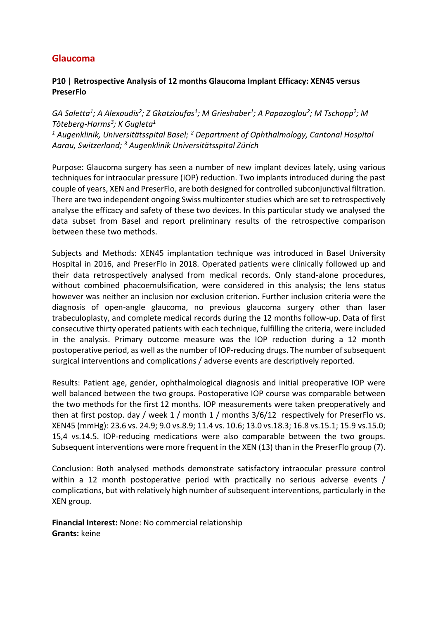## **Glaucoma**

### **P10 | Retrospective Analysis of 12 months Glaucoma Implant Efficacy: XEN45 versus PreserFlo**

*GA Saletta<sup>1</sup> ; A Alexoudis<sup>2</sup> ; Z Gkatzioufas<sup>1</sup> ; M Grieshaber<sup>1</sup> ; A Papazoglou<sup>2</sup> ; M Tschopp<sup>2</sup> ; M Töteberg-Harms<sup>3</sup> ; K Gugleta<sup>1</sup> <sup>1</sup> Augenklinik, Universitätsspital Basel; <sup>2</sup> Department of Ophthalmology, Cantonal Hospital Aarau, Switzerland; <sup>3</sup> Augenklinik Universitätsspital Zürich*

Purpose: Glaucoma surgery has seen a number of new implant devices lately, using various techniques for intraocular pressure (IOP) reduction. Two implants introduced during the past couple of years, XEN and PreserFlo, are both designed for controlled subconjunctival filtration. There are two independent ongoing Swiss multicenter studies which are set to retrospectively analyse the efficacy and safety of these two devices. In this particular study we analysed the data subset from Basel and report preliminary results of the retrospective comparison between these two methods.

Subjects and Methods: XEN45 implantation technique was introduced in Basel University Hospital in 2016, and PreserFlo in 2018. Operated patients were clinically followed up and their data retrospectively analysed from medical records. Only stand-alone procedures, without combined phacoemulsification, were considered in this analysis; the lens status however was neither an inclusion nor exclusion criterion. Further inclusion criteria were the diagnosis of open-angle glaucoma, no previous glaucoma surgery other than laser trabeculoplasty, and complete medical records during the 12 months follow-up. Data of first consecutive thirty operated patients with each technique, fulfilling the criteria, were included in the analysis. Primary outcome measure was the IOP reduction during a 12 month postoperative period, as well as the number of IOP-reducing drugs. The number of subsequent surgical interventions and complications / adverse events are descriptively reported.

Results: Patient age, gender, ophthalmological diagnosis and initial preoperative IOP were well balanced between the two groups. Postoperative IOP course was comparable between the two methods for the first 12 months. IOP measurements were taken preoperatively and then at first postop. day / week 1 / month 1 / months 3/6/12 respectively for PreserFlo vs. XEN45 (mmHg): 23.6 vs. 24.9; 9.0 vs.8.9; 11.4 vs. 10.6; 13.0 vs.18.3; 16.8 vs.15.1; 15.9 vs.15.0; 15,4 vs.14.5. IOP-reducing medications were also comparable between the two groups. Subsequent interventions were more frequent in the XEN (13) than in the PreserFlo group (7).

Conclusion: Both analysed methods demonstrate satisfactory intraocular pressure control within a 12 month postoperative period with practically no serious adverse events / complications, but with relatively high number of subsequent interventions, particularly in the XEN group.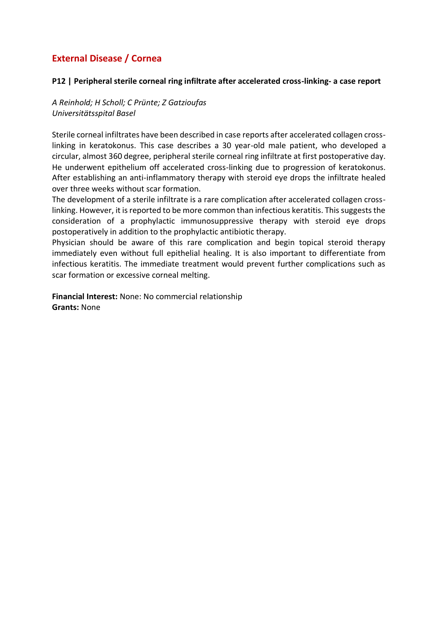#### **P12 | Peripheral sterile corneal ring infiltrate after accelerated cross-linking- a case report**

*A Reinhold; H Scholl; C Prünte; Z Gatzioufas Universitätsspital Basel*

Sterile corneal infiltrates have been described in case reports after accelerated collagen crosslinking in keratokonus. This case describes a 30 year-old male patient, who developed a circular, almost 360 degree, peripheral sterile corneal ring infiltrate at first postoperative day. He underwent epithelium off accelerated cross-linking due to progression of keratokonus. After establishing an anti-inflammatory therapy with steroid eye drops the infiltrate healed over three weeks without scar formation.

The development of a sterile infiltrate is a rare complication after accelerated collagen crosslinking. However, it is reported to be more common than infectious keratitis. This suggests the consideration of a prophylactic immunosuppressive therapy with steroid eye drops postoperatively in addition to the prophylactic antibiotic therapy.

Physician should be aware of this rare complication and begin topical steroid therapy immediately even without full epithelial healing. It is also important to differentiate from infectious keratitis. The immediate treatment would prevent further complications such as scar formation or excessive corneal melting.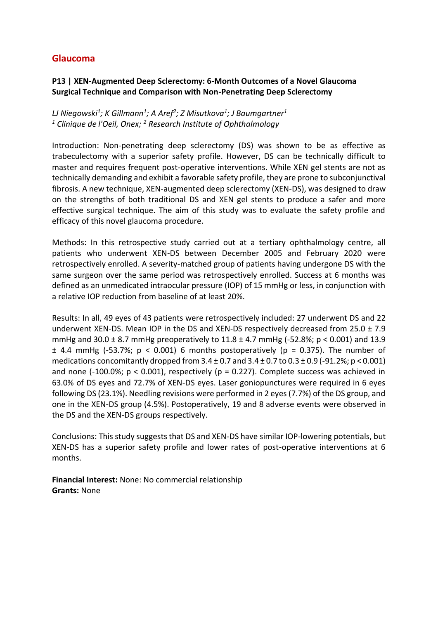# **Glaucoma**

### **P13 | XEN-Augmented Deep Sclerectomy: 6-Month Outcomes of a Novel Glaucoma Surgical Technique and Comparison with Non-Penetrating Deep Sclerectomy**

*LJ Niegowski<sup>1</sup> ; K Gillmann<sup>1</sup> ; A Aref<sup>2</sup> ; Z Misutkova<sup>1</sup> ; J Baumgartner<sup>1</sup> <sup>1</sup> Clinique de l'Oeil, Onex; <sup>2</sup> Research Institute of Ophthalmology*

Introduction: Non-penetrating deep sclerectomy (DS) was shown to be as effective as trabeculectomy with a superior safety profile. However, DS can be technically difficult to master and requires frequent post-operative interventions. While XEN gel stents are not as technically demanding and exhibit a favorable safety profile, they are prone to subconjunctival fibrosis. A new technique, XEN-augmented deep sclerectomy (XEN-DS), was designed to draw on the strengths of both traditional DS and XEN gel stents to produce a safer and more effective surgical technique. The aim of this study was to evaluate the safety profile and efficacy of this novel glaucoma procedure.

Methods: In this retrospective study carried out at a tertiary ophthalmology centre, all patients who underwent XEN-DS between December 2005 and February 2020 were retrospectively enrolled. A severity-matched group of patients having undergone DS with the same surgeon over the same period was retrospectively enrolled. Success at 6 months was defined as an unmedicated intraocular pressure (IOP) of 15 mmHg or less, in conjunction with a relative IOP reduction from baseline of at least 20%.

Results: In all, 49 eyes of 43 patients were retrospectively included: 27 underwent DS and 22 underwent XEN-DS. Mean IOP in the DS and XEN-DS respectively decreased from  $25.0 \pm 7.9$ mmHg and 30.0  $\pm$  8.7 mmHg preoperatively to 11.8  $\pm$  4.7 mmHg (-52.8%; p < 0.001) and 13.9  $\pm$  4.4 mmHg (-53.7%; p < 0.001) 6 months postoperatively (p = 0.375). The number of medications concomitantly dropped from  $3.4 \pm 0.7$  and  $3.4 \pm 0.7$  to  $0.3 \pm 0.9$  (-91.2%; p < 0.001) and none (-100.0%;  $p < 0.001$ ), respectively ( $p = 0.227$ ). Complete success was achieved in 63.0% of DS eyes and 72.7% of XEN-DS eyes. Laser goniopunctures were required in 6 eyes following DS (23.1%). Needling revisions were performed in 2 eyes (7.7%) of the DS group, and one in the XEN-DS group (4.5%). Postoperatively, 19 and 8 adverse events were observed in the DS and the XEN-DS groups respectively.

Conclusions: This study suggests that DS and XEN-DS have similar IOP-lowering potentials, but XEN-DS has a superior safety profile and lower rates of post-operative interventions at 6 months.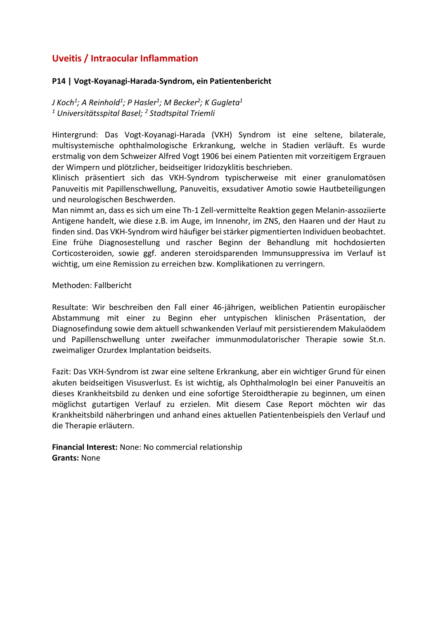# **Uveitis / Intraocular Inflammation**

#### **P14 | Vogt-Koyanagi-Harada-Syndrom, ein Patientenbericht**

*J Koch<sup>1</sup> ; A Reinhold<sup>1</sup> ; P Hasler<sup>1</sup> ; M Becker<sup>2</sup> ; K Gugleta<sup>1</sup> <sup>1</sup> Universitätsspital Basel; <sup>2</sup> Stadtspital Triemli*

Hintergrund: Das Vogt-Koyanagi-Harada (VKH) Syndrom ist eine seltene, bilaterale, multisystemische ophthalmologische Erkrankung, welche in Stadien verläuft. Es wurde erstmalig von dem Schweizer Alfred Vogt 1906 bei einem Patienten mit vorzeitigem Ergrauen der Wimpern und plötzlicher, beidseitiger Iridozyklitis beschrieben.

Klinisch präsentiert sich das VKH-Syndrom typischerweise mit einer granulomatösen Panuveitis mit Papillenschwellung, Panuveitis, exsudativer Amotio sowie Hautbeteiligungen und neurologischen Beschwerden.

Man nimmt an, dass es sich um eine Th-1 Zell-vermittelte Reaktion gegen Melanin-assoziierte Antigene handelt, wie diese z.B. im Auge, im Innenohr, im ZNS, den Haaren und der Haut zu finden sind. Das VKH-Syndrom wird häufiger bei stärker pigmentierten Individuen beobachtet. Eine frühe Diagnosestellung und rascher Beginn der Behandlung mit hochdosierten Corticosteroiden, sowie ggf. anderen steroidsparenden Immunsuppressiva im Verlauf ist wichtig, um eine Remission zu erreichen bzw. Komplikationen zu verringern.

#### Methoden: Fallbericht

Resultate: Wir beschreiben den Fall einer 46-jährigen, weiblichen Patientin europäischer Abstammung mit einer zu Beginn eher untypischen klinischen Präsentation, der Diagnosefindung sowie dem aktuell schwankenden Verlauf mit persistierendem Makulaödem und Papillenschwellung unter zweifacher immunmodulatorischer Therapie sowie St.n. zweimaliger Ozurdex Implantation beidseits.

Fazit: Das VKH-Syndrom ist zwar eine seltene Erkrankung, aber ein wichtiger Grund für einen akuten beidseitigen Visusverlust. Es ist wichtig, als OphthalmologIn bei einer Panuveitis an dieses Krankheitsbild zu denken und eine sofortige Steroidtherapie zu beginnen, um einen möglichst gutartigen Verlauf zu erzielen. Mit diesem Case Report möchten wir das Krankheitsbild näherbringen und anhand eines aktuellen Patientenbeispiels den Verlauf und die Therapie erläutern.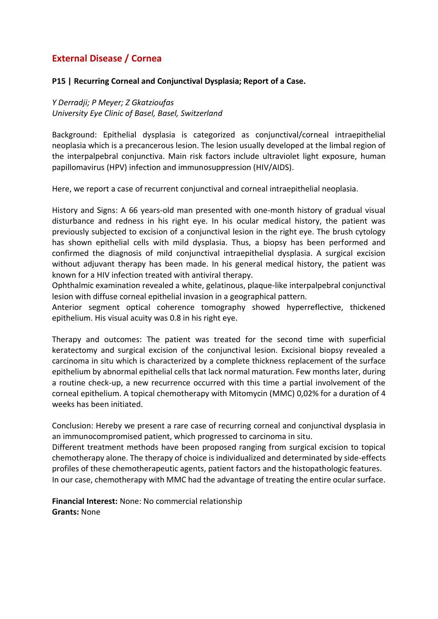#### **P15 | Recurring Corneal and Conjunctival Dysplasia; Report of a Case.**

*Y Derradji; P Meyer; Z Gkatzioufas University Eye Clinic of Basel, Basel, Switzerland*

Background: Epithelial dysplasia is categorized as conjunctival/corneal intraepithelial neoplasia which is a precancerous lesion. The lesion usually developed at the limbal region of the interpalpebral conjunctiva. Main risk factors include ultraviolet light exposure, human papillomavirus (HPV) infection and immunosuppression (HIV/AIDS).

Here, we report a case of recurrent conjunctival and corneal intraepithelial neoplasia.

History and Signs: A 66 years-old man presented with one-month history of gradual visual disturbance and redness in his right eye. In his ocular medical history, the patient was previously subjected to excision of a conjunctival lesion in the right eye. The brush cytology has shown epithelial cells with mild dysplasia. Thus, a biopsy has been performed and confirmed the diagnosis of mild conjunctival intraepithelial dysplasia. A surgical excision without adjuvant therapy has been made. In his general medical history, the patient was known for a HIV infection treated with antiviral therapy.

Ophthalmic examination revealed a white, gelatinous, plaque-like interpalpebral conjunctival lesion with diffuse corneal epithelial invasion in a geographical pattern.

Anterior segment optical coherence tomography showed hyperreflective, thickened epithelium. His visual acuity was 0.8 in his right eye.

Therapy and outcomes: The patient was treated for the second time with superficial keratectomy and surgical excision of the conjunctival lesion. Excisional biopsy revealed a carcinoma in situ which is characterized by a complete thickness replacement of the surface epithelium by abnormal epithelial cells that lack normal maturation. Few months later, during a routine check-up, a new recurrence occurred with this time a partial involvement of the corneal epithelium. A topical chemotherapy with Mitomycin (MMC) 0,02% for a duration of 4 weeks has been initiated.

Conclusion: Hereby we present a rare case of recurring corneal and conjunctival dysplasia in an immunocompromised patient, which progressed to carcinoma in situ.

Different treatment methods have been proposed ranging from surgical excision to topical chemotherapy alone. The therapy of choice is individualized and determinated by side-effects profiles of these chemotherapeutic agents, patient factors and the histopathologic features. In our case, chemotherapy with MMC had the advantage of treating the entire ocular surface.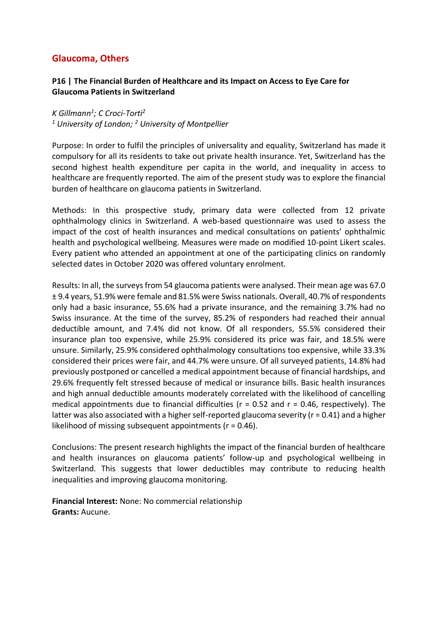# **Glaucoma, Others**

### **P16 | The Financial Burden of Healthcare and its Impact on Access to Eye Care for Glaucoma Patients in Switzerland**

*K Gillmann<sup>1</sup> ; C Croci-Torti<sup>2</sup> <sup>1</sup> University of London; <sup>2</sup> University of Montpellier*

Purpose: In order to fulfil the principles of universality and equality, Switzerland has made it compulsory for all its residents to take out private health insurance. Yet, Switzerland has the second highest health expenditure per capita in the world, and inequality in access to healthcare are frequently reported. The aim of the present study was to explore the financial burden of healthcare on glaucoma patients in Switzerland.

Methods: In this prospective study, primary data were collected from 12 private ophthalmology clinics in Switzerland. A web-based questionnaire was used to assess the impact of the cost of health insurances and medical consultations on patients' ophthalmic health and psychological wellbeing. Measures were made on modified 10-point Likert scales. Every patient who attended an appointment at one of the participating clinics on randomly selected dates in October 2020 was offered voluntary enrolment.

Results: In all, the surveys from 54 glaucoma patients were analysed. Their mean age was 67.0 ± 9.4 years, 51.9% were female and 81.5% were Swiss nationals. Overall, 40.7% of respondents only had a basic insurance, 55.6% had a private insurance, and the remaining 3.7% had no Swiss insurance. At the time of the survey, 85.2% of responders had reached their annual deductible amount, and 7.4% did not know. Of all responders, 55.5% considered their insurance plan too expensive, while 25.9% considered its price was fair, and 18.5% were unsure. Similarly, 25.9% considered ophthalmology consultations too expensive, while 33.3% considered their prices were fair, and 44.7% were unsure. Of all surveyed patients, 14.8% had previously postponed or cancelled a medical appointment because of financial hardships, and 29.6% frequently felt stressed because of medical or insurance bills. Basic health insurances and high annual deductible amounts moderately correlated with the likelihood of cancelling medical appointments due to financial difficulties ( $r = 0.52$  and  $r = 0.46$ , respectively). The latter was also associated with a higher self-reported glaucoma severity (r = 0.41) and a higher likelihood of missing subsequent appointments (r = 0.46).

Conclusions: The present research highlights the impact of the financial burden of healthcare and health insurances on glaucoma patients' follow-up and psychological wellbeing in Switzerland. This suggests that lower deductibles may contribute to reducing health inequalities and improving glaucoma monitoring.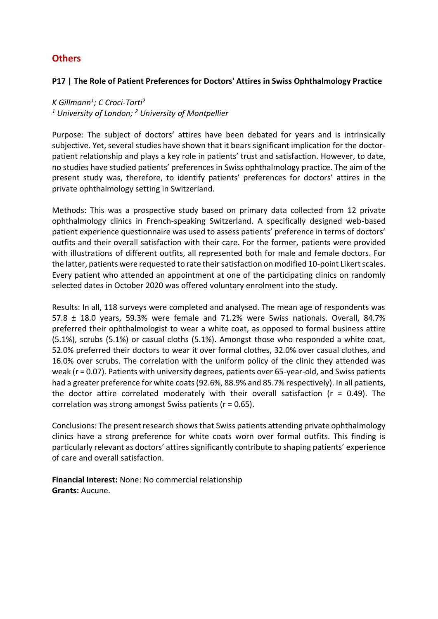# **Others**

#### **P17 | The Role of Patient Preferences for Doctors' Attires in Swiss Ophthalmology Practice**

*K Gillmann<sup>1</sup> ; C Croci-Torti<sup>2</sup> <sup>1</sup> University of London; <sup>2</sup> University of Montpellier*

Purpose: The subject of doctors' attires have been debated for years and is intrinsically subjective. Yet, several studies have shown that it bears significant implication for the doctorpatient relationship and plays a key role in patients' trust and satisfaction. However, to date, no studies have studied patients' preferences in Swiss ophthalmology practice. The aim of the present study was, therefore, to identify patients' preferences for doctors' attires in the private ophthalmology setting in Switzerland.

Methods: This was a prospective study based on primary data collected from 12 private ophthalmology clinics in French-speaking Switzerland. A specifically designed web-based patient experience questionnaire was used to assess patients' preference in terms of doctors' outfits and their overall satisfaction with their care. For the former, patients were provided with illustrations of different outfits, all represented both for male and female doctors. For the latter, patients were requested to rate their satisfaction on modified 10-point Likert scales. Every patient who attended an appointment at one of the participating clinics on randomly selected dates in October 2020 was offered voluntary enrolment into the study.

Results: In all, 118 surveys were completed and analysed. The mean age of respondents was 57.8 ± 18.0 years, 59.3% were female and 71.2% were Swiss nationals. Overall, 84.7% preferred their ophthalmologist to wear a white coat, as opposed to formal business attire (5.1%), scrubs (5.1%) or casual cloths (5.1%). Amongst those who responded a white coat, 52.0% preferred their doctors to wear it over formal clothes, 32.0% over casual clothes, and 16.0% over scrubs. The correlation with the uniform policy of the clinic they attended was weak (r = 0.07). Patients with university degrees, patients over 65-year-old, and Swiss patients had a greater preference for white coats (92.6%, 88.9% and 85.7% respectively). In all patients, the doctor attire correlated moderately with their overall satisfaction ( $r = 0.49$ ). The correlation was strong amongst Swiss patients (r = 0.65).

Conclusions: The present research shows that Swiss patients attending private ophthalmology clinics have a strong preference for white coats worn over formal outfits. This finding is particularly relevant as doctors' attires significantly contribute to shaping patients' experience of care and overall satisfaction.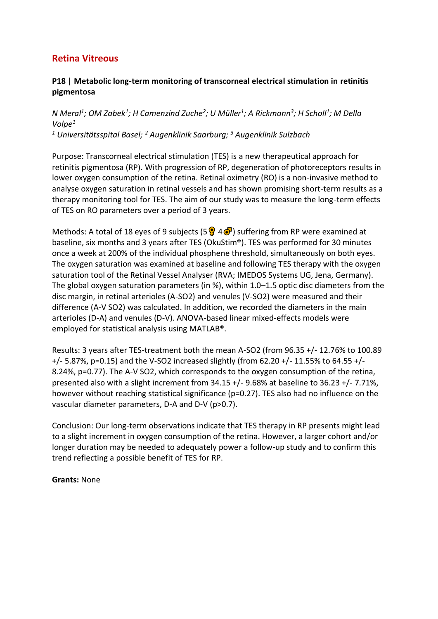### **P18 | Metabolic long-term monitoring of transcorneal electrical stimulation in retinitis pigmentosa**

*N Meral<sup>1</sup> ; OM Zabek<sup>1</sup> ; H Camenzind Zuche<sup>2</sup> ; U Müller<sup>1</sup> ; A Rickmann<sup>3</sup> ; H Scholl<sup>1</sup> ; M Della Volpe<sup>1</sup>*

*<sup>1</sup> Universitätsspital Basel; <sup>2</sup> Augenklinik Saarburg; <sup>3</sup> Augenklinik Sulzbach*

Purpose: Transcorneal electrical stimulation (TES) is a new therapeutical approach for retinitis pigmentosa (RP). With progression of RP, degeneration of photoreceptors results in lower oxygen consumption of the retina. Retinal oximetry (RO) is a non-invasive method to analyse oxygen saturation in retinal vessels and has shown promising short-term results as a therapy monitoring tool for TES. The aim of our study was to measure the long-term effects of TES on RO parameters over a period of 3 years.

Methods: A total of 18 eyes of 9 subjects (5  $\frac{1}{2}$  4  $\frac{1}{2}$ ) suffering from RP were examined at baseline, six months and 3 years after TES (OkuStim®). TES was performed for 30 minutes once a week at 200% of the individual phosphene threshold, simultaneously on both eyes. The oxygen saturation was examined at baseline and following TES therapy with the oxygen saturation tool of the Retinal Vessel Analyser (RVA; IMEDOS Systems UG, Jena, Germany). The global oxygen saturation parameters (in %), within 1.0–1.5 optic disc diameters from the disc margin, in retinal arterioles (A-SO2) and venules (V-SO2) were measured and their difference (A-V SO2) was calculated. In addition, we recorded the diameters in the main arterioles (D-A) and venules (D-V). ANOVA-based linear mixed-effects models were employed for statistical analysis using MATLAB®.

Results: 3 years after TES-treatment both the mean A-SO2 (from 96.35 +/- 12.76% to 100.89 +/- 5.87%, p=0.15) and the V-SO2 increased slightly (from 62.20 +/- 11.55% to 64.55 +/- 8.24%, p=0.77). The A-V SO2, which corresponds to the oxygen consumption of the retina, presented also with a slight increment from 34.15 +/- 9.68% at baseline to 36.23 +/- 7.71%, however without reaching statistical significance (p=0.27). TES also had no influence on the vascular diameter parameters, D-A and D-V (p>0.7).

Conclusion: Our long-term observations indicate that TES therapy in RP presents might lead to a slight increment in oxygen consumption of the retina. However, a larger cohort and/or longer duration may be needed to adequately power a follow-up study and to confirm this trend reflecting a possible benefit of TES for RP.

**Grants:** None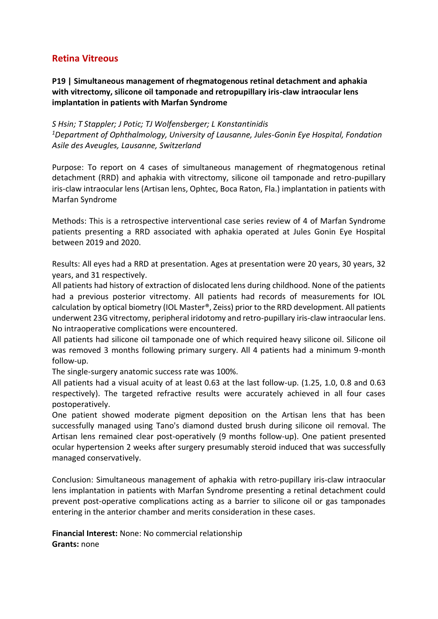## **P19 | Simultaneous management of rhegmatogenous retinal detachment and aphakia with vitrectomy, silicone oil tamponade and retropupillary iris-claw intraocular lens implantation in patients with Marfan Syndrome**

*S Hsin; T Stappler; J Potic; TJ Wolfensberger; L Konstantinidis <sup>1</sup>Department of Ophthalmology, University of Lausanne, Jules-Gonin Eye Hospital, Fondation Asile des Aveugles, Lausanne, Switzerland*

Purpose: To report on 4 cases of simultaneous management of rhegmatogenous retinal detachment (RRD) and aphakia with vitrectomy, silicone oil tamponade and retro-pupillary iris-claw intraocular lens (Artisan lens, Ophtec, Boca Raton, Fla.) implantation in patients with Marfan Syndrome

Methods: This is a retrospective interventional case series review of 4 of Marfan Syndrome patients presenting a RRD associated with aphakia operated at Jules Gonin Eye Hospital between 2019 and 2020.

Results: All eyes had a RRD at presentation. Ages at presentation were 20 years, 30 years, 32 years, and 31 respectively.

All patients had history of extraction of dislocated lens during childhood. None of the patients had a previous posterior vitrectomy. All patients had records of measurements for IOL calculation by optical biometry (IOL Master®, Zeiss) prior to the RRD development. All patients underwent 23G vitrectomy, peripheral iridotomy and retro-pupillary iris-claw intraocular lens. No intraoperative complications were encountered.

All patients had silicone oil tamponade one of which required heavy silicone oil. Silicone oil was removed 3 months following primary surgery. All 4 patients had a minimum 9-month follow-up.

The single-surgery anatomic success rate was 100%.

All patients had a visual acuity of at least 0.63 at the last follow-up. (1.25, 1.0, 0.8 and 0.63 respectively). The targeted refractive results were accurately achieved in all four cases postoperatively.

One patient showed moderate pigment deposition on the Artisan lens that has been successfully managed using Tano's diamond dusted brush during silicone oil removal. The Artisan lens remained clear post-operatively (9 months follow-up). One patient presented ocular hypertension 2 weeks after surgery presumably steroid induced that was successfully managed conservatively.

Conclusion: Simultaneous management of aphakia with retro-pupillary iris-claw intraocular lens implantation in patients with Marfan Syndrome presenting a retinal detachment could prevent post-operative complications acting as a barrier to silicone oil or gas tamponades entering in the anterior chamber and merits consideration in these cases.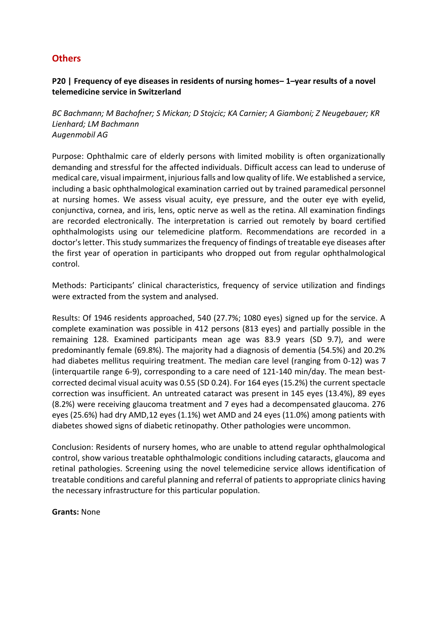# **Others**

### **P20 | Frequency of eye diseases in residents of nursing homes– 1–year results of a novel telemedicine service in Switzerland**

*BC Bachmann; M Bachofner; S Mickan; D Stojcic; KA Carnier; A Giamboni; Z Neugebauer; KR Lienhard; LM Bachmann Augenmobil AG*

Purpose: Ophthalmic care of elderly persons with limited mobility is often organizationally demanding and stressful for the affected individuals. Difficult access can lead to underuse of medical care, visual impairment, injurious falls and low quality of life. We established a service, including a basic ophthalmological examination carried out by trained paramedical personnel at nursing homes. We assess visual acuity, eye pressure, and the outer eye with eyelid, conjunctiva, cornea, and iris, lens, optic nerve as well as the retina. All examination findings are recorded electronically. The interpretation is carried out remotely by board certified ophthalmologists using our telemedicine platform. Recommendations are recorded in a doctor's letter. This study summarizes the frequency of findings of treatable eye diseases after the first year of operation in participants who dropped out from regular ophthalmological control.

Methods: Participants' clinical characteristics, frequency of service utilization and findings were extracted from the system and analysed.

Results: Of 1946 residents approached, 540 (27.7%; 1080 eyes) signed up for the service. A complete examination was possible in 412 persons (813 eyes) and partially possible in the remaining 128. Examined participants mean age was 83.9 years (SD 9.7), and were predominantly female (69.8%). The majority had a diagnosis of dementia (54.5%) and 20.2% had diabetes mellitus requiring treatment. The median care level (ranging from 0-12) was 7 (interquartile range 6-9), corresponding to a care need of 121-140 min/day. The mean bestcorrected decimal visual acuity was 0.55 (SD 0.24). For 164 eyes (15.2%) the current spectacle correction was insufficient. An untreated cataract was present in 145 eyes (13.4%), 89 eyes (8.2%) were receiving glaucoma treatment and 7 eyes had a decompensated glaucoma. 276 eyes (25.6%) had dry AMD,12 eyes (1.1%) wet AMD and 24 eyes (11.0%) among patients with diabetes showed signs of diabetic retinopathy. Other pathologies were uncommon.

Conclusion: Residents of nursery homes, who are unable to attend regular ophthalmological control, show various treatable ophthalmologic conditions including cataracts, glaucoma and retinal pathologies. Screening using the novel telemedicine service allows identification of treatable conditions and careful planning and referral of patients to appropriate clinics having the necessary infrastructure for this particular population.

**Grants:** None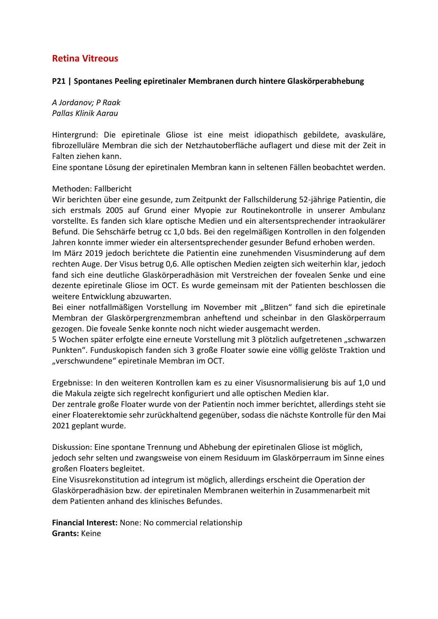#### **P21 | Spontanes Peeling epiretinaler Membranen durch hintere Glaskörperabhebung**

*A Jordanov; P Raak Pallas Klinik Aarau*

Hintergrund: Die epiretinale Gliose ist eine meist idiopathisch gebildete, avaskuläre, fibrozelluläre Membran die sich der Netzhautoberfläche auflagert und diese mit der Zeit in Falten ziehen kann.

Eine spontane Lösung der epiretinalen Membran kann in seltenen Fällen beobachtet werden.

#### Methoden: Fallbericht

Wir berichten über eine gesunde, zum Zeitpunkt der Fallschilderung 52-jährige Patientin, die sich erstmals 2005 auf Grund einer Myopie zur Routinekontrolle in unserer Ambulanz vorstellte. Es fanden sich klare optische Medien und ein altersentsprechender intraokulärer Befund. Die Sehschärfe betrug cc 1,0 bds. Bei den regelmäßigen Kontrollen in den folgenden Jahren konnte immer wieder ein altersentsprechender gesunder Befund erhoben werden.

Im März 2019 jedoch berichtete die Patientin eine zunehmenden Visusminderung auf dem rechten Auge. Der Visus betrug 0,6. Alle optischen Medien zeigten sich weiterhin klar, jedoch fand sich eine deutliche Glaskörperadhäsion mit Verstreichen der fovealen Senke und eine dezente epiretinale Gliose im OCT. Es wurde gemeinsam mit der Patienten beschlossen die weitere Entwicklung abzuwarten.

Bei einer notfallmäßigen Vorstellung im November mit "Blitzen" fand sich die epiretinale Membran der Glaskörpergrenzmembran anheftend und scheinbar in den Glaskörperraum gezogen. Die foveale Senke konnte noch nicht wieder ausgemacht werden.

5 Wochen später erfolgte eine erneute Vorstellung mit 3 plötzlich aufgetretenen "schwarzen Punkten". Funduskopisch fanden sich 3 große Floater sowie eine völlig gelöste Traktion und "verschwundene" epiretinale Membran im OCT.

Ergebnisse: In den weiteren Kontrollen kam es zu einer Visusnormalisierung bis auf 1,0 und die Makula zeigte sich regelrecht konfiguriert und alle optischen Medien klar.

Der zentrale große Floater wurde von der Patientin noch immer berichtet, allerdings steht sie einer Floaterektomie sehr zurückhaltend gegenüber, sodass die nächste Kontrolle für den Mai 2021 geplant wurde.

Diskussion: Eine spontane Trennung und Abhebung der epiretinalen Gliose ist möglich, jedoch sehr selten und zwangsweise von einem Residuum im Glaskörperraum im Sinne eines großen Floaters begleitet.

Eine Visusrekonstitution ad integrum ist möglich, allerdings erscheint die Operation der Glaskörperadhäsion bzw. der epiretinalen Membranen weiterhin in Zusammenarbeit mit dem Patienten anhand des klinisches Befundes.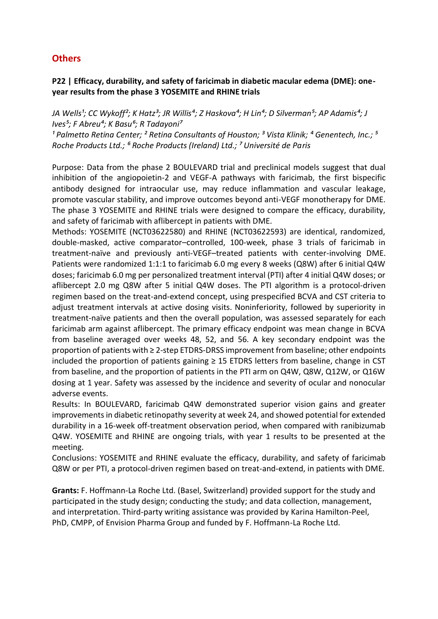# **Others**

## **P22 | Efficacy, durability, and safety of faricimab in diabetic macular edema (DME): oneyear results from the phase 3 YOSEMITE and RHINE trials**

JA Wells<sup>1</sup>; CC Wykoff<sup>2</sup>; K Hatz<sup>3</sup>; JR Willis<sup>4</sup>; Z Haskova<sup>4</sup>; H Lin<sup>4</sup>; D Silverman<sup>5</sup>; AP Adamis<sup>4</sup>; J *Ives⁵; F Abreu⁴; K Basu⁶; R Tadayoni⁷*

<sup>1</sup> Palmetto Retina Center; <sup>2</sup> Retina Consultants of Houston; <sup>3</sup> Vista Klinik; <sup>4</sup> Genentech, Inc.; <sup>5</sup> *Roche Products Ltd.; ⁶ Roche Products (Ireland) Ltd.; ⁷ Université de Paris*

Purpose: Data from the phase 2 BOULEVARD trial and preclinical models suggest that dual inhibition of the angiopoietin-2 and VEGF-A pathways with faricimab, the first bispecific antibody designed for intraocular use, may reduce inflammation and vascular leakage, promote vascular stability, and improve outcomes beyond anti-VEGF monotherapy for DME. The phase 3 YOSEMITE and RHINE trials were designed to compare the efficacy, durability, and safety of faricimab with aflibercept in patients with DME.

Methods: YOSEMITE (NCT03622580) and RHINE (NCT03622593) are identical, randomized, double-masked, active comparator–controlled, 100-week, phase 3 trials of faricimab in treatment-naïve and previously anti-VEGF–treated patients with center-involving DME. Patients were randomized 1:1:1 to faricimab 6.0 mg every 8 weeks (Q8W) after 6 initial Q4W doses; faricimab 6.0 mg per personalized treatment interval (PTI) after 4 initial Q4W doses; or aflibercept 2.0 mg Q8W after 5 initial Q4W doses. The PTI algorithm is a protocol-driven regimen based on the treat-and-extend concept, using prespecified BCVA and CST criteria to adjust treatment intervals at active dosing visits. Noninferiority, followed by superiority in treatment-naïve patients and then the overall population, was assessed separately for each faricimab arm against aflibercept. The primary efficacy endpoint was mean change in BCVA from baseline averaged over weeks 48, 52, and 56. A key secondary endpoint was the proportion of patients with ≥ 2-step ETDRS-DRSS improvement from baseline; other endpoints included the proportion of patients gaining  $\geq$  15 ETDRS letters from baseline, change in CST from baseline, and the proportion of patients in the PTI arm on Q4W, Q8W, Q12W, or Q16W dosing at 1 year. Safety was assessed by the incidence and severity of ocular and nonocular adverse events.

Results: In BOULEVARD, faricimab Q4W demonstrated superior vision gains and greater improvements in diabetic retinopathy severity at week 24, and showed potential for extended durability in a 16-week off-treatment observation period, when compared with ranibizumab Q4W. YOSEMITE and RHINE are ongoing trials, with year 1 results to be presented at the meeting.

Conclusions: YOSEMITE and RHINE evaluate the efficacy, durability, and safety of faricimab Q8W or per PTI, a protocol-driven regimen based on treat-and-extend, in patients with DME.

**Grants:** F. Hoffmann-La Roche Ltd. (Basel, Switzerland) provided support for the study and participated in the study design; conducting the study; and data collection, management, and interpretation. Third-party writing assistance was provided by Karina Hamilton-Peel, PhD, CMPP, of Envision Pharma Group and funded by F. Hoffmann-La Roche Ltd.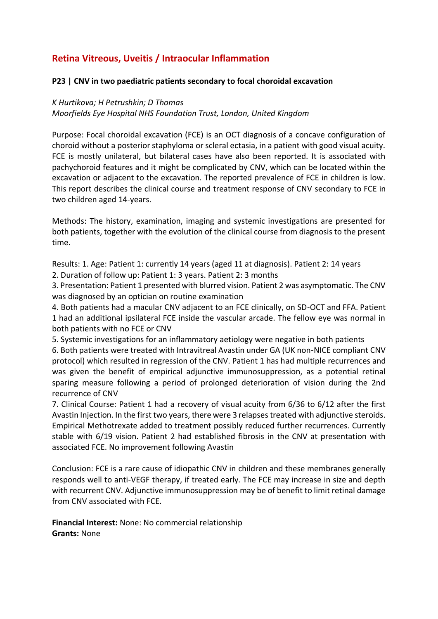# **Retina Vitreous, Uveitis / Intraocular Inflammation**

#### **P23 | CNV in two paediatric patients secondary to focal choroidal excavation**

#### *K Hurtikova; H Petrushkin; D Thomas*

*Moorfields Eye Hospital NHS Foundation Trust, London, United Kingdom*

Purpose: Focal choroidal excavation (FCE) is an OCT diagnosis of a concave configuration of choroid without a posterior staphyloma or scleral ectasia, in a patient with good visual acuity. FCE is mostly unilateral, but bilateral cases have also been reported. It is associated with pachychoroid features and it might be complicated by CNV, which can be located within the excavation or adjacent to the excavation. The reported prevalence of FCE in children is low. This report describes the clinical course and treatment response of CNV secondary to FCE in two children aged 14-years.

Methods: The history, examination, imaging and systemic investigations are presented for both patients, together with the evolution of the clinical course from diagnosis to the present time.

Results: 1. Age: Patient 1: currently 14 years (aged 11 at diagnosis). Patient 2: 14 years

2. Duration of follow up: Patient 1: 3 years. Patient 2: 3 months

3. Presentation: Patient 1 presented with blurred vision. Patient 2 was asymptomatic. The CNV was diagnosed by an optician on routine examination

4. Both patients had a macular CNV adjacent to an FCE clinically, on SD-OCT and FFA. Patient 1 had an additional ipsilateral FCE inside the vascular arcade. The fellow eye was normal in both patients with no FCE or CNV

5. Systemic investigations for an inflammatory aetiology were negative in both patients

6. Both patients were treated with Intravitreal Avastin under GA (UK non-NICE compliant CNV protocol) which resulted in regression of the CNV. Patient 1 has had multiple recurrences and was given the benefit of empirical adjunctive immunosuppression, as a potential retinal sparing measure following a period of prolonged deterioration of vision during the 2nd recurrence of CNV

7. Clinical Course: Patient 1 had a recovery of visual acuity from 6/36 to 6/12 after the first Avastin Injection. In the first two years, there were 3 relapses treated with adjunctive steroids. Empirical Methotrexate added to treatment possibly reduced further recurrences. Currently stable with 6/19 vision. Patient 2 had established fibrosis in the CNV at presentation with associated FCE. No improvement following Avastin

Conclusion: FCE is a rare cause of idiopathic CNV in children and these membranes generally responds well to anti-VEGF therapy, if treated early. The FCE may increase in size and depth with recurrent CNV. Adjunctive immunosuppression may be of benefit to limit retinal damage from CNV associated with FCE.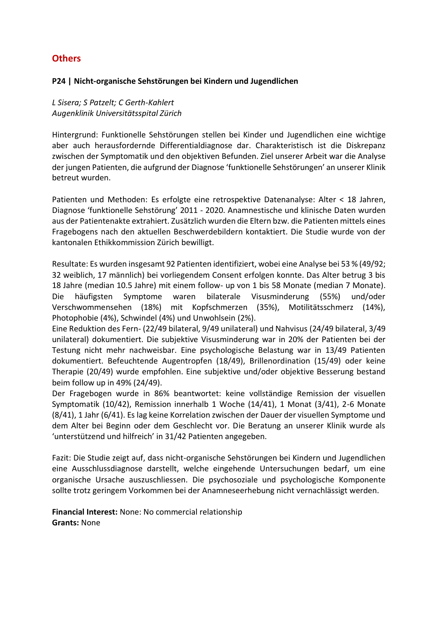# **Others**

#### **P24 | Nicht-organische Sehstörungen bei Kindern und Jugendlichen**

*L Sisera; S Patzelt; C Gerth-Kahlert Augenklinik Universitätsspital Zürich*

Hintergrund: Funktionelle Sehstörungen stellen bei Kinder und Jugendlichen eine wichtige aber auch herausfordernde Differentialdiagnose dar. Charakteristisch ist die Diskrepanz zwischen der Symptomatik und den objektiven Befunden. Ziel unserer Arbeit war die Analyse der jungen Patienten, die aufgrund der Diagnose 'funktionelle Sehstörungen' an unserer Klinik betreut wurden.

Patienten und Methoden: Es erfolgte eine retrospektive Datenanalyse: Alter < 18 Jahren, Diagnose 'funktionelle Sehstörung' 2011 - 2020. Anamnestische und klinische Daten wurden aus der Patientenakte extrahiert. Zusätzlich wurden die Eltern bzw. die Patienten mittels eines Fragebogens nach den aktuellen Beschwerdebildern kontaktiert. Die Studie wurde von der kantonalen Ethikkommission Zürich bewilligt.

Resultate: Es wurden insgesamt 92 Patienten identifiziert, wobei eine Analyse bei 53 % (49/92; 32 weiblich, 17 männlich) bei vorliegendem Consent erfolgen konnte. Das Alter betrug 3 bis 18 Jahre (median 10.5 Jahre) mit einem follow- up von 1 bis 58 Monate (median 7 Monate). Die häufigsten Symptome waren bilaterale Visusminderung (55%) und/oder Verschwommensehen (18%) mit Kopfschmerzen (35%), Motilitätsschmerz (14%), Photophobie (4%), Schwindel (4%) und Unwohlsein (2%).

Eine Reduktion des Fern- (22/49 bilateral, 9/49 unilateral) und Nahvisus (24/49 bilateral, 3/49 unilateral) dokumentiert. Die subjektive Visusminderung war in 20% der Patienten bei der Testung nicht mehr nachweisbar. Eine psychologische Belastung war in 13/49 Patienten dokumentiert. Befeuchtende Augentropfen (18/49), Brillenordination (15/49) oder keine Therapie (20/49) wurde empfohlen. Eine subjektive und/oder objektive Besserung bestand beim follow up in 49% (24/49).

Der Fragebogen wurde in 86% beantwortet: keine vollständige Remission der visuellen Symptomatik (10/42), Remission innerhalb 1 Woche (14/41), 1 Monat (3/41), 2-6 Monate (8/41), 1 Jahr (6/41). Es lag keine Korrelation zwischen der Dauer der visuellen Symptome und dem Alter bei Beginn oder dem Geschlecht vor. Die Beratung an unserer Klinik wurde als 'unterstützend und hilfreich' in 31/42 Patienten angegeben.

Fazit: Die Studie zeigt auf, dass nicht-organische Sehstörungen bei Kindern und Jugendlichen eine Ausschlussdiagnose darstellt, welche eingehende Untersuchungen bedarf, um eine organische Ursache auszuschliessen. Die psychosoziale und psychologische Komponente sollte trotz geringem Vorkommen bei der Anamneseerhebung nicht vernachlässigt werden.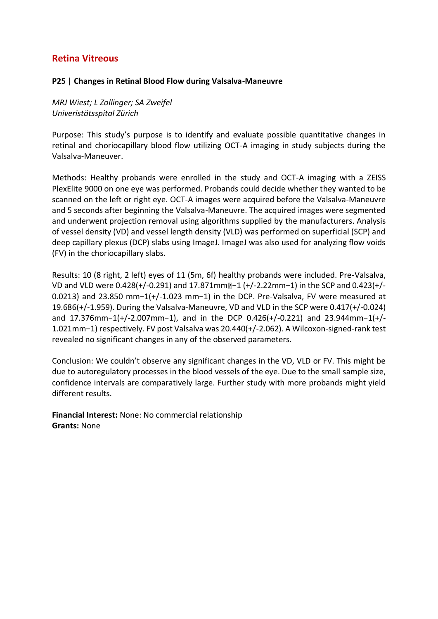#### **P25 | Changes in Retinal Blood Flow during Valsalva-Maneuvre**

*MRJ Wiest; L Zollinger; SA Zweifel Univeristätsspital Zürich*

Purpose: This study's purpose is to identify and evaluate possible quantitative changes in retinal and choriocapillary blood flow utilizing OCT-A imaging in study subjects during the Valsalva-Maneuver.

Methods: Healthy probands were enrolled in the study and OCT-A imaging with a ZEISS PlexElite 9000 on one eye was performed. Probands could decide whether they wanted to be scanned on the left or right eye. OCT-A images were acquired before the Valsalva-Maneuvre and 5 seconds after beginning the Valsalva-Maneuvre. The acquired images were segmented and underwent projection removal using algorithms supplied by the manufacturers. Analysis of vessel density (VD) and vessel length density (VLD) was performed on superficial (SCP) and deep capillary plexus (DCP) slabs using ImageJ. ImageJ was also used for analyzing flow voids (FV) in the choriocapillary slabs.

Results: 10 (8 right, 2 left) eyes of 11 (5m, 6f) healthy probands were included. Pre-Valsalva, VD and VLD were 0.428(+/-0.291) and 17.871mm<sup>[1</sup>-1 (+/-2.22mm-1) in the SCP and 0.423(+/-0.0213) and 23.850 mm−1(+/-1.023 mm−1) in the DCP. Pre-Valsalva, FV were measured at 19.686(+/-1.959). During the Valsalva-Maneuvre, VD and VLD in the SCP were 0.417(+/-0.024) and 17.376mm−1(+/-2.007mm−1), and in the DCP 0.426(+/-0.221) and 23.944mm−1(+/- 1.021mm−1) respectively. FV post Valsalva was 20.440(+/-2.062). A Wilcoxon-signed-rank test revealed no significant changes in any of the observed parameters.

Conclusion: We couldn't observe any significant changes in the VD, VLD or FV. This might be due to autoregulatory processes in the blood vessels of the eye. Due to the small sample size, confidence intervals are comparatively large. Further study with more probands might yield different results.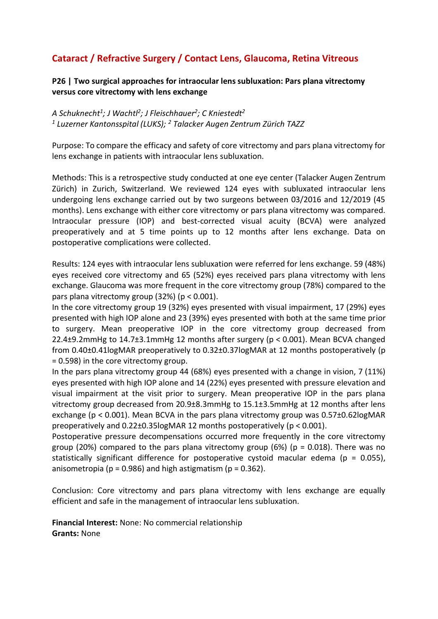# **Cataract / Refractive Surgery / Contact Lens, Glaucoma, Retina Vitreous**

**P26 | Two surgical approaches for intraocular lens subluxation: Pars plana vitrectomy versus core vitrectomy with lens exchange**

*A Schuknecht<sup>1</sup> ; J Wachtl<sup>2</sup> ; J Fleischhauer<sup>2</sup> ; C Kniestedt<sup>2</sup> 1 Luzerner Kantonsspital (LUKS); <sup>2</sup> Talacker Augen Zentrum Zürich TAZZ*

Purpose: To compare the efficacy and safety of core vitrectomy and pars plana vitrectomy for lens exchange in patients with intraocular lens subluxation.

Methods: This is a retrospective study conducted at one eye center (Talacker Augen Zentrum Zürich) in Zurich, Switzerland. We reviewed 124 eyes with subluxated intraocular lens undergoing lens exchange carried out by two surgeons between 03/2016 and 12/2019 (45 months). Lens exchange with either core vitrectomy or pars plana vitrectomy was compared. Intraocular pressure (IOP) and best-corrected visual acuity (BCVA) were analyzed preoperatively and at 5 time points up to 12 months after lens exchange. Data on postoperative complications were collected.

Results: 124 eyes with intraocular lens subluxation were referred for lens exchange. 59 (48%) eyes received core vitrectomy and 65 (52%) eyes received pars plana vitrectomy with lens exchange. Glaucoma was more frequent in the core vitrectomy group (78%) compared to the pars plana vitrectomy group (32%) (p < 0.001).

In the core vitrectomy group 19 (32%) eyes presented with visual impairment, 17 (29%) eyes presented with high IOP alone and 23 (39%) eyes presented with both at the same time prior to surgery. Mean preoperative IOP in the core vitrectomy group decreased from 22.4±9.2mmHg to 14.7±3.1mmHg 12 months after surgery (p < 0.001). Mean BCVA changed from 0.40±0.41logMAR preoperatively to 0.32±0.37logMAR at 12 months postoperatively (p = 0.598) in the core vitrectomy group.

In the pars plana vitrectomy group 44 (68%) eyes presented with a change in vision, 7 (11%) eyes presented with high IOP alone and 14 (22%) eyes presented with pressure elevation and visual impairment at the visit prior to surgery. Mean preoperative IOP in the pars plana vitrectomy group decreased from 20.9±8.3mmHg to 15.1±3.5mmHg at 12 months after lens exchange (p < 0.001). Mean BCVA in the pars plana vitrectomy group was 0.57±0.62logMAR preoperatively and 0.22±0.35logMAR 12 months postoperatively (p < 0.001).

Postoperative pressure decompensations occurred more frequently in the core vitrectomy group (20%) compared to the pars plana vitrectomy group (6%) ( $p = 0.018$ ). There was no statistically significant difference for postoperative cystoid macular edema ( $p = 0.055$ ), anisometropia ( $p = 0.986$ ) and high astigmatism ( $p = 0.362$ ).

Conclusion: Core vitrectomy and pars plana vitrectomy with lens exchange are equally efficient and safe in the management of intraocular lens subluxation.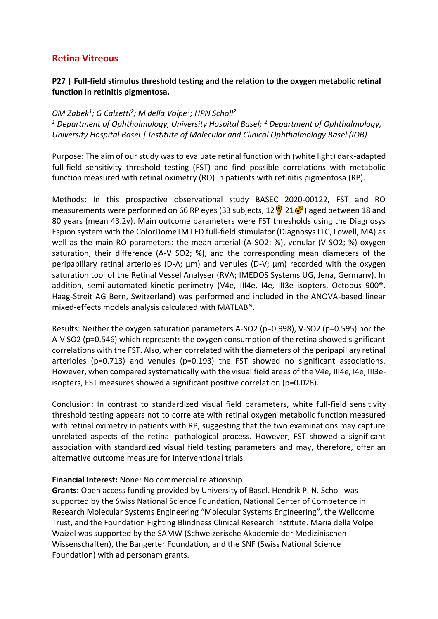## **P27 | Full-field stimulus threshold testing and the relation to the oxygen metabolic retinal function in retinitis pigmentosa.**

## *OM Zabek<sup>1</sup> ; G Calzetti<sup>2</sup> ; M della Volpe<sup>1</sup> ; HPN Scholl<sup>2</sup>*

*<sup>1</sup> Department of Ophthalmology, University Hospital Basel; <sup>2</sup> Department of Ophthalmology, University Hospital Basel | Institute of Molecular and Clinical Ophthalmology Basel (IOB)*

Purpose: The aim of our study was to evaluate retinal function with (white light) dark-adapted full-field sensitivity threshold testing (FST) and find possible correlations with metabolic function measured with retinal oximetry (RO) in patients with retinitis pigmentosa (RP).

Methods: In this prospective observational study BASEC 2020-00122, FST and RO measurements were performed on 66 RP eyes (33 subjects,  $12\sqrt{3}$  21 $\sqrt{7}$ ) aged between 18 and 80 years (mean 43.2y). Main outcome parameters were FST thresholds using the Diagnosys Espion system with the ColorDomeTM LED full-field stimulator (Diagnosys LLC, Lowell, MA) as well as the main RO parameters: the mean arterial (A-SO2; %), venular (V-SO2; %) oxygen saturation, their difference (A-V SO2; %), and the corresponding mean diameters of the peripapillary retinal arterioles (D-A; μm) and venules (D-V; μm) recorded with the oxygen saturation tool of the Retinal Vessel Analyser (RVA; IMEDOS Systems UG, Jena, Germany). In addition, semi-automated kinetic perimetry (V4e, III4e, I4e, III3e isopters, Octopus 900<sup>®</sup>, Haag-Streit AG Bern, Switzerland) was performed and included in the ANOVA-based linear mixed-effects models analysis calculated with MATLAB®.

Results: Neither the oxygen saturation parameters A-SO2 (p=0.998), V-SO2 (p=0.595) nor the A-V SO2 (p=0.546) which represents the oxygen consumption of the retina showed significant correlations with the FST. Also, when correlated with the diameters of the peripapillary retinal arterioles (p=0.713) and venules (p=0.193) the FST showed no significant associations. However, when compared systematically with the visual field areas of the V4e, III4e, I4e, III3eisopters, FST measures showed a significant positive correlation (p=0.028).

Conclusion: In contrast to standardized visual field parameters, white full-field sensitivity threshold testing appears not to correlate with retinal oxygen metabolic function measured with retinal oximetry in patients with RP, suggesting that the two examinations may capture unrelated aspects of the retinal pathological process. However, FST showed a significant association with standardized visual field testing parameters and may, therefore, offer an alternative outcome measure for interventional trials.

#### **Financial Interest:** None: No commercial relationship

**Grants:** Open access funding provided by University of Basel. Hendrik P. N. Scholl was supported by the Swiss National Science Foundation, National Center of Competence in Research Molecular Systems Engineering "Molecular Systems Engineering", the Wellcome Trust, and the Foundation Fighting Blindness Clinical Research Institute. Maria della Volpe Waizel was supported by the SAMW (Schweizerische Akademie der Medizinischen Wissenschaften), the Bangerter Foundation, and the SNF (Swiss National Science Foundation) with ad personam grants.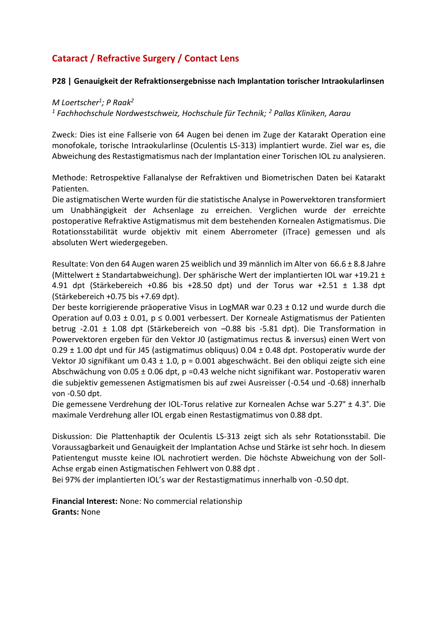# **Cataract / Refractive Surgery / Contact Lens**

#### **P28 | Genauigkeit der Refraktionsergebnisse nach Implantation torischer Intraokularlinsen**

*M Loertscher<sup>1</sup> ; P Raak<sup>2</sup>*

*<sup>1</sup> Fachhochschule Nordwestschweiz, Hochschule für Technik; <sup>2</sup> Pallas Kliniken, Aarau*

Zweck: Dies ist eine Fallserie von 64 Augen bei denen im Zuge der Katarakt Operation eine monofokale, torische Intraokularlinse (Oculentis LS-313) implantiert wurde. Ziel war es, die Abweichung des Restastigmatismus nach der Implantation einer Torischen IOL zu analysieren.

Methode: Retrospektive Fallanalyse der Refraktiven und Biometrischen Daten bei Katarakt Patienten.

Die astigmatischen Werte wurden für die statistische Analyse in Powervektoren transformiert um Unabhängigkeit der Achsenlage zu erreichen. Verglichen wurde der erreichte postoperative Refraktive Astigmatismus mit dem bestehenden Kornealen Astigmatismus. Die Rotationsstabilität wurde objektiv mit einem Aberrometer (iTrace) gemessen und als absoluten Wert wiedergegeben.

Resultate: Von den 64 Augen waren 25 weiblich und 39 männlich im Alter von 66.6 ± 8.8 Jahre (Mittelwert ± Standartabweichung). Der sphärische Wert der implantierten IOL war +19.21 ± 4.91 dpt (Stärkebereich +0.86 bis +28.50 dpt) und der Torus war +2.51 ± 1.38 dpt (Stärkebereich +0.75 bis +7.69 dpt).

Der beste korrigierende präoperative Visus in LogMAR war 0.23 ± 0.12 und wurde durch die Operation auf 0.03  $\pm$  0.01, p  $\leq$  0.001 verbessert. Der Korneale Astigmatismus der Patienten betrug -2.01 ± 1.08 dpt (Stärkebereich von –0.88 bis -5.81 dpt). Die Transformation in Powervektoren ergeben für den Vektor J0 (astigmatimus rectus & inversus) einen Wert von 0.29 ± 1.00 dpt und für J45 (astigmatimus obliquus) 0.04 ± 0.48 dpt. Postoperativ wurde der Vektor J0 signifikant um  $0.43 \pm 1.0$ , p = 0.001 abgeschwächt. Bei den obliqui zeigte sich eine Abschwächung von 0.05 ± 0.06 dpt, p =0.43 welche nicht signifikant war. Postoperativ waren die subjektiv gemessenen Astigmatismen bis auf zwei Ausreisser (-0.54 und -0.68) innerhalb von -0.50 dpt.

Die gemessene Verdrehung der IOL-Torus relative zur Kornealen Achse war 5.27° ± 4.3°. Die maximale Verdrehung aller IOL ergab einen Restastigmatimus von 0.88 dpt.

Diskussion: Die Plattenhaptik der Oculentis LS-313 zeigt sich als sehr Rotationsstabil. Die Voraussagbarkeit und Genauigkeit der Implantation Achse und Stärke ist sehr hoch. In diesem Patientengut musste keine IOL nachrotiert werden. Die höchste Abweichung von der Soll-Achse ergab einen Astigmatischen Fehlwert von 0.88 dpt .

Bei 97% der implantierten IOL's war der Restastigmatimus innerhalb von -0.50 dpt.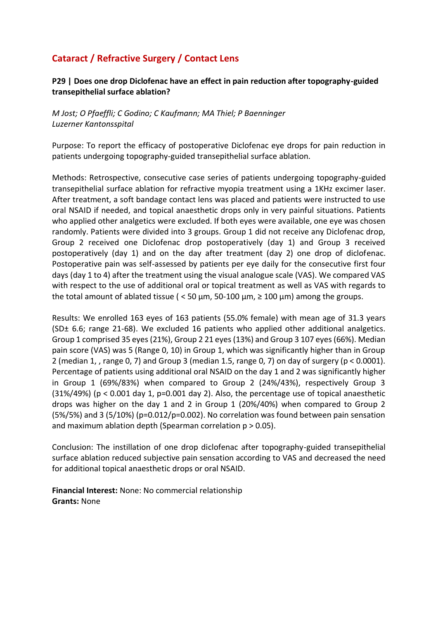# **Cataract / Refractive Surgery / Contact Lens**

### **P29 | Does one drop Diclofenac have an effect in pain reduction after topography-guided transepithelial surface ablation?**

*M Jost; O Pfaeffli; C Godino; C Kaufmann; MA Thiel; P Baenninger Luzerner Kantonsspital*

Purpose: To report the efficacy of postoperative Diclofenac eye drops for pain reduction in patients undergoing topography-guided transepithelial surface ablation.

Methods: Retrospective, consecutive case series of patients undergoing topography-guided transepithelial surface ablation for refractive myopia treatment using a 1KHz excimer laser. After treatment, a soft bandage contact lens was placed and patients were instructed to use oral NSAID if needed, and topical anaesthetic drops only in very painful situations. Patients who applied other analgetics were excluded. If both eyes were available, one eye was chosen randomly. Patients were divided into 3 groups. Group 1 did not receive any Diclofenac drop, Group 2 received one Diclofenac drop postoperatively (day 1) and Group 3 received postoperatively (day 1) and on the day after treatment (day 2) one drop of diclofenac. Postoperative pain was self-assessed by patients per eye daily for the consecutive first four days (day 1 to 4) after the treatment using the visual analogue scale (VAS). We compared VAS with respect to the use of additional oral or topical treatment as well as VAS with regards to the total amount of ablated tissue (  $<$  50  $\mu$ m, 50-100  $\mu$ m,  $\geq$  100  $\mu$ m) among the groups.

Results: We enrolled 163 eyes of 163 patients (55.0% female) with mean age of 31.3 years (SD± 6.6; range 21-68). We excluded 16 patients who applied other additional analgetics. Group 1 comprised 35 eyes (21%), Group 2 21 eyes (13%) and Group 3 107 eyes (66%). Median pain score (VAS) was 5 (Range 0, 10) in Group 1, which was significantly higher than in Group 2 (median 1, , range 0, 7) and Group 3 (median 1.5, range 0, 7) on day of surgery (p < 0.0001). Percentage of patients using additional oral NSAID on the day 1 and 2 was significantly higher in Group 1 (69%/83%) when compared to Group 2 (24%/43%), respectively Group 3  $(31\%/49\%)$  (p < 0.001 day 1, p=0.001 day 2). Also, the percentage use of topical anaesthetic drops was higher on the day 1 and 2 in Group 1 (20%/40%) when compared to Group 2 (5%/5%) and 3 (5/10%) (p=0.012/p=0.002). No correlation was found between pain sensation and maximum ablation depth (Spearman correlation  $p > 0.05$ ).

Conclusion: The instillation of one drop diclofenac after topography-guided transepithelial surface ablation reduced subjective pain sensation according to VAS and decreased the need for additional topical anaesthetic drops or oral NSAID.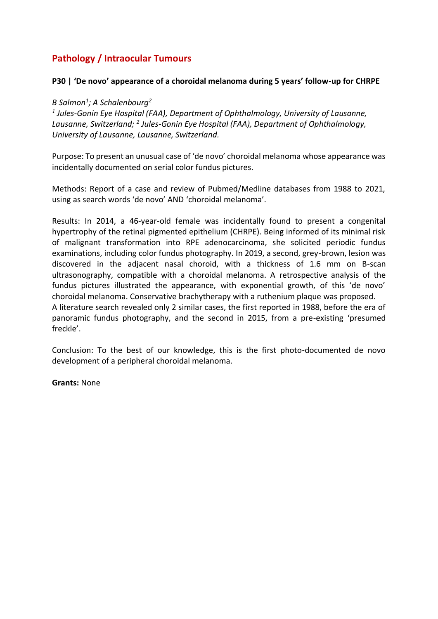# **Pathology / Intraocular Tumours**

#### **P30 | 'De novo' appearance of a choroidal melanoma during 5 years' follow-up for CHRPE**

### *B Salmon<sup>1</sup> ; A Schalenbourg<sup>2</sup>*

*1 Jules-Gonin Eye Hospital (FAA), Department of Ophthalmology, University of Lausanne,*  Lausanne, Switzerland; <sup>2</sup> Jules-Gonin Eye Hospital (FAA), Department of Ophthalmology, *University of Lausanne, Lausanne, Switzerland.*

Purpose: To present an unusual case of 'de novo' choroidal melanoma whose appearance was incidentally documented on serial color fundus pictures.

Methods: Report of a case and review of Pubmed/Medline databases from 1988 to 2021, using as search words 'de novo' AND 'choroidal melanoma'.

Results: In 2014, a 46-year-old female was incidentally found to present a congenital hypertrophy of the retinal pigmented epithelium (CHRPE). Being informed of its minimal risk of malignant transformation into RPE adenocarcinoma, she solicited periodic fundus examinations, including color fundus photography. In 2019, a second, grey-brown, lesion was discovered in the adjacent nasal choroid, with a thickness of 1.6 mm on B-scan ultrasonography, compatible with a choroidal melanoma. A retrospective analysis of the fundus pictures illustrated the appearance, with exponential growth, of this 'de novo' choroidal melanoma. Conservative brachytherapy with a ruthenium plaque was proposed. A literature search revealed only 2 similar cases, the first reported in 1988, before the era of panoramic fundus photography, and the second in 2015, from a pre-existing 'presumed freckle'.

Conclusion: To the best of our knowledge, this is the first photo-documented de novo development of a peripheral choroidal melanoma.

**Grants:** None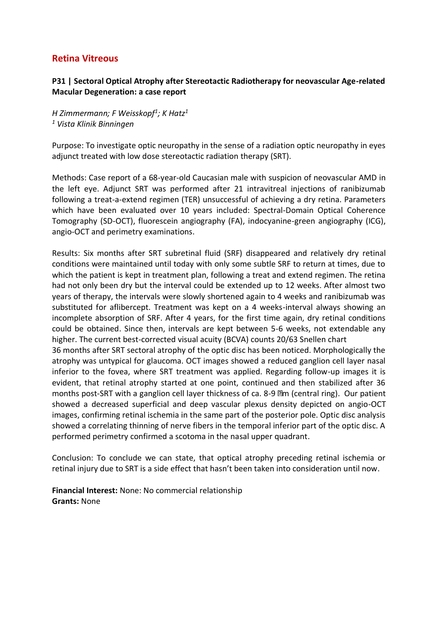## **P31 | Sectoral Optical Atrophy after Stereotactic Radiotherapy for neovascular Age-related Macular Degeneration: a case report**

*H Zimmermann; F Weisskopf<sup>1</sup> ; K Hatz<sup>1</sup> <sup>1</sup> Vista Klinik Binningen*

Purpose: To investigate optic neuropathy in the sense of a radiation optic neuropathy in eyes adjunct treated with low dose stereotactic radiation therapy (SRT).

Methods: Case report of a 68-year-old Caucasian male with suspicion of neovascular AMD in the left eye. Adjunct SRT was performed after 21 intravitreal injections of ranibizumab following a treat-a-extend regimen (TER) unsuccessful of achieving a dry retina. Parameters which have been evaluated over 10 years included: Spectral-Domain Optical Coherence Tomography (SD-OCT), fluorescein angiography (FA), indocyanine-green angiography (ICG), angio-OCT and perimetry examinations.

Results: Six months after SRT subretinal fluid (SRF) disappeared and relatively dry retinal conditions were maintained until today with only some subtle SRF to return at times, due to which the patient is kept in treatment plan, following a treat and extend regimen. The retina had not only been dry but the interval could be extended up to 12 weeks. After almost two years of therapy, the intervals were slowly shortened again to 4 weeks and ranibizumab was substituted for aflibercept. Treatment was kept on a 4 weeks-interval always showing an incomplete absorption of SRF. After 4 years, for the first time again, dry retinal conditions could be obtained. Since then, intervals are kept between 5-6 weeks, not extendable any higher. The current best-corrected visual acuity (BCVA) counts 20/63 Snellen chart 36 months after SRT sectoral atrophy of the optic disc has been noticed. Morphologically the atrophy was untypical for glaucoma. OCT images showed a reduced ganglion cell layer nasal inferior to the fovea, where SRT treatment was applied. Regarding follow-up images it is evident, that retinal atrophy started at one point, continued and then stabilized after 36 months post-SRT with a ganglion cell layer thickness of ca. 8-9  $\mathbb{R}$ m (central ring). Our patient showed a decreased superficial and deep vascular plexus density depicted on angio-OCT images, confirming retinal ischemia in the same part of the posterior pole. Optic disc analysis showed a correlating thinning of nerve fibers in the temporal inferior part of the optic disc. A performed perimetry confirmed a scotoma in the nasal upper quadrant.

Conclusion: To conclude we can state, that optical atrophy preceding retinal ischemia or retinal injury due to SRT is a side effect that hasn't been taken into consideration until now.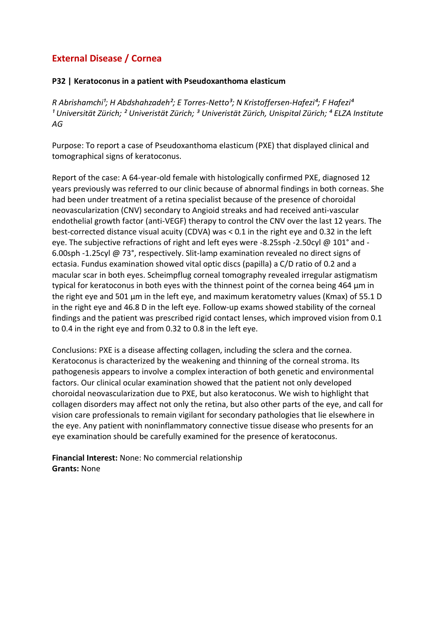#### **P32 | Keratoconus in a patient with Pseudoxanthoma elasticum**

*R Abrishamchi<sup>1</sup>; H Abdshahzadeh<sup>2</sup>; E Torres-Netto<sup>3</sup>; N Kristoffersen-Hafezi<sup>4</sup>; F Hafezi<sup>4</sup> ¹ Universität Zürich; ² Univeristät Zürich; ³ Univeristät Zürich, Unispital Zürich; ⁴ ELZA Institute AG*

Purpose: To report a case of Pseudoxanthoma elasticum (PXE) that displayed clinical and tomographical signs of keratoconus.

Report of the case: A 64-year-old female with histologically confirmed PXE, diagnosed 12 years previously was referred to our clinic because of abnormal findings in both corneas. She had been under treatment of a retina specialist because of the presence of choroidal neovascularization (CNV) secondary to Angioid streaks and had received anti-vascular endothelial growth factor (anti-VEGF) therapy to control the CNV over the last 12 years. The best-corrected distance visual acuity (CDVA) was < 0.1 in the right eye and 0.32 in the left eye. The subjective refractions of right and left eyes were -8.25sph -2.50cyl @ 101° and - 6.00sph -1.25cyl @ 73°, respectively. Slit-lamp examination revealed no direct signs of ectasia. Fundus examination showed vital optic discs (papilla) a C/D ratio of 0.2 and a macular scar in both eyes. Scheimpflug corneal tomography revealed irregular astigmatism typical for keratoconus in both eyes with the thinnest point of the cornea being 464 μm in the right eye and 501 μm in the left eye, and maximum keratometry values (Kmax) of 55.1 D in the right eye and 46.8 D in the left eye. Follow-up exams showed stability of the corneal findings and the patient was prescribed rigid contact lenses, which improved vision from 0.1 to 0.4 in the right eye and from 0.32 to 0.8 in the left eye.

Conclusions: PXE is a disease affecting collagen, including the sclera and the cornea. Keratoconus is characterized by the weakening and thinning of the corneal stroma. Its pathogenesis appears to involve a complex interaction of both genetic and environmental factors. Our clinical ocular examination showed that the patient not only developed choroidal neovascularization due to PXE, but also keratoconus. We wish to highlight that collagen disorders may affect not only the retina, but also other parts of the eye, and call for vision care professionals to remain vigilant for secondary pathologies that lie elsewhere in the eye. Any patient with noninflammatory connective tissue disease who presents for an eye examination should be carefully examined for the presence of keratoconus.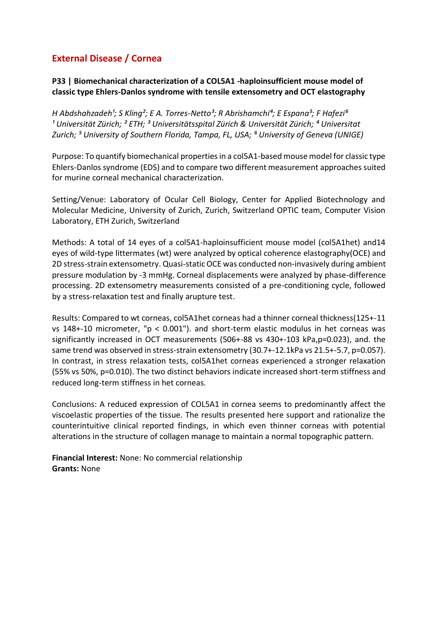## **P33 | Biomechanical characterization of a COL5A1 -haploinsufficient mouse model of classic type Ehlers-Danlos syndrome with tensile extensometry and OCT elastography**

*H* Abdshahzadeh<sup>1</sup>; S Kling<sup>2</sup>; E A. Torres-Netto<sup>3</sup>; R Abrishamchi<sup>4</sup>; E Espana<sup>5</sup>; F Hafezi<sup>6</sup> <sup>1</sup> Universität Zürich; <sup>2</sup> ETH; <sup>3</sup> Universitätsspital Zürich & Universität Zürich; <sup>4</sup> Universitat *Zurich; ⁵ University of Southern Florida, Tampa, FL, USA; ⁶ University of Geneva (UNIGE)*

Purpose: To quantify biomechanical properties in a col5A1-based mouse model for classic type Ehlers-Danlos syndrome (EDS) and to compare two different measurement approaches suited for murine corneal mechanical characterization.

Setting/Venue: Laboratory of Ocular Cell Biology, Center for Applied Biotechnology and Molecular Medicine, University of Zurich, Zurich, Switzerland OPTIC team, Computer Vision Laboratory, ETH Zurich, Switzerland

Methods: A total of 14 eyes of a col5A1-haploinsufficient mouse model (col5A1het) and14 eyes of wild-type littermates (wt) were analyzed by optical coherence elastography(OCE) and 2D stress-strain extensometry. Quasi-static OCE was conducted non-invasively during ambient pressure modulation by -3 mmHg. Corneal displacements were analyzed by phase-difference processing. 2D extensometry measurements consisted of a pre-conditioning cycle, followed by a stress-relaxation test and finally arupture test.

Results: Compared to wt corneas, col5A1het corneas had a thinner corneal thickness(125+-11 vs 148+-10 micrometer, "p < 0.001"). and short-term elastic modulus in het corneas was significantly increased in OCT measurements (506+-88 vs 430+-103 kPa,p=0.023), and. the same trend was observed in stress-strain extensometry (30.7+-12.1kPa vs 21.5+-5.7, p=0.057). In contrast, in stress relaxation tests, col5A1het corneas experienced a stronger relaxation (55% vs 50%, p=0.010). The two distinct behaviors indicate increased short-term stiffness and reduced long-term stiffness in het corneas.

Conclusions: A reduced expression of COL5A1 in cornea seems to predominantly affect the viscoelastic properties of the tissue. The results presented here support and rationalize the counterintuitive clinical reported findings, in which even thinner corneas with potential alterations in the structure of collagen manage to maintain a normal topographic pattern.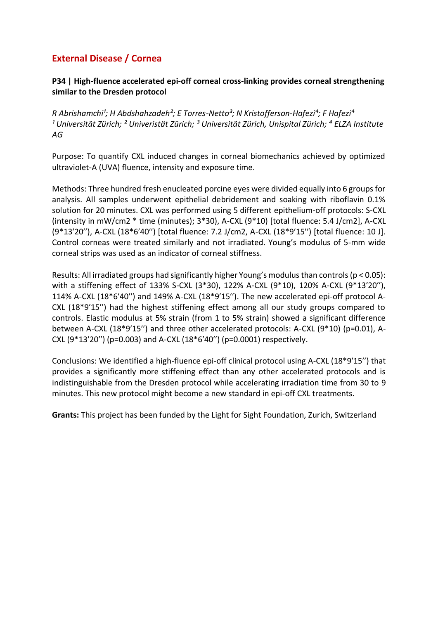## **P34 | High-fluence accelerated epi-off corneal cross-linking provides corneal strengthening similar to the Dresden protocol**

*R Abrishamchi<sup>1</sup>; H Abdshahzadeh<sup>2</sup>; E Torres-Netto<sup>3</sup>; N Kristofferson-Hafezi<sup>4</sup>; F Hafezi<sup>4</sup> ¹ Universität Zürich; ² Univeristät Zürich; ³ Universität Zürich, Unispital Zürich; ⁴ ELZA Institute AG*

Purpose: To quantify CXL induced changes in corneal biomechanics achieved by optimized ultraviolet-A (UVA) fluence, intensity and exposure time.

Methods: Three hundred fresh enucleated porcine eyes were divided equally into 6 groups for analysis. All samples underwent epithelial debridement and soaking with riboflavin 0.1% solution for 20 minutes. CXL was performed using 5 different epithelium-off protocols: S-CXL (intensity in mW/cm2 \* time (minutes); 3\*30), A-CXL (9\*10) [total fluence: 5.4 J/cm2], A-CXL (9\*13′20′′), A-CXL (18\*6′40′′) [total fluence: 7.2 J/cm2, A-CXL (18\*9′15′′) [total fluence: 10 J]. Control corneas were treated similarly and not irradiated. Young's modulus of 5-mm wide corneal strips was used as an indicator of corneal stiffness.

Results: All irradiated groups had significantly higher Young's modulus than controls (p < 0.05): with a stiffening effect of 133% S-CXL (3\*30), 122% A-CXL (9\*10), 120% A-CXL (9\*13′20′′), 114% A-CXL (18\*6′40′′) and 149% A-CXL (18\*9′15′′). The new accelerated epi-off protocol A-CXL (18\*9′15′′) had the highest stiffening effect among all our study groups compared to controls. Elastic modulus at 5% strain (from 1 to 5% strain) showed a significant difference between A-CXL (18\*9′15′′) and three other accelerated protocols: A-CXL (9\*10) (p=0.01), A-CXL (9\*13′20′′) (p=0.003) and A-CXL (18\*6′40′′) (p=0.0001) respectively.

Conclusions: We identified a high-fluence epi-off clinical protocol using A-CXL (18\*9′15′′) that provides a significantly more stiffening effect than any other accelerated protocols and is indistinguishable from the Dresden protocol while accelerating irradiation time from 30 to 9 minutes. This new protocol might become a new standard in epi-off CXL treatments.

**Grants:** This project has been funded by the Light for Sight Foundation, Zurich, Switzerland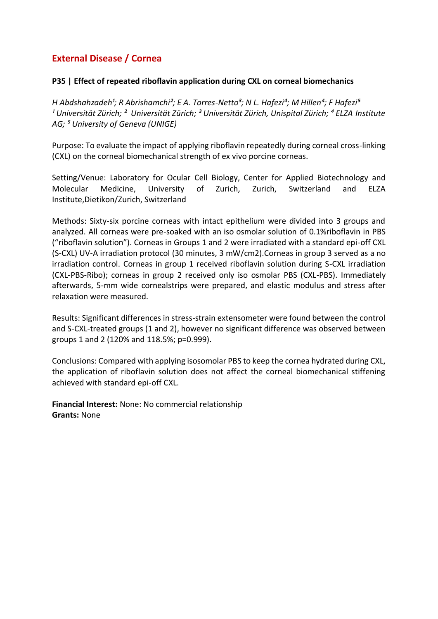### **P35 | Effect of repeated riboflavin application during CXL on corneal biomechanics**

*H Abdshahzadeh<sup>1</sup>; R Abrishamchi<sup>2</sup>; E A. Torres-Netto<sup>3</sup>; N L. Hafezi<sup>4</sup>; M Hillen<sup>4</sup>; F Hafezi<sup>5</sup> ¹ Universität Zürich; ² Universität Zürich; ³ Universität Zürich, Unispital Zürich; ⁴ ELZA Institute AG; ⁵ University of Geneva (UNIGE)*

Purpose: To evaluate the impact of applying riboflavin repeatedly during corneal cross-linking (CXL) on the corneal biomechanical strength of ex vivo porcine corneas.

Setting/Venue: Laboratory for Ocular Cell Biology, Center for Applied Biotechnology and Molecular Medicine, University of Zurich, Zurich, Switzerland and ELZA Institute,Dietikon/Zurich, Switzerland

Methods: Sixty-six porcine corneas with intact epithelium were divided into 3 groups and analyzed. All corneas were pre-soaked with an iso osmolar solution of 0.1%riboflavin in PBS ("riboflavin solution"). Corneas in Groups 1 and 2 were irradiated with a standard epi-off CXL (S-CXL) UV-A irradiation protocol (30 minutes, 3 mW/cm2).Corneas in group 3 served as a no irradiation control. Corneas in group 1 received riboflavin solution during S-CXL irradiation (CXL-PBS-Ribo); corneas in group 2 received only iso osmolar PBS (CXL-PBS). Immediately afterwards, 5-mm wide cornealstrips were prepared, and elastic modulus and stress after relaxation were measured.

Results: Significant differences in stress-strain extensometer were found between the control and S-CXL-treated groups (1 and 2), however no significant difference was observed between groups 1 and 2 (120% and 118.5%; p=0.999).

Conclusions: Compared with applying isosomolar PBS to keep the cornea hydrated during CXL, the application of riboflavin solution does not affect the corneal biomechanical stiffening achieved with standard epi-off CXL.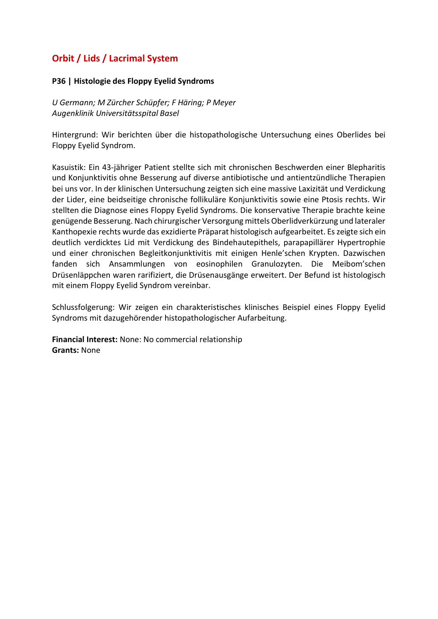# **Orbit / Lids / Lacrimal System**

#### **P36 | Histologie des Floppy Eyelid Syndroms**

*U Germann; M Zürcher Schüpfer; F Häring; P Meyer Augenklinik Universitätsspital Basel*

Hintergrund: Wir berichten über die histopathologische Untersuchung eines Oberlides bei Floppy Eyelid Syndrom.

Kasuistik: Ein 43-jähriger Patient stellte sich mit chronischen Beschwerden einer Blepharitis und Konjunktivitis ohne Besserung auf diverse antibiotische und antientzündliche Therapien bei uns vor. In der klinischen Untersuchung zeigten sich eine massive Laxizität und Verdickung der Lider, eine beidseitige chronische follikuläre Konjunktivitis sowie eine Ptosis rechts. Wir stellten die Diagnose eines Floppy Eyelid Syndroms. Die konservative Therapie brachte keine genügende Besserung. Nach chirurgischer Versorgung mittels Oberlidverkürzung und lateraler Kanthopexie rechts wurde das exzidierte Präparat histologisch aufgearbeitet. Es zeigte sich ein deutlich verdicktes Lid mit Verdickung des Bindehautepithels, parapapillärer Hypertrophie und einer chronischen Begleitkonjunktivitis mit einigen Henle'schen Krypten. Dazwischen fanden sich Ansammlungen von eosinophilen Granulozyten. Die Meibom'schen Drüsenläppchen waren rarifiziert, die Drüsenausgänge erweitert. Der Befund ist histologisch mit einem Floppy Eyelid Syndrom vereinbar.

Schlussfolgerung: Wir zeigen ein charakteristisches klinisches Beispiel eines Floppy Eyelid Syndroms mit dazugehörender histopathologischer Aufarbeitung.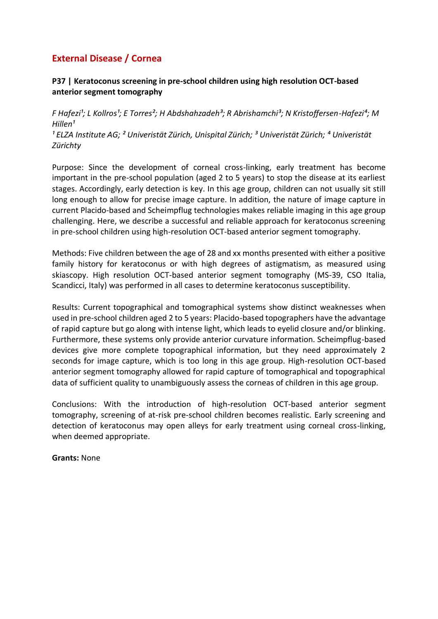### **P37 | Keratoconus screening in pre-school children using high resolution OCT-based anterior segment tomography**

*F* Hafezi<sup>1</sup>; L Kollros<sup>1</sup>; E Torres<sup>2</sup>; H Abdshahzadeh<sup>3</sup>; R Abrishamchi<sup>3</sup>; N Kristoffersen-Hafezi<sup>4</sup>; M *Hillen¹ ¹ ELZA Institute AG; ² Univeristät Zürich, Unispital Zürich; ³ Univeristät Zürich; ⁴ Univeristät* 

*Zürichty*

Purpose: Since the development of corneal cross-linking, early treatment has become important in the pre-school population (aged 2 to 5 years) to stop the disease at its earliest stages. Accordingly, early detection is key. In this age group, children can not usually sit still long enough to allow for precise image capture. In addition, the nature of image capture in current Placido-based and Scheimpflug technologies makes reliable imaging in this age group challenging. Here, we describe a successful and reliable approach for keratoconus screening in pre-school children using high-resolution OCT-based anterior segment tomography.

Methods: Five children between the age of 28 and xx months presented with either a positive family history for keratoconus or with high degrees of astigmatism, as measured using skiascopy. High resolution OCT-based anterior segment tomography (MS-39, CSO Italia, Scandicci, Italy) was performed in all cases to determine keratoconus susceptibility.

Results: Current topographical and tomographical systems show distinct weaknesses when used in pre-school children aged 2 to 5 years: Placido-based topographers have the advantage of rapid capture but go along with intense light, which leads to eyelid closure and/or blinking. Furthermore, these systems only provide anterior curvature information. Scheimpflug-based devices give more complete topographical information, but they need approximately 2 seconds for image capture, which is too long in this age group. High-resolution OCT-based anterior segment tomography allowed for rapid capture of tomographical and topographical data of sufficient quality to unambiguously assess the corneas of children in this age group.

Conclusions: With the introduction of high-resolution OCT-based anterior segment tomography, screening of at-risk pre-school children becomes realistic. Early screening and detection of keratoconus may open alleys for early treatment using corneal cross-linking, when deemed appropriate.

**Grants:** None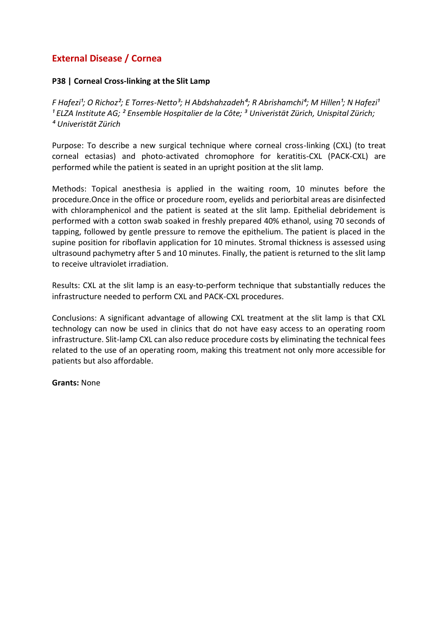# **External Disease / Cornea**

#### **P38 | Corneal Cross-linking at the Slit Lamp**

*F* Hafezi<sup>1</sup>; O Richoz<sup>2</sup>; E Torres-Netto<sup>3</sup>; H Abdshahzadeh<sup>4</sup>; R Abrishamchi<sup>4</sup>; M Hillen<sup>1</sup>; N Hafezi<sup>1</sup> *¹ ELZA Institute AG; ² Ensemble Hospitalier de la Côte; ³ Univeristät Zürich, Unispital Zürich; ⁴ Univeristät Zürich*

Purpose: To describe a new surgical technique where corneal cross-linking (CXL) (to treat corneal ectasias) and photo-activated chromophore for keratitis-CXL (PACK-CXL) are performed while the patient is seated in an upright position at the slit lamp.

Methods: Topical anesthesia is applied in the waiting room, 10 minutes before the procedure.Once in the office or procedure room, eyelids and periorbital areas are disinfected with chloramphenicol and the patient is seated at the slit lamp. Epithelial debridement is performed with a cotton swab soaked in freshly prepared 40% ethanol, using 70 seconds of tapping, followed by gentle pressure to remove the epithelium. The patient is placed in the supine position for riboflavin application for 10 minutes. Stromal thickness is assessed using ultrasound pachymetry after 5 and 10 minutes. Finally, the patient is returned to the slit lamp to receive ultraviolet irradiation.

Results: CXL at the slit lamp is an easy-to-perform technique that substantially reduces the infrastructure needed to perform CXL and PACK-CXL procedures.

Conclusions: A significant advantage of allowing CXL treatment at the slit lamp is that CXL technology can now be used in clinics that do not have easy access to an operating room infrastructure. Slit-lamp CXL can also reduce procedure costs by eliminating the technical fees related to the use of an operating room, making this treatment not only more accessible for patients but also affordable.

#### **Grants:** None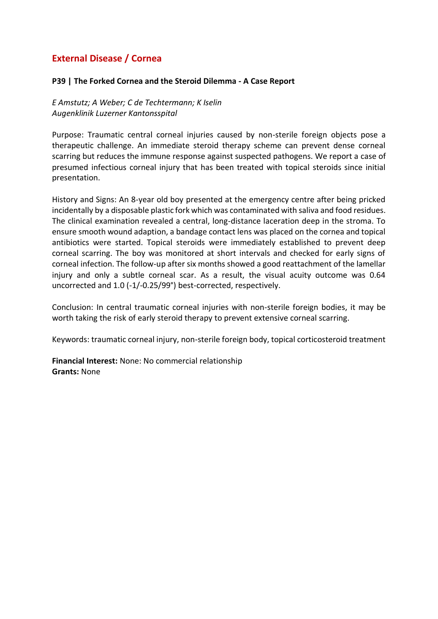# **External Disease / Cornea**

#### **P39 | The Forked Cornea and the Steroid Dilemma - A Case Report**

*E Amstutz; A Weber; C de Techtermann; K Iselin Augenklinik Luzerner Kantonsspital*

Purpose: Traumatic central corneal injuries caused by non-sterile foreign objects pose a therapeutic challenge. An immediate steroid therapy scheme can prevent dense corneal scarring but reduces the immune response against suspected pathogens. We report a case of presumed infectious corneal injury that has been treated with topical steroids since initial presentation.

History and Signs: An 8-year old boy presented at the emergency centre after being pricked incidentally by a disposable plastic fork which was contaminated with saliva and food residues. The clinical examination revealed a central, long-distance laceration deep in the stroma. To ensure smooth wound adaption, a bandage contact lens was placed on the cornea and topical antibiotics were started. Topical steroids were immediately established to prevent deep corneal scarring. The boy was monitored at short intervals and checked for early signs of corneal infection. The follow-up after six months showed a good reattachment of the lamellar injury and only a subtle corneal scar. As a result, the visual acuity outcome was 0.64 uncorrected and 1.0 (-1/-0.25/99°) best-corrected, respectively.

Conclusion: In central traumatic corneal injuries with non-sterile foreign bodies, it may be worth taking the risk of early steroid therapy to prevent extensive corneal scarring.

Keywords: traumatic corneal injury, non-sterile foreign body, topical corticosteroid treatment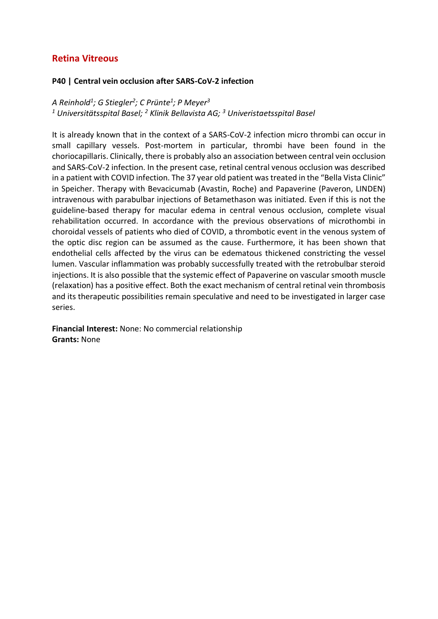### **Retina Vitreous**

#### **P40 | Central vein occlusion after SARS-CoV-2 infection**

*A Reinhold<sup>1</sup> ; G Stiegler<sup>2</sup> ; C Prünte<sup>1</sup> ; P Meyer<sup>3</sup> <sup>1</sup> Universitätsspital Basel; <sup>2</sup> Klinik Bellavista AG; <sup>3</sup> Univeristaetsspital Basel*

It is already known that in the context of a SARS-CoV-2 infection micro thrombi can occur in small capillary vessels. Post-mortem in particular, thrombi have been found in the choriocapillaris. Clinically, there is probably also an association between central vein occlusion and SARS-CoV-2 infection. In the present case, retinal central venous occlusion was described in a patient with COVID infection. The 37 year old patient was treated in the "Bella Vista Clinic" in Speicher. Therapy with Bevacicumab (Avastin, Roche) and Papaverine (Paveron, LINDEN) intravenous with parabulbar injections of Betamethason was initiated. Even if this is not the guideline-based therapy for macular edema in central venous occlusion, complete visual rehabilitation occurred. In accordance with the previous observations of microthombi in choroidal vessels of patients who died of COVID, a thrombotic event in the venous system of the optic disc region can be assumed as the cause. Furthermore, it has been shown that endothelial cells affected by the virus can be edematous thickened constricting the vessel lumen. Vascular inflammation was probably successfully treated with the retrobulbar steroid injections. It is also possible that the systemic effect of Papaverine on vascular smooth muscle (relaxation) has a positive effect. Both the exact mechanism of central retinal vein thrombosis and its therapeutic possibilities remain speculative and need to be investigated in larger case series.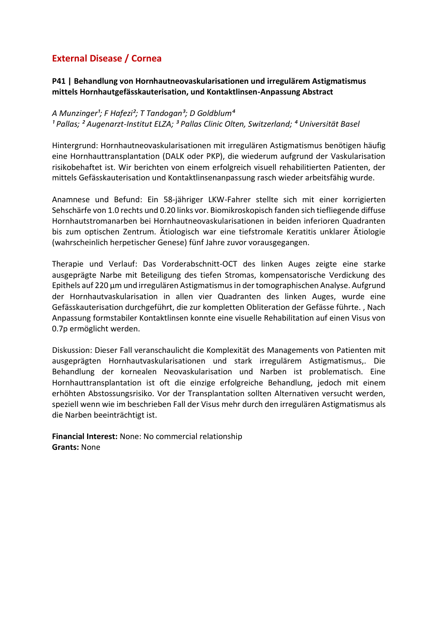# **External Disease / Cornea**

### **P41 | Behandlung von Hornhautneovaskularisationen und irregulärem Astigmatismus mittels Hornhautgefässkauterisation, und Kontaktlinsen-Anpassung Abstract**

#### A Munzinger<sup>1</sup>; F Hafezi<sup>2</sup>; T Tandogan<sup>3</sup>; D Goldblum<sup>4</sup>

*¹ Pallas; ² Augenarzt-Institut ELZA; ³ Pallas Clinic Olten, Switzerland; ⁴ Universität Basel*

Hintergrund: Hornhautneovaskularisationen mit irregulären Astigmatismus benötigen häufig eine Hornhauttransplantation (DALK oder PKP), die wiederum aufgrund der Vaskularisation risikobehaftet ist. Wir berichten von einem erfolgreich visuell rehabilitierten Patienten, der mittels Gefässkauterisation und Kontaktlinsenanpassung rasch wieder arbeitsfähig wurde.

Anamnese und Befund: Ein 58-jähriger LKW-Fahrer stellte sich mit einer korrigierten Sehschärfe von 1.0 rechts und 0.20 links vor. Biomikroskopisch fanden sich tiefliegende diffuse Hornhautstromanarben bei Hornhautneovaskularisationen in beiden inferioren Quadranten bis zum optischen Zentrum. Ätiologisch war eine tiefstromale Keratitis unklarer Ätiologie (wahrscheinlich herpetischer Genese) fünf Jahre zuvor vorausgegangen.

Therapie und Verlauf: Das Vorderabschnitt-OCT des linken Auges zeigte eine starke ausgeprägte Narbe mit Beteiligung des tiefen Stromas, kompensatorische Verdickung des Epithels auf 220 μm und irregulären Astigmatismus in der tomographischen Analyse. Aufgrund der Hornhautvaskularisation in allen vier Quadranten des linken Auges, wurde eine Gefässkauterisation durchgeführt, die zur kompletten Obliteration der Gefässe führte. , Nach Anpassung formstabiler Kontaktlinsen konnte eine visuelle Rehabilitation auf einen Visus von 0.7p ermöglicht werden.

Diskussion: Dieser Fall veranschaulicht die Komplexität des Managements von Patienten mit ausgeprägten Hornhautvaskularisationen und stark irregulärem Astigmatismus,. Die Behandlung der kornealen Neovaskularisation und Narben ist problematisch. Eine Hornhauttransplantation ist oft die einzige erfolgreiche Behandlung, jedoch mit einem erhöhten Abstossungsrisiko. Vor der Transplantation sollten Alternativen versucht werden, speziell wenn wie im beschrieben Fall der Visus mehr durch den irregulären Astigmatismus als die Narben beeinträchtigt ist.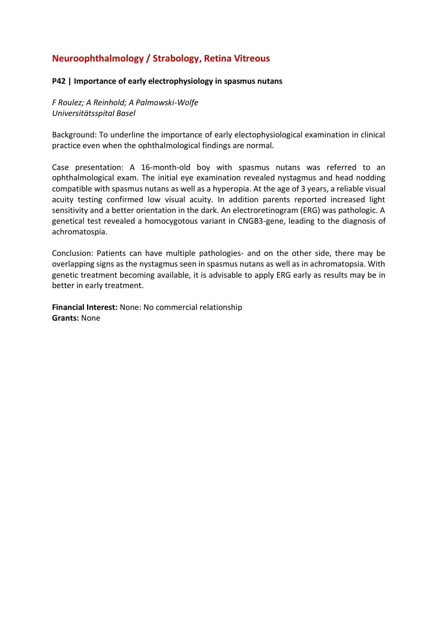# **Neuroophthalmology / Strabology, Retina Vitreous**

#### **P42 | Importance of early electrophysiology in spasmus nutans**

*F Roulez; A Reinhold; A Palmowski-Wolfe Universitätsspital Basel*

Background: To underline the importance of early electophysiological examination in clinical practice even when the ophthalmological findings are normal.

Case presentation: A 16-month-old boy with spasmus nutans was referred to an ophthalmological exam. The initial eye examination revealed nystagmus and head nodding compatible with spasmus nutans as well as a hyperopia. At the age of 3 years, a reliable visual acuity testing confirmed low visual acuity. In addition parents reported increased light sensitivity and a better orientation in the dark. An electroretinogram (ERG) was pathologic. A genetical test revealed a homocygotous variant in CNGB3-gene, leading to the diagnosis of achromatospia.

Conclusion: Patients can have multiple pathologies- and on the other side, there may be overlapping signs as the nystagmus seen in spasmus nutans as well as in achromatopsia. With genetic treatment becoming available, it is advisable to apply ERG early as results may be in better in early treatment.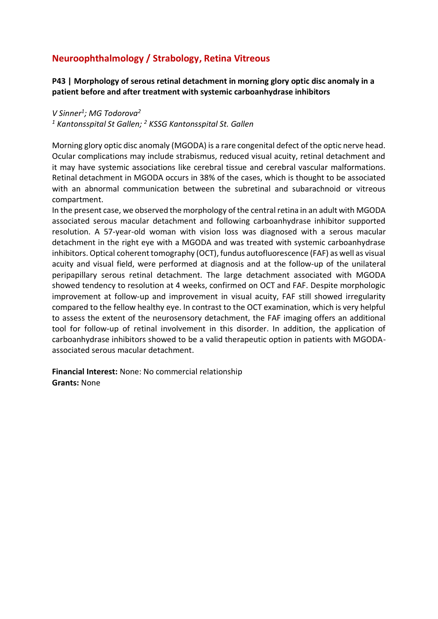# **Neuroophthalmology / Strabology, Retina Vitreous**

**P43 | Morphology of serous retinal detachment in morning glory optic disc anomaly in a patient before and after treatment with systemic carboanhydrase inhibitors**

*V Sinner<sup>1</sup> ; MG Todorova<sup>2</sup> <sup>1</sup> Kantonsspital St Gallen; <sup>2</sup> KSSG Kantonsspital St. Gallen*

Morning glory optic disc anomaly (MGODA) is a rare congenital defect of the optic nerve head. Ocular complications may include strabismus, reduced visual acuity, retinal detachment and it may have systemic associations like cerebral tissue and cerebral vascular malformations. Retinal detachment in MGODA occurs in 38% of the cases, which is thought to be associated with an abnormal communication between the subretinal and subarachnoid or vitreous compartment.

In the present case, we observed the morphology of the central retina in an adult with MGODA associated serous macular detachment and following carboanhydrase inhibitor supported resolution. A 57-year-old woman with vision loss was diagnosed with a serous macular detachment in the right eye with a MGODA and was treated with systemic carboanhydrase inhibitors. Optical coherent tomography (OCT), fundus autofluorescence (FAF) as well as visual acuity and visual field, were performed at diagnosis and at the follow-up of the unilateral peripapillary serous retinal detachment. The large detachment associated with MGODA showed tendency to resolution at 4 weeks, confirmed on OCT and FAF. Despite morphologic improvement at follow-up and improvement in visual acuity, FAF still showed irregularity compared to the fellow healthy eye. In contrast to the OCT examination, which is very helpful to assess the extent of the neurosensory detachment, the FAF imaging offers an additional tool for follow-up of retinal involvement in this disorder. In addition, the application of carboanhydrase inhibitors showed to be a valid therapeutic option in patients with MGODAassociated serous macular detachment.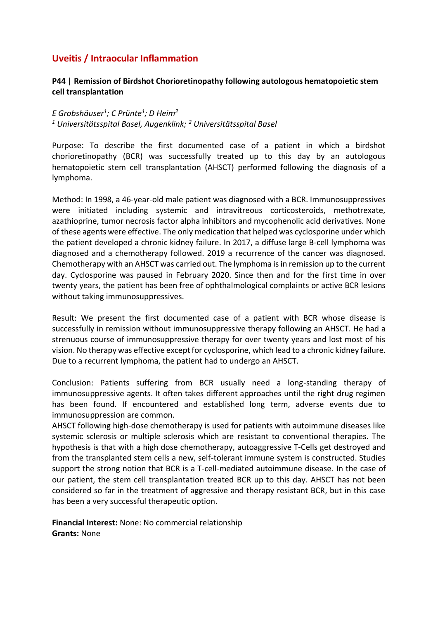### **Uveitis / Intraocular Inflammation**

### **P44 | Remission of Birdshot Chorioretinopathy following autologous hematopoietic stem cell transplantation**

*E Grobshäuser<sup>1</sup> ; C Prünte<sup>1</sup> ; D Heim<sup>2</sup> <sup>1</sup> Universitätsspital Basel, Augenklink; <sup>2</sup> Universitätsspital Basel*

Purpose: To describe the first documented case of a patient in which a birdshot chorioretinopathy (BCR) was successfully treated up to this day by an autologous hematopoietic stem cell transplantation (AHSCT) performed following the diagnosis of a lymphoma.

Method: In 1998, a 46-year-old male patient was diagnosed with a BCR. Immunosuppressives were initiated including systemic and intravitreous corticosteroids, methotrexate, azathioprine, tumor necrosis factor alpha inhibitors and mycophenolic acid derivatives. None of these agents were effective. The only medication that helped was cyclosporine under which the patient developed a chronic kidney failure. In 2017, a diffuse large B-cell lymphoma was diagnosed and a chemotherapy followed. 2019 a recurrence of the cancer was diagnosed. Chemotherapy with an AHSCT was carried out. The lymphoma is in remission up to the current day. Cyclosporine was paused in February 2020. Since then and for the first time in over twenty years, the patient has been free of ophthalmological complaints or active BCR lesions without taking immunosuppressives.

Result: We present the first documented case of a patient with BCR whose disease is successfully in remission without immunosuppressive therapy following an AHSCT. He had a strenuous course of immunosuppressive therapy for over twenty years and lost most of his vision. No therapy was effective except for cyclosporine, which lead to a chronic kidney failure. Due to a recurrent lymphoma, the patient had to undergo an AHSCT.

Conclusion: Patients suffering from BCR usually need a long-standing therapy of immunosuppressive agents. It often takes different approaches until the right drug regimen has been found. If encountered and established long term, adverse events due to immunosuppression are common.

AHSCT following high-dose chemotherapy is used for patients with autoimmune diseases like systemic sclerosis or multiple sclerosis which are resistant to conventional therapies. The hypothesis is that with a high dose chemotherapy, autoaggressive T-Cells get destroyed and from the transplanted stem cells a new, self-tolerant immune system is constructed. Studies support the strong notion that BCR is a T-cell-mediated autoimmune disease. In the case of our patient, the stem cell transplantation treated BCR up to this day. AHSCT has not been considered so far in the treatment of aggressive and therapy resistant BCR, but in this case has been a very successful therapeutic option.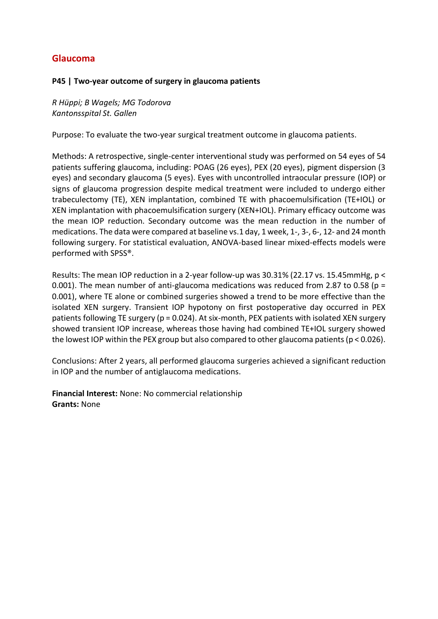## **Glaucoma**

### **P45 | Two-year outcome of surgery in glaucoma patients**

*R Hüppi; B Wagels; MG Todorova Kantonsspital St. Gallen*

Purpose: To evaluate the two-year surgical treatment outcome in glaucoma patients.

Methods: A retrospective, single-center interventional study was performed on 54 eyes of 54 patients suffering glaucoma, including: POAG (26 eyes), PEX (20 eyes), pigment dispersion (3 eyes) and secondary glaucoma (5 eyes). Eyes with uncontrolled intraocular pressure (IOP) or signs of glaucoma progression despite medical treatment were included to undergo either trabeculectomy (TE), XEN implantation, combined TE with phacoemulsification (TE+IOL) or XEN implantation with phacoemulsification surgery (XEN+IOL). Primary efficacy outcome was the mean IOP reduction. Secondary outcome was the mean reduction in the number of medications. The data were compared at baseline vs.1 day, 1 week, 1-, 3-, 6-, 12- and 24 month following surgery. For statistical evaluation, ANOVA-based linear mixed-effects models were performed with SPSS®.

Results: The mean IOP reduction in a 2-year follow-up was 30.31% (22.17 vs. 15.45mmHg, p < 0.001). The mean number of anti-glaucoma medications was reduced from 2.87 to 0.58 ( $p =$ 0.001), where TE alone or combined surgeries showed a trend to be more effective than the isolated XEN surgery. Transient IOP hypotony on first postoperative day occurred in PEX patients following TE surgery (p = 0.024). At six-month, PEX patients with isolated XEN surgery showed transient IOP increase, whereas those having had combined TE+IOL surgery showed the lowest IOP within the PEX group but also compared to other glaucoma patients (p < 0.026).

Conclusions: After 2 years, all performed glaucoma surgeries achieved a significant reduction in IOP and the number of antiglaucoma medications.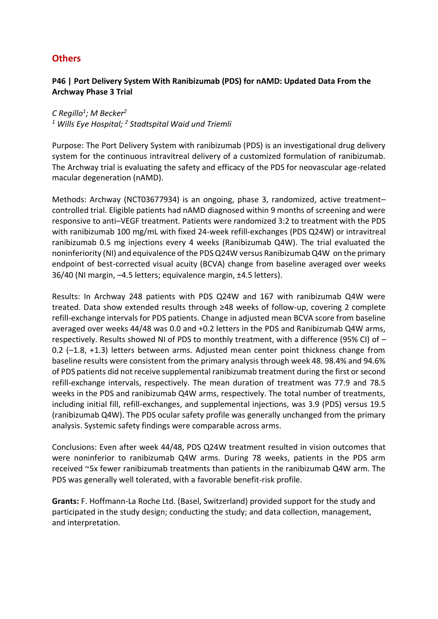### **Others**

### **P46 | Port Delivery System With Ranibizumab (PDS) for nAMD: Updated Data From the Archway Phase 3 Trial**

*C Regillo<sup>1</sup> ; M Becker<sup>2</sup> <sup>1</sup> Wills Eye Hospital; <sup>2</sup> Stadtspital Waid und Triemli*

Purpose: The Port Delivery System with ranibizumab (PDS) is an investigational drug delivery system for the continuous intravitreal delivery of a customized formulation of ranibizumab. The Archway trial is evaluating the safety and efficacy of the PDS for neovascular age-related macular degeneration (nAMD).

Methods: Archway (NCT03677934) is an ongoing, phase 3, randomized, active treatment– controlled trial. Eligible patients had nAMD diagnosed within 9 months of screening and were responsive to anti–VEGF treatment. Patients were randomized 3:2 to treatment with the PDS with ranibizumab 100 mg/mL with fixed 24-week refill-exchanges (PDS Q24W) or intravitreal ranibizumab 0.5 mg injections every 4 weeks (Ranibizumab Q4W). The trial evaluated the noninferiority (NI) and equivalence of the PDS Q24W versus Ranibizumab Q4W on the primary endpoint of best-corrected visual acuity (BCVA) change from baseline averaged over weeks 36/40 (NI margin, –4.5 letters; equivalence margin, ±4.5 letters).

Results: In Archway 248 patients with PDS Q24W and 167 with ranibizumab Q4W were treated. Data show extended results through ≥48 weeks of follow-up, covering 2 complete refill-exchange intervals for PDS patients. Change in adjusted mean BCVA score from baseline averaged over weeks 44/48 was 0.0 and +0.2 letters in the PDS and Ranibizumab Q4W arms, respectively. Results showed NI of PDS to monthly treatment, with a difference (95% CI) of – 0.2 (–1.8, +1.3) letters between arms. Adjusted mean center point thickness change from baseline results were consistent from the primary analysis through week 48. 98.4% and 94.6% of PDS patients did not receive supplemental ranibizumab treatment during the first or second refill-exchange intervals, respectively. The mean duration of treatment was 77.9 and 78.5 weeks in the PDS and ranibizumab Q4W arms, respectively. The total number of treatments, including initial fill, refill-exchanges, and supplemental injections, was 3.9 (PDS) versus 19.5 (ranibizumab Q4W). The PDS ocular safety profile was generally unchanged from the primary analysis. Systemic safety findings were comparable across arms.

Conclusions: Even after week 44/48, PDS Q24W treatment resulted in vision outcomes that were noninferior to ranibizumab Q4W arms. During 78 weeks, patients in the PDS arm received ~5x fewer ranibizumab treatments than patients in the ranibizumab Q4W arm. The PDS was generally well tolerated, with a favorable benefit-risk profile.

**Grants:** F. Hoffmann-La Roche Ltd. (Basel, Switzerland) provided support for the study and participated in the study design; conducting the study; and data collection, management, and interpretation.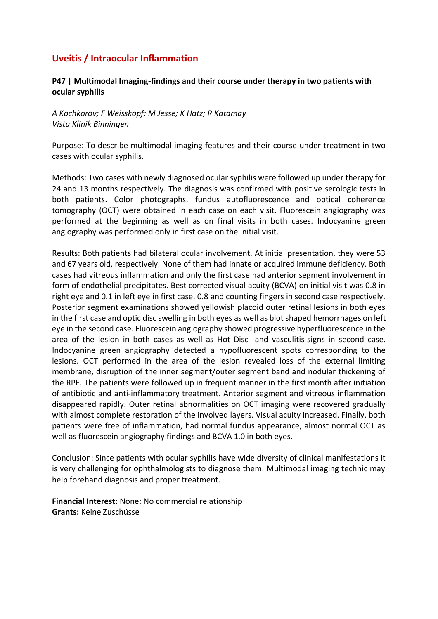## **Uveitis / Intraocular Inflammation**

### **P47 | Multimodal Imaging-findings and their course under therapy in two patients with ocular syphilis**

*A Kochkorov; F Weisskopf; M Jesse; K Hatz; R Katamay Vista Klinik Binningen*

Purpose: To describe multimodal imaging features and their course under treatment in two cases with ocular syphilis.

Methods: Two cases with newly diagnosed ocular syphilis were followed up under therapy for 24 and 13 months respectively. The diagnosis was confirmed with positive serologic tests in both patients. Color photographs, fundus autofluorescence and optical coherence tomography (OCT) were obtained in each case on each visit. Fluorescein angiography was performed at the beginning as well as on final visits in both cases. Indocyanine green angiography was performed only in first case on the initial visit.

Results: Both patients had bilateral ocular involvement. At initial presentation, they were 53 and 67 years old, respectively. None of them had innate or acquired immune deficiency. Both cases had vitreous inflammation and only the first case had anterior segment involvement in form of endothelial precipitates. Best corrected visual acuity (BCVA) on initial visit was 0.8 in right eye and 0.1 in left eye in first case, 0.8 and counting fingers in second case respectively. Posterior segment examinations showed yellowish placoid outer retinal lesions in both eyes in the first case and optic disc swelling in both eyes as well as blot shaped hemorrhages on left eye in the second case. Fluorescein angiography showed progressive hyperfluorescence in the area of the lesion in both cases as well as Hot Disc- and vasculitis-signs in second case. Indocyanine green angiography detected a hypofluorescent spots corresponding to the lesions. OCT performed in the area of the lesion revealed loss of the external limiting membrane, disruption of the inner segment/outer segment band and nodular thickening of the RPE. The patients were followed up in frequent manner in the first month after initiation of antibiotic and anti-inflammatory treatment. Anterior segment and vitreous inflammation disappeared rapidly. Outer retinal abnormalities on OCT imaging were recovered gradually with almost complete restoration of the involved layers. Visual acuity increased. Finally, both patients were free of inflammation, had normal fundus appearance, almost normal OCT as well as fluorescein angiography findings and BCVA 1.0 in both eyes.

Conclusion: Since patients with ocular syphilis have wide diversity of clinical manifestations it is very challenging for ophthalmologists to diagnose them. Multimodal imaging technic may help forehand diagnosis and proper treatment.

**Financial Interest:** None: No commercial relationship **Grants:** Keine Zuschüsse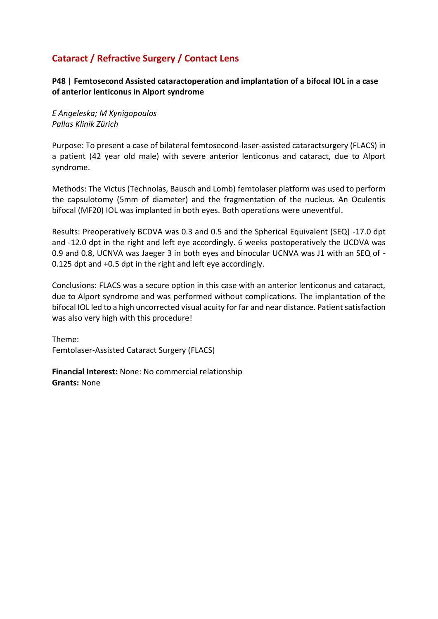# **Cataract / Refractive Surgery / Contact Lens**

**P48 | Femtosecond Assisted cataractoperation and implantation of a bifocal IOL in a case of anterior lenticonus in Alport syndrome**

*E Angeleska; M Kynigopoulos Pallas Klinik Zürich*

Purpose: To present a case of bilateral femtosecond-laser-assisted cataractsurgery (FLACS) in a patient (42 year old male) with severe anterior lenticonus and cataract, due to Alport syndrome.

Methods: The Victus (Technolas, Bausch and Lomb) femtolaser platform was used to perform the capsulotomy (5mm of diameter) and the fragmentation of the nucleus. An Oculentis bifocal (MF20) IOL was implanted in both eyes. Both operations were uneventful.

Results: Preoperatively BCDVA was 0.3 and 0.5 and the Spherical Equivalent (SEQ) -17.0 dpt and -12.0 dpt in the right and left eye accordingly. 6 weeks postoperatively the UCDVA was 0.9 and 0.8, UCNVA was Jaeger 3 in both eyes and binocular UCNVA was J1 with an SEQ of - 0.125 dpt and +0.5 dpt in the right and left eye accordingly.

Conclusions: FLACS was a secure option in this case with an anterior lenticonus and cataract, due to Alport syndrome and was performed without complications. The implantation of the bifocal IOL led to a high uncorrected visual acuity for far and near distance. Patient satisfaction was also very high with this procedure!

Theme: Femtolaser-Assisted Cataract Surgery (FLACS)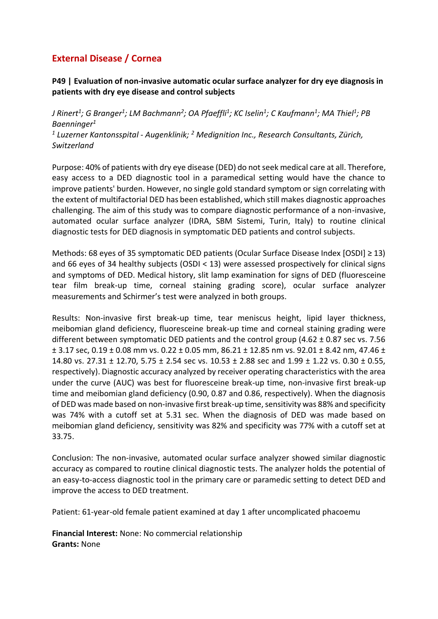# **External Disease / Cornea**

### **P49 | Evaluation of non-invasive automatic ocular surface analyzer for dry eye diagnosis in patients with dry eye disease and control subjects**

*J Rinert<sup>1</sup> ; G Branger<sup>1</sup> ; LM Bachmann<sup>2</sup> ; OA Pfaeffli<sup>1</sup> ; KC Iselin<sup>1</sup> ; C Kaufmann<sup>1</sup> ; MA Thiel<sup>1</sup> ; PB Baenninger<sup>1</sup>*

*1 Luzerner Kantonsspital - Augenklinik; <sup>2</sup> Medignition Inc., Research Consultants, Zürich, Switzerland*

Purpose: 40% of patients with dry eye disease (DED) do not seek medical care at all. Therefore, easy access to a DED diagnostic tool in a paramedical setting would have the chance to improve patients' burden. However, no single gold standard symptom or sign correlating with the extent of multifactorial DED has been established, which still makes diagnostic approaches challenging. The aim of this study was to compare diagnostic performance of a non-invasive, automated ocular surface analyzer (IDRA, SBM Sistemi, Turin, Italy) to routine clinical diagnostic tests for DED diagnosis in symptomatic DED patients and control subjects.

Methods: 68 eyes of 35 symptomatic DED patients (Ocular Surface Disease Index [OSDI] ≥ 13) and 66 eyes of 34 healthy subjects (OSDI < 13) were assessed prospectively for clinical signs and symptoms of DED. Medical history, slit lamp examination for signs of DED (fluoresceine tear film break-up time, corneal staining grading score), ocular surface analyzer measurements and Schirmer's test were analyzed in both groups.

Results: Non-invasive first break-up time, tear meniscus height, lipid layer thickness, meibomian gland deficiency, fluoresceine break-up time and corneal staining grading were different between symptomatic DED patients and the control group  $(4.62 \pm 0.87 \text{ sec} \text{ vs. } 7.56$  $\pm$  3.17 sec, 0.19  $\pm$  0.08 mm vs. 0.22  $\pm$  0.05 mm, 86.21  $\pm$  12.85 nm vs. 92.01  $\pm$  8.42 nm, 47.46  $\pm$ 14.80 vs. 27.31 ± 12.70, 5.75 ± 2.54 sec vs. 10.53 ± 2.88 sec and 1.99 ± 1.22 vs. 0.30 ± 0.55, respectively). Diagnostic accuracy analyzed by receiver operating characteristics with the area under the curve (AUC) was best for fluoresceine break-up time, non-invasive first break-up time and meibomian gland deficiency (0.90, 0.87 and 0.86, respectively). When the diagnosis of DED was made based on non-invasive first break-up time, sensitivity was 88% and specificity was 74% with a cutoff set at 5.31 sec. When the diagnosis of DED was made based on meibomian gland deficiency, sensitivity was 82% and specificity was 77% with a cutoff set at 33.75.

Conclusion: The non-invasive, automated ocular surface analyzer showed similar diagnostic accuracy as compared to routine clinical diagnostic tests. The analyzer holds the potential of an easy-to-access diagnostic tool in the primary care or paramedic setting to detect DED and improve the access to DED treatment.

Patient: 61-year-old female patient examined at day 1 after uncomplicated phacoemu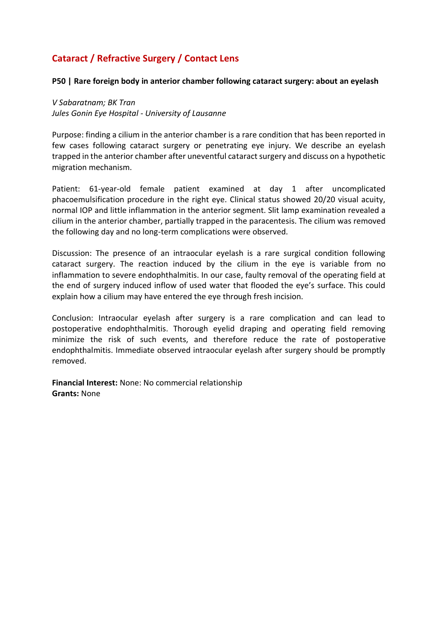# **Cataract / Refractive Surgery / Contact Lens**

#### **P50 | Rare foreign body in anterior chamber following cataract surgery: about an eyelash**

*V Sabaratnam; BK Tran Jules Gonin Eye Hospital - University of Lausanne*

Purpose: finding a cilium in the anterior chamber is a rare condition that has been reported in few cases following cataract surgery or penetrating eye injury. We describe an eyelash trapped in the anterior chamber after uneventful cataract surgery and discuss on a hypothetic migration mechanism.

Patient: 61-year-old female patient examined at day 1 after uncomplicated phacoemulsification procedure in the right eye. Clinical status showed 20/20 visual acuity, normal IOP and little inflammation in the anterior segment. Slit lamp examination revealed a cilium in the anterior chamber, partially trapped in the paracentesis. The cilium was removed the following day and no long-term complications were observed.

Discussion: The presence of an intraocular eyelash is a rare surgical condition following cataract surgery. The reaction induced by the cilium in the eye is variable from no inflammation to severe endophthalmitis. In our case, faulty removal of the operating field at the end of surgery induced inflow of used water that flooded the eye's surface. This could explain how a cilium may have entered the eye through fresh incision.

Conclusion: Intraocular eyelash after surgery is a rare complication and can lead to postoperative endophthalmitis. Thorough eyelid draping and operating field removing minimize the risk of such events, and therefore reduce the rate of postoperative endophthalmitis. Immediate observed intraocular eyelash after surgery should be promptly removed.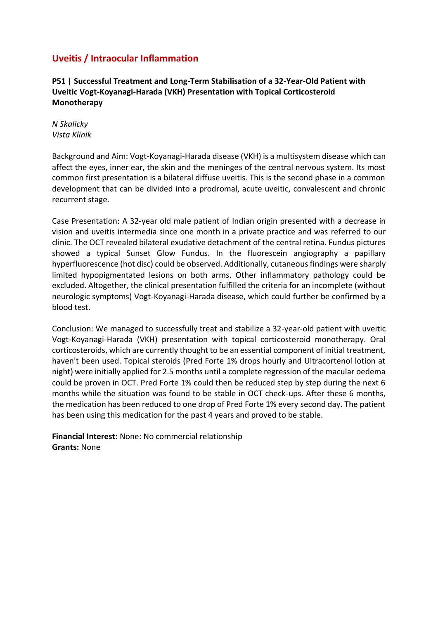# **Uveitis / Intraocular Inflammation**

**P51 | Successful Treatment and Long-Term Stabilisation of a 32-Year-Old Patient with Uveitic Vogt-Koyanagi-Harada (VKH) Presentation with Topical Corticosteroid Monotherapy**

*N Skalicky Vista Klinik*

Background and Aim: Vogt-Koyanagi-Harada disease (VKH) is a multisystem disease which can affect the eyes, inner ear, the skin and the meninges of the central nervous system. Its most common first presentation is a bilateral diffuse uveitis. This is the second phase in a common development that can be divided into a prodromal, acute uveitic, convalescent and chronic recurrent stage.

Case Presentation: A 32-year old male patient of Indian origin presented with a decrease in vision and uveitis intermedia since one month in a private practice and was referred to our clinic. The OCT revealed bilateral exudative detachment of the central retina. Fundus pictures showed a typical Sunset Glow Fundus. In the fluorescein angiography a papillary hyperfluorescence (hot disc) could be observed. Additionally, cutaneous findings were sharply limited hypopigmentated lesions on both arms. Other inflammatory pathology could be excluded. Altogether, the clinical presentation fulfilled the criteria for an incomplete (without neurologic symptoms) Vogt-Koyanagi-Harada disease, which could further be confirmed by a blood test.

Conclusion: We managed to successfully treat and stabilize a 32-year-old patient with uveitic Vogt-Koyanagi-Harada (VKH) presentation with topical corticosteroid monotherapy. Oral corticosteroids, which are currently thought to be an essential component of initial treatment, haven't been used. Topical steroids (Pred Forte 1% drops hourly and Ultracortenol lotion at night) were initially applied for 2.5 months until a complete regression of the macular oedema could be proven in OCT. Pred Forte 1% could then be reduced step by step during the next 6 months while the situation was found to be stable in OCT check-ups. After these 6 months, the medication has been reduced to one drop of Pred Forte 1% every second day. The patient has been using this medication for the past 4 years and proved to be stable.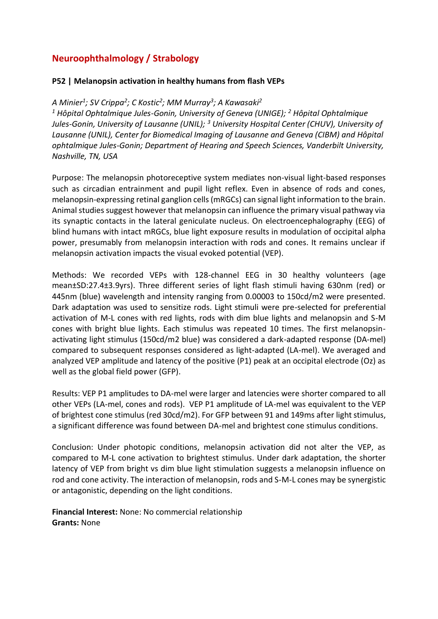# **Neuroophthalmology / Strabology**

#### **P52 | Melanopsin activation in healthy humans from flash VEPs**

### *A Minier<sup>1</sup> ; SV Crippa<sup>2</sup> ; C Kostic<sup>2</sup> ; MM Murray<sup>3</sup> ; A Kawasaki<sup>2</sup>*

*<sup>1</sup> Hôpital Ophtalmique Jules-Gonin, University of Geneva (UNIGE); <sup>2</sup> Hôpital Ophtalmique Jules-Gonin, University of Lausanne (UNIL); <sup>3</sup> University Hospital Center (CHUV), University of Lausanne (UNIL), Center for Biomedical Imaging of Lausanne and Geneva (CIBM) and Hôpital ophtalmique Jules-Gonin; Department of Hearing and Speech Sciences, Vanderbilt University, Nashville, TN, USA*

Purpose: The melanopsin photoreceptive system mediates non-visual light-based responses such as circadian entrainment and pupil light reflex. Even in absence of rods and cones, melanopsin-expressing retinal ganglion cells (mRGCs) can signal light information to the brain. Animal studies suggest however that melanopsin can influence the primary visual pathway via its synaptic contacts in the lateral geniculate nucleus. On electroencephalography (EEG) of blind humans with intact mRGCs, blue light exposure results in modulation of occipital alpha power, presumably from melanopsin interaction with rods and cones. It remains unclear if melanopsin activation impacts the visual evoked potential (VEP).

Methods: We recorded VEPs with 128-channel EEG in 30 healthy volunteers (age mean±SD:27.4±3.9yrs). Three different series of light flash stimuli having 630nm (red) or 445nm (blue) wavelength and intensity ranging from 0.00003 to 150cd/m2 were presented. Dark adaptation was used to sensitize rods. Light stimuli were pre-selected for preferential activation of M-L cones with red lights, rods with dim blue lights and melanopsin and S-M cones with bright blue lights. Each stimulus was repeated 10 times. The first melanopsinactivating light stimulus (150cd/m2 blue) was considered a dark-adapted response (DA-mel) compared to subsequent responses considered as light-adapted (LA-mel). We averaged and analyzed VEP amplitude and latency of the positive (P1) peak at an occipital electrode (Oz) as well as the global field power (GFP).

Results: VEP P1 amplitudes to DA-mel were larger and latencies were shorter compared to all other VEPs (LA-mel, cones and rods). VEP P1 amplitude of LA-mel was equivalent to the VEP of brightest cone stimulus (red 30cd/m2). For GFP between 91 and 149ms after light stimulus, a significant difference was found between DA-mel and brightest cone stimulus conditions.

Conclusion: Under photopic conditions, melanopsin activation did not alter the VEP, as compared to M-L cone activation to brightest stimulus. Under dark adaptation, the shorter latency of VEP from bright vs dim blue light stimulation suggests a melanopsin influence on rod and cone activity. The interaction of melanopsin, rods and S-M-L cones may be synergistic or antagonistic, depending on the light conditions.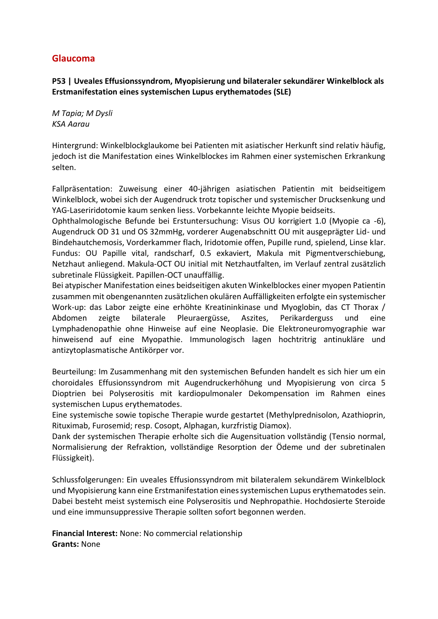### **Glaucoma**

**P53 | Uveales Effusionssyndrom, Myopisierung und bilateraler sekundärer Winkelblock als Erstmanifestation eines systemischen Lupus erythematodes (SLE)**

*M Tapia; M Dysli KSA Aarau*

Hintergrund: Winkelblockglaukome bei Patienten mit asiatischer Herkunft sind relativ häufig, jedoch ist die Manifestation eines Winkelblockes im Rahmen einer systemischen Erkrankung selten.

Fallpräsentation: Zuweisung einer 40-jährigen asiatischen Patientin mit beidseitigem Winkelblock, wobei sich der Augendruck trotz topischer und systemischer Drucksenkung und YAG-Laseriridotomie kaum senken liess. Vorbekannte leichte Myopie beidseits.

Ophthalmologische Befunde bei Erstuntersuchung: Visus OU korrigiert 1.0 (Myopie ca -6), Augendruck OD 31 und OS 32mmHg, vorderer Augenabschnitt OU mit ausgeprägter Lid- und Bindehautchemosis, Vorderkammer flach, Iridotomie offen, Pupille rund, spielend, Linse klar. Fundus: OU Papille vital, randscharf, 0.5 exkaviert, Makula mit Pigmentverschiebung, Netzhaut anliegend. Makula-OCT OU initial mit Netzhautfalten, im Verlauf zentral zusätzlich subretinale Flüssigkeit. Papillen-OCT unauffällig.

Bei atypischer Manifestation eines beidseitigen akuten Winkelblockes einer myopen Patientin zusammen mit obengenannten zusätzlichen okulären Auffälligkeiten erfolgte ein systemischer Work-up: das Labor zeigte eine erhöhte Kreatininkinase und Myoglobin, das CT Thorax / Abdomen zeigte bilaterale Pleuraergüsse, Aszites, Perikarderguss und eine Lymphadenopathie ohne Hinweise auf eine Neoplasie. Die Elektroneuromyographie war hinweisend auf eine Myopathie. Immunologisch lagen hochtritrig antinukläre und antizytoplasmatische Antikörper vor.

Beurteilung: Im Zusammenhang mit den systemischen Befunden handelt es sich hier um ein choroidales Effusionssyndrom mit Augendruckerhöhung und Myopisierung von circa 5 Dioptrien bei Polyserositis mit kardiopulmonaler Dekompensation im Rahmen eines systemischen Lupus erythematodes.

Eine systemische sowie topische Therapie wurde gestartet (Methylprednisolon, Azathioprin, Rituximab, Furosemid; resp. Cosopt, Alphagan, kurzfristig Diamox).

Dank der systemischen Therapie erholte sich die Augensituation vollständig (Tensio normal, Normalisierung der Refraktion, vollständige Resorption der Ödeme und der subretinalen Flüssigkeit).

Schlussfolgerungen: Ein uveales Effusionssyndrom mit bilateralem sekundärem Winkelblock und Myopisierung kann eine Erstmanifestation eines systemischen Lupus erythematodes sein. Dabei besteht meist systemisch eine Polyserositis und Nephropathie. Hochdosierte Steroide und eine immunsuppressive Therapie sollten sofort begonnen werden.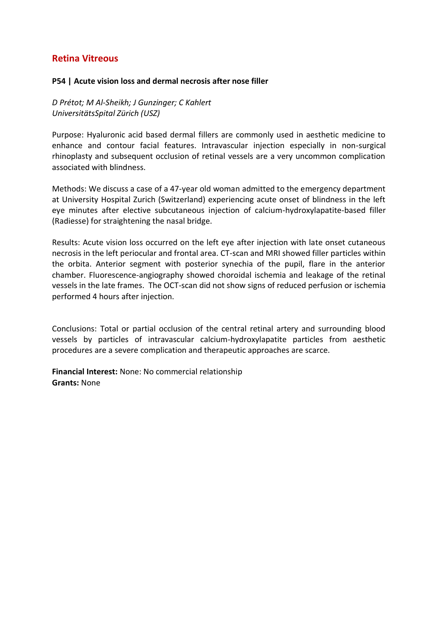### **Retina Vitreous**

#### **P54 | Acute vision loss and dermal necrosis after nose filler**

*D Prétot; M Al-Sheikh; J Gunzinger; C Kahlert UniversitätsSpital Zürich (USZ)*

Purpose: Hyaluronic acid based dermal fillers are commonly used in aesthetic medicine to enhance and contour facial features. Intravascular injection especially in non-surgical rhinoplasty and subsequent occlusion of retinal vessels are a very uncommon complication associated with blindness.

Methods: We discuss a case of a 47-year old woman admitted to the emergency department at University Hospital Zurich (Switzerland) experiencing acute onset of blindness in the left eye minutes after elective subcutaneous injection of calcium-hydroxylapatite-based filler (Radiesse) for straightening the nasal bridge.

Results: Acute vision loss occurred on the left eye after injection with late onset cutaneous necrosis in the left periocular and frontal area. CT-scan and MRI showed filler particles within the orbita. Anterior segment with posterior synechia of the pupil, flare in the anterior chamber. Fluorescence-angiography showed choroidal ischemia and leakage of the retinal vessels in the late frames. The OCT-scan did not show signs of reduced perfusion or ischemia performed 4 hours after injection.

Conclusions: Total or partial occlusion of the central retinal artery and surrounding blood vessels by particles of intravascular calcium-hydroxylapatite particles from aesthetic procedures are a severe complication and therapeutic approaches are scarce.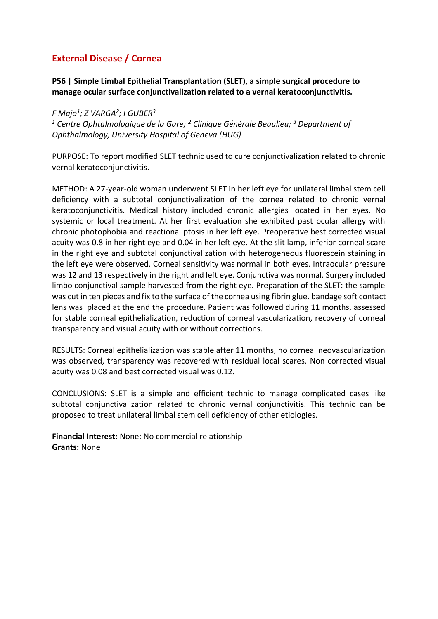# **External Disease / Cornea**

**P56 | Simple Limbal Epithelial Transplantation (SLET), a simple surgical procedure to manage ocular surface conjunctivalization related to a vernal keratoconjunctivitis.** 

*F Majo<sup>1</sup> ; Z VARGA<sup>2</sup> ; I GUBER<sup>3</sup>*

*<sup>1</sup> Centre Ophtalmologique de la Gare; <sup>2</sup> Clinique Générale Beaulieu; <sup>3</sup> Department of Ophthalmology, University Hospital of Geneva (HUG)*

PURPOSE: To report modified SLET technic used to cure conjunctivalization related to chronic vernal keratoconjunctivitis.

METHOD: A 27-year-old woman underwent SLET in her left eye for unilateral limbal stem cell deficiency with a subtotal conjunctivalization of the cornea related to chronic vernal keratoconjunctivitis. Medical history included chronic allergies located in her eyes. No systemic or local treatment. At her first evaluation she exhibited past ocular allergy with chronic photophobia and reactional ptosis in her left eye. Preoperative best corrected visual acuity was 0.8 in her right eye and 0.04 in her left eye. At the slit lamp, inferior corneal scare in the right eye and subtotal conjunctivalization with heterogeneous fluorescein staining in the left eye were observed. Corneal sensitivity was normal in both eyes. Intraocular pressure was 12 and 13 respectively in the right and left eye. Conjunctiva was normal. Surgery included limbo conjunctival sample harvested from the right eye. Preparation of the SLET: the sample was cut in ten pieces and fix to the surface of the cornea using fibrin glue. bandage soft contact lens was placed at the end the procedure. Patient was followed during 11 months, assessed for stable corneal epithelialization, reduction of corneal vascularization, recovery of corneal transparency and visual acuity with or without corrections.

RESULTS: Corneal epithelialization was stable after 11 months, no corneal neovascularization was observed, transparency was recovered with residual local scares. Non corrected visual acuity was 0.08 and best corrected visual was 0.12.

CONCLUSIONS: SLET is a simple and efficient technic to manage complicated cases like subtotal conjunctivalization related to chronic vernal conjunctivitis. This technic can be proposed to treat unilateral limbal stem cell deficiency of other etiologies.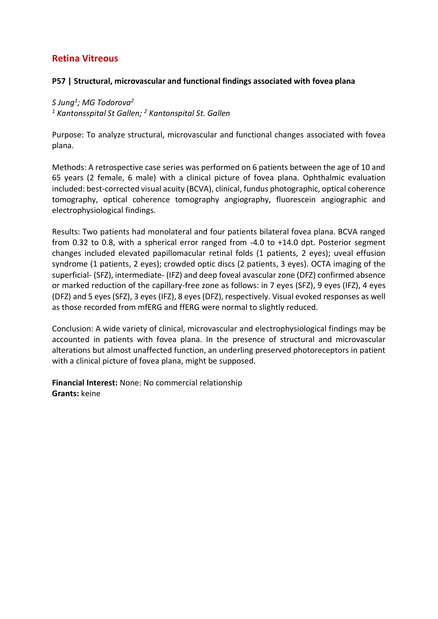### **Retina Vitreous**

### **P57 | Structural, microvascular and functional findings associated with fovea plana**

# *S Jung<sup>1</sup> ; MG Todorova<sup>2</sup>*

*<sup>1</sup> Kantonsspital St Gallen; <sup>2</sup> Kantonspital St. Gallen*

Purpose: To analyze structural, microvascular and functional changes associated with fovea plana.

Methods: A retrospective case series was performed on 6 patients between the age of 10 and 65 years (2 female, 6 male) with a clinical picture of fovea plana. Ophthalmic evaluation included: best-corrected visual acuity (BCVA), clinical, fundus photographic, optical coherence tomography, optical coherence tomography angiography, fluorescein angiographic and electrophysiological findings.

Results: Two patients had monolateral and four patients bilateral fovea plana. BCVA ranged from 0.32 to 0.8, with a spherical error ranged from -4.0 to +14.0 dpt. Posterior segment changes included elevated papillomacular retinal folds (1 patients, 2 eyes); uveal effusion syndrome (1 patients, 2 eyes); crowded optic discs (2 patients, 3 eyes). OCTA imaging of the superficial- (SFZ), intermediate- (IFZ) and deep foveal avascular zone (DFZ) confirmed absence or marked reduction of the capillary-free zone as follows: in 7 eyes (SFZ), 9 eyes (IFZ), 4 eyes (DFZ) and 5 eyes (SFZ), 3 eyes (IFZ), 8 eyes (DFZ), respectively. Visual evoked responses as well as those recorded from mfERG and ffERG were normal to slightly reduced.

Conclusion: A wide variety of clinical, microvascular and electrophysiological findings may be accounted in patients with fovea plana. In the presence of structural and microvascular alterations but almost unaffected function, an underling preserved photoreceptors in patient with a clinical picture of fovea plana, might be supposed.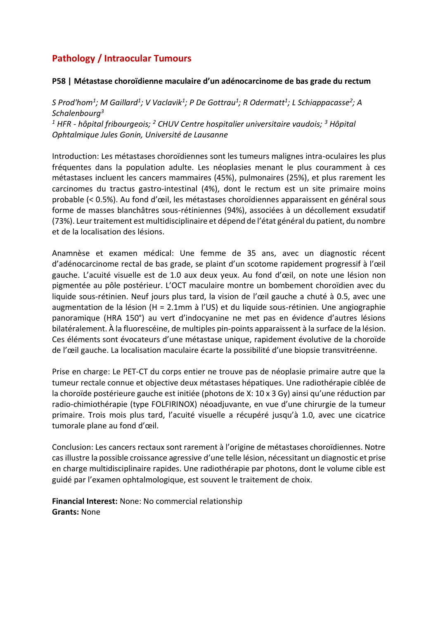# **Pathology / Intraocular Tumours**

#### **P58 | Métastase choroïdienne maculaire d'un adénocarcinome de bas grade du rectum**

*S Prod'hom<sup>1</sup> ; M Gaillard<sup>1</sup> ; V Vaclavik<sup>1</sup> ; P De Gottrau<sup>1</sup> ; R Odermatt<sup>1</sup> ; L Schiappacasse<sup>2</sup> ; A Schalenbourg<sup>3</sup> <sup>1</sup> HFR - hôpital fribourgeois; <sup>2</sup> CHUV Centre hospitalier universitaire vaudois; <sup>3</sup> Hôpital Ophtalmique Jules Gonin, Université de Lausanne*

Introduction: Les métastases choroïdiennes sont les tumeurs malignes intra-oculaires les plus fréquentes dans la population adulte. Les néoplasies menant le plus couramment à ces métastases incluent les cancers mammaires (45%), pulmonaires (25%), et plus rarement les carcinomes du tractus gastro-intestinal (4%), dont le rectum est un site primaire moins probable (< 0.5%). Au fond d'œil, les métastases choroïdiennes apparaissent en général sous forme de masses blanchâtres sous-rétiniennes (94%), associées à un décollement exsudatif (73%). Leur traitement est multidisciplinaire et dépend de l'état général du patient, du nombre et de la localisation des lésions.

Anamnèse et examen médical: Une femme de 35 ans, avec un diagnostic récent d'adénocarcinome rectal de bas grade, se plaint d'un scotome rapidement progressif à l'œil gauche. L'acuité visuelle est de 1.0 aux deux yeux. Au fond d'œil, on note une lésion non pigmentée au pôle postérieur. L'OCT maculaire montre un bombement choroïdien avec du liquide sous-rétinien. Neuf jours plus tard, la vision de l'œil gauche a chuté à 0.5, avec une augmentation de la lésion (H = 2.1mm à l'US) et du liquide sous-rétinien. Une angiographie panoramique (HRA 150°) au vert d'indocyanine ne met pas en évidence d'autres lésions bilatéralement. À la fluorescéine, de multiples pin-points apparaissent à la surface de la lésion. Ces éléments sont évocateurs d'une métastase unique, rapidement évolutive de la choroïde de l'œil gauche. La localisation maculaire écarte la possibilité d'une biopsie transvitréenne.

Prise en charge: Le PET-CT du corps entier ne trouve pas de néoplasie primaire autre que la tumeur rectale connue et objective deux métastases hépatiques. Une radiothérapie ciblée de la choroïde postérieure gauche est initiée (photons de X: 10 x 3 Gy) ainsi qu'une réduction par radio-chimiothérapie (type FOLFIRINOX) néoadjuvante, en vue d'une chirurgie de la tumeur primaire. Trois mois plus tard, l'acuité visuelle a récupéré jusqu'à 1.0, avec une cicatrice tumorale plane au fond d'œil.

Conclusion: Les cancers rectaux sont rarement à l'origine de métastases choroïdiennes. Notre cas illustre la possible croissance agressive d'une telle lésion, nécessitant un diagnostic et prise en charge multidisciplinaire rapides. Une radiothérapie par photons, dont le volume cible est guidé par l'examen ophtalmologique, est souvent le traitement de choix.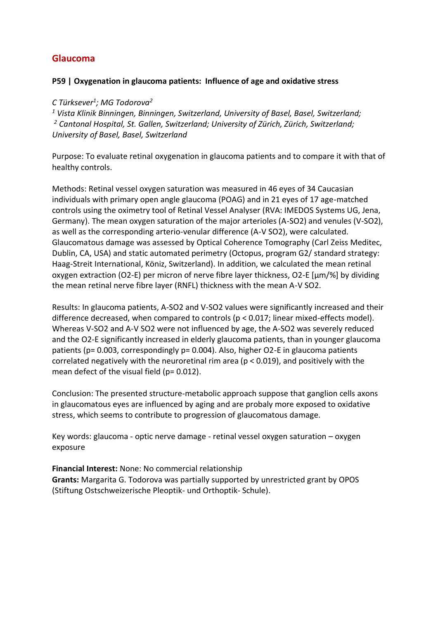### **Glaucoma**

#### **P59 | Oxygenation in glaucoma patients: Influence of age and oxidative stress**

### *C Türksever<sup>1</sup> ; MG Todorova<sup>2</sup>*

*<sup>1</sup> Vista Klinik Binningen, Binningen, Switzerland, University of Basel, Basel, Switzerland; <sup>2</sup> Cantonal Hospital, St. Gallen, Switzerland; University of Zürich, Zürich, Switzerland; University of Basel, Basel, Switzerland*

Purpose: To evaluate retinal oxygenation in glaucoma patients and to compare it with that of healthy controls.

Methods: Retinal vessel oxygen saturation was measured in 46 eyes of 34 Caucasian individuals with primary open angle glaucoma (POAG) and in 21 eyes of 17 age-matched controls using the oximetry tool of Retinal Vessel Analyser (RVA: IMEDOS Systems UG, Jena, Germany). The mean oxygen saturation of the major arterioles (A-SO2) and venules (V-SO2), as well as the corresponding arterio-venular difference (A-V SO2), were calculated. Glaucomatous damage was assessed by Optical Coherence Tomography (Carl Zeiss Meditec, Dublin, CA, USA) and static automated perimetry (Octopus, program G2/ standard strategy: Haag-Streit International, Köniz, Switzerland). In addition, we calculated the mean retinal oxygen extraction (O2-E) per micron of nerve fibre layer thickness, O2-E  $[\mu m/\%]$  by dividing the mean retinal nerve fibre layer (RNFL) thickness with the mean A-V SO2.

Results: In glaucoma patients, A-SO2 and V-SO2 values were significantly increased and their difference decreased, when compared to controls (p < 0.017; linear mixed-effects model). Whereas V-SO2 and A-V SO2 were not influenced by age, the A-SO2 was severely reduced and the O2-E significantly increased in elderly glaucoma patients, than in younger glaucoma patients (p= 0.003, correspondingly p= 0.004). Also, higher O2-E in glaucoma patients correlated negatively with the neuroretinal rim area ( $p < 0.019$ ), and positively with the mean defect of the visual field (p= 0.012).

Conclusion: The presented structure-metabolic approach suppose that ganglion cells axons in glaucomatous eyes are influenced by aging and are probaly more exposed to oxidative stress, which seems to contribute to progression of glaucomatous damage.

Key words: glaucoma - optic nerve damage - retinal vessel oxygen saturation – oxygen exposure

**Financial Interest:** None: No commercial relationship **Grants:** Margarita G. Todorova was partially supported by unrestricted grant by OPOS (Stiftung Ostschweizerische Pleoptik- und Orthoptik- Schule).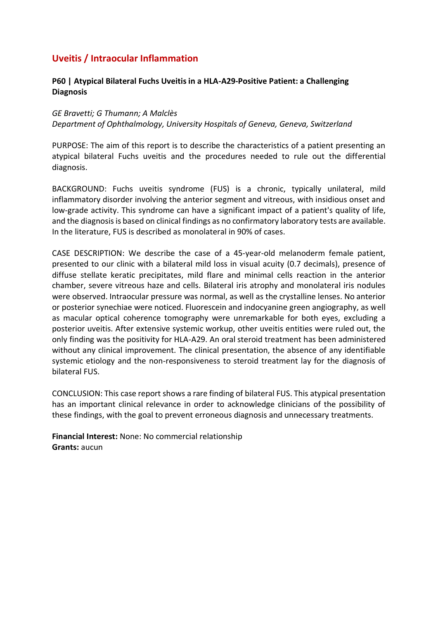### **Uveitis / Intraocular Inflammation**

### **P60 | Atypical Bilateral Fuchs Uveitis in a HLA-A29-Positive Patient: a Challenging Diagnosis**

### *GE Bravetti; G Thumann; A Malclès Department of Ophthalmology, University Hospitals of Geneva, Geneva, Switzerland*

PURPOSE: The aim of this report is to describe the characteristics of a patient presenting an atypical bilateral Fuchs uveitis and the procedures needed to rule out the differential diagnosis.

BACKGROUND: Fuchs uveitis syndrome (FUS) is a chronic, typically unilateral, mild inflammatory disorder involving the anterior segment and vitreous, with insidious onset and low-grade activity. This syndrome can have a significant impact of a patient's quality of life, and the diagnosis is based on clinical findings as no confirmatory laboratory tests are available. In the literature, FUS is described as monolateral in 90% of cases.

CASE DESCRIPTION: We describe the case of a 45-year-old melanoderm female patient, presented to our clinic with a bilateral mild loss in visual acuity (0.7 decimals), presence of diffuse stellate keratic precipitates, mild flare and minimal cells reaction in the anterior chamber, severe vitreous haze and cells. Bilateral iris atrophy and monolateral iris nodules were observed. Intraocular pressure was normal, as well as the crystalline lenses. No anterior or posterior synechiae were noticed. Fluorescein and indocyanine green angiography, as well as macular optical coherence tomography were unremarkable for both eyes, excluding a posterior uveitis. After extensive systemic workup, other uveitis entities were ruled out, the only finding was the positivity for HLA-A29. An oral steroid treatment has been administered without any clinical improvement. The clinical presentation, the absence of any identifiable systemic etiology and the non-responsiveness to steroid treatment lay for the diagnosis of bilateral FUS.

CONCLUSION: This case report shows a rare finding of bilateral FUS. This atypical presentation has an important clinical relevance in order to acknowledge clinicians of the possibility of these findings, with the goal to prevent erroneous diagnosis and unnecessary treatments.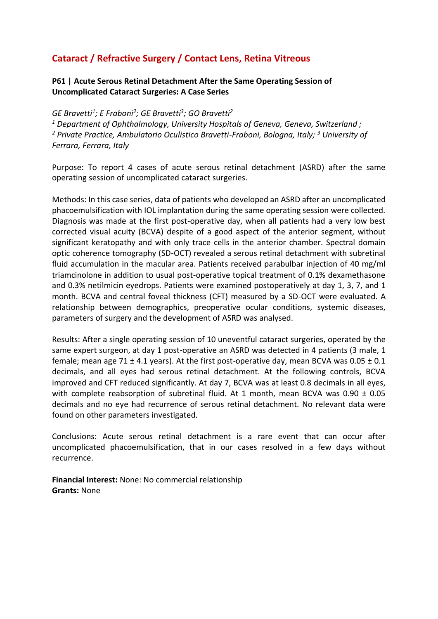# **Cataract / Refractive Surgery / Contact Lens, Retina Vitreous**

### **P61 | Acute Serous Retinal Detachment After the Same Operating Session of Uncomplicated Cataract Surgeries: A Case Series**

### *GE Bravetti<sup>1</sup> ; E Fraboni<sup>2</sup> ; GE Bravetti<sup>3</sup> ; GO Bravetti<sup>2</sup>*

*<sup>1</sup> Department of Ophthalmology, University Hospitals of Geneva, Geneva, Switzerland ; <sup>2</sup> Private Practice, Ambulatorio Oculistico Bravetti-Fraboni, Bologna, Italy; <sup>3</sup> University of Ferrara, Ferrara, Italy*

Purpose: To report 4 cases of acute serous retinal detachment (ASRD) after the same operating session of uncomplicated cataract surgeries.

Methods: In this case series, data of patients who developed an ASRD after an uncomplicated phacoemulsification with IOL implantation during the same operating session were collected. Diagnosis was made at the first post-operative day, when all patients had a very low best corrected visual acuity (BCVA) despite of a good aspect of the anterior segment, without significant keratopathy and with only trace cells in the anterior chamber. Spectral domain optic coherence tomography (SD-OCT) revealed a serous retinal detachment with subretinal fluid accumulation in the macular area. Patients received parabulbar injection of 40 mg/ml triamcinolone in addition to usual post-operative topical treatment of 0.1% dexamethasone and 0.3% netilmicin eyedrops. Patients were examined postoperatively at day 1, 3, 7, and 1 month. BCVA and central foveal thickness (CFT) measured by a SD-OCT were evaluated. A relationship between demographics, preoperative ocular conditions, systemic diseases, parameters of surgery and the development of ASRD was analysed.

Results: After a single operating session of 10 uneventful cataract surgeries, operated by the same expert surgeon, at day 1 post-operative an ASRD was detected in 4 patients (3 male, 1 female; mean age 71  $\pm$  4.1 years). At the first post-operative day, mean BCVA was 0.05  $\pm$  0.1 decimals, and all eyes had serous retinal detachment. At the following controls, BCVA improved and CFT reduced significantly. At day 7, BCVA was at least 0.8 decimals in all eyes, with complete reabsorption of subretinal fluid. At 1 month, mean BCVA was  $0.90 \pm 0.05$ decimals and no eye had recurrence of serous retinal detachment. No relevant data were found on other parameters investigated.

Conclusions: Acute serous retinal detachment is a rare event that can occur after uncomplicated phacoemulsification, that in our cases resolved in a few days without recurrence.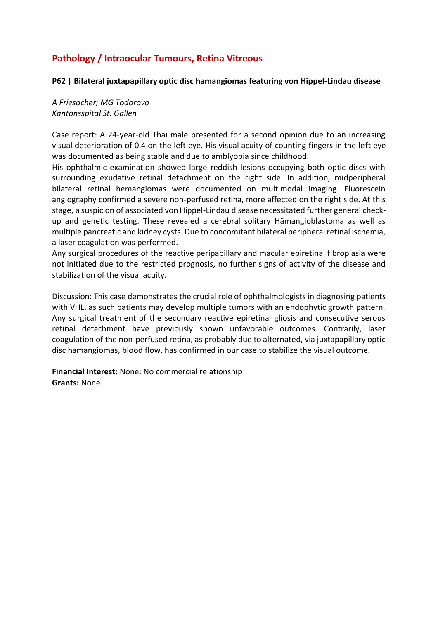# **Pathology / Intraocular Tumours, Retina Vitreous**

#### **P62 | Bilateral juxtapapillary optic disc hamangiomas featuring von Hippel-Lindau disease**

*A Friesacher; MG Todorova Kantonsspital St. Gallen*

Case report: A 24-year-old Thai male presented for a second opinion due to an increasing visual deterioration of 0.4 on the left eye. His visual acuity of counting fingers in the left eye was documented as being stable and due to amblyopia since childhood.

His ophthalmic examination showed large reddish lesions occupying both optic discs with surrounding exudative retinal detachment on the right side. In addition, midperipheral bilateral retinal hemangiomas were documented on multimodal imaging. Fluorescein angiography confirmed a severe non-perfused retina, more affected on the right side. At this stage, a suspicion of associated von Hippel-Lindau disease necessitated further general checkup and genetic testing. These revealed a cerebral solitary Hämangioblastoma as well as multiple pancreatic and kidney cysts. Due to concomitant bilateral peripheral retinal ischemia, a laser coagulation was performed.

Any surgical procedures of the reactive peripapillary and macular epiretinal fibroplasia were not initiated due to the restricted prognosis, no further signs of activity of the disease and stabilization of the visual acuity.

Discussion: This case demonstrates the crucial role of ophthalmologists in diagnosing patients with VHL, as such patients may develop multiple tumors with an endophytic growth pattern. Any surgical treatment of the secondary reactive epiretinal gliosis and consecutive serous retinal detachment have previously shown unfavorable outcomes. Contrarily, laser coagulation of the non-perfused retina, as probably due to alternated, via juxtapapillary optic disc hamangiomas, blood flow, has confirmed in our case to stabilize the visual outcome.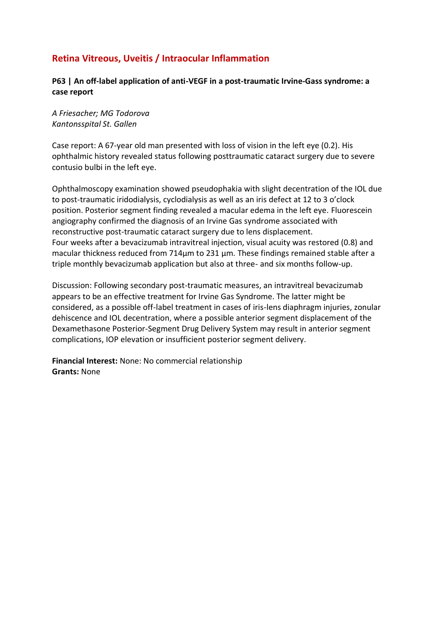# **Retina Vitreous, Uveitis / Intraocular Inflammation**

### **P63 | An off-label application of anti-VEGF in a post-traumatic Irvine-Gass syndrome: a case report**

*A Friesacher; MG Todorova Kantonsspital St. Gallen*

Case report: A 67-year old man presented with loss of vision in the left eye (0.2). His ophthalmic history revealed status following posttraumatic cataract surgery due to severe contusio bulbi in the left eye.

Ophthalmoscopy examination showed pseudophakia with slight decentration of the IOL due to post-traumatic iridodialysis, cyclodialysis as well as an iris defect at 12 to 3 o'clock position. Posterior segment finding revealed a macular edema in the left eye. Fluorescein angiography confirmed the diagnosis of an Irvine Gas syndrome associated with reconstructive post-traumatic cataract surgery due to lens displacement. Four weeks after a bevacizumab intravitreal injection, visual acuity was restored (0.8) and macular thickness reduced from 714µm to 231 µm. These findings remained stable after a triple monthly bevacizumab application but also at three- and six months follow-up.

Discussion: Following secondary post-traumatic measures, an intravitreal bevacizumab appears to be an effective treatment for Irvine Gas Syndrome. The latter might be considered, as a possible off-label treatment in cases of iris-lens diaphragm injuries, zonular dehiscence and IOL decentration, where a possible anterior segment displacement of the Dexamethasone Posterior-Segment Drug Delivery System may result in anterior segment complications, IOP elevation or insufficient posterior segment delivery.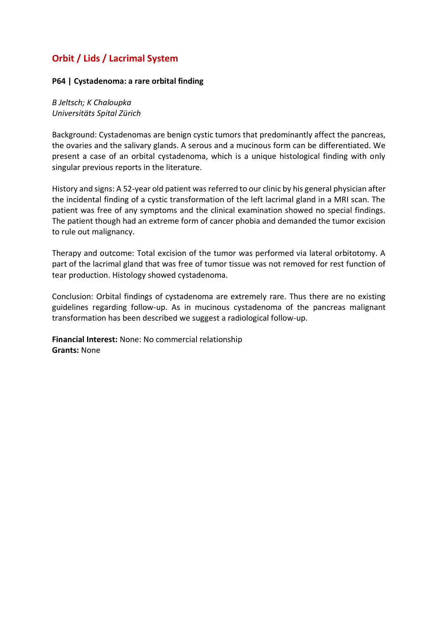# **Orbit / Lids / Lacrimal System**

#### **P64 | Cystadenoma: a rare orbital finding**

### *B Jeltsch; K Chaloupka Universitäts Spital Zürich*

Background: Cystadenomas are benign cystic tumors that predominantly affect the pancreas, the ovaries and the salivary glands. A serous and a mucinous form can be differentiated. We present a case of an orbital cystadenoma, which is a unique histological finding with only singular previous reports in the literature.

History and signs: A 52-year old patient was referred to our clinic by his general physician after the incidental finding of a cystic transformation of the left lacrimal gland in a MRI scan. The patient was free of any symptoms and the clinical examination showed no special findings. The patient though had an extreme form of cancer phobia and demanded the tumor excision to rule out malignancy.

Therapy and outcome: Total excision of the tumor was performed via lateral orbitotomy. A part of the lacrimal gland that was free of tumor tissue was not removed for rest function of tear production. Histology showed cystadenoma.

Conclusion: Orbital findings of cystadenoma are extremely rare. Thus there are no existing guidelines regarding follow-up. As in mucinous cystadenoma of the pancreas malignant transformation has been described we suggest a radiological follow-up.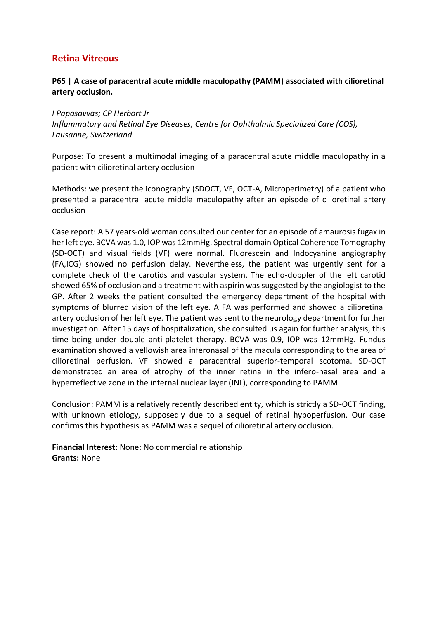### **Retina Vitreous**

### **P65 | A case of paracentral acute middle maculopathy (PAMM) associated with cilioretinal artery occlusion.**

*I Papasavvas; CP Herbort Jr Inflammatory and Retinal Eye Diseases, Centre for Ophthalmic Specialized Care (COS), Lausanne, Switzerland*

Purpose: To present a multimodal imaging of a paracentral acute middle maculopathy in a patient with cilioretinal artery occlusion

Methods: we present the iconography (SDOCT, VF, OCT-A, Microperimetry) of a patient who presented a paracentral acute middle maculopathy after an episode of cilioretinal artery occlusion

Case report: A 57 years-old woman consulted our center for an episode of amaurosis fugax in her left eye. BCVA was 1.0, IOP was 12mmHg. Spectral domain Optical Coherence Tomography (SD-OCT) and visual fields (VF) were normal. Fluorescein and Indocyanine angiography (FA,ICG) showed no perfusion delay. Nevertheless, the patient was urgently sent for a complete check of the carotids and vascular system. The echo-doppler of the left carotid showed 65% of occlusion and a treatment with aspirin was suggested by the angiologist to the GP. After 2 weeks the patient consulted the emergency department of the hospital with symptoms of blurred vision of the left eye. A FA was performed and showed a cilioretinal artery occlusion of her left eye. The patient was sent to the neurology department for further investigation. After 15 days of hospitalization, she consulted us again for further analysis, this time being under double anti-platelet therapy. BCVA was 0.9, IOP was 12mmHg. Fundus examination showed a yellowish area inferonasal of the macula corresponding to the area of cilioretinal perfusion. VF showed a paracentral superior-temporal scotoma. SD-OCT demonstrated an area of atrophy of the inner retina in the infero-nasal area and a hyperreflective zone in the internal nuclear layer (INL), corresponding to PAMM.

Conclusion: PAMM is a relatively recently described entity, which is strictly a SD-OCT finding, with unknown etiology, supposedly due to a sequel of retinal hypoperfusion. Our case confirms this hypothesis as PAMM was a sequel of cilioretinal artery occlusion.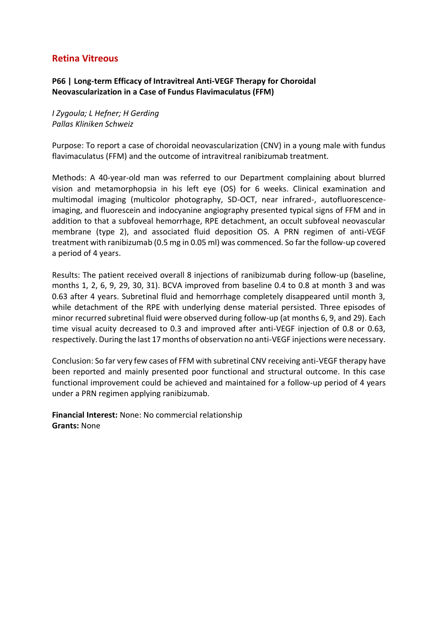### **Retina Vitreous**

### **P66 | Long-term Efficacy of Intravitreal Anti-VEGF Therapy for Choroidal Neovascularization in a Case of Fundus Flavimaculatus (FFM)**

*I Zygoula; L Hefner; H Gerding Pallas Kliniken Schweiz*

Purpose: To report a case of choroidal neovascularization (CNV) in a young male with fundus flavimaculatus (FFM) and the outcome of intravitreal ranibizumab treatment.

Methods: A 40-year-old man was referred to our Department complaining about blurred vision and metamorphopsia in his left eye (OS) for 6 weeks. Clinical examination and multimodal imaging (multicolor photography, SD-OCT, near infrared-, autofluorescenceimaging, and fluorescein and indocyanine angiography presented typical signs of FFM and in addition to that a subfoveal hemorrhage, RPE detachment, an occult subfoveal neovascular membrane (type 2), and associated fluid deposition OS. A PRN regimen of anti-VEGF treatment with ranibizumab (0.5 mg in 0.05 ml) was commenced. So far the follow-up covered a period of 4 years.

Results: The patient received overall 8 injections of ranibizumab during follow-up (baseline, months 1, 2, 6, 9, 29, 30, 31). BCVA improved from baseline 0.4 to 0.8 at month 3 and was 0.63 after 4 years. Subretinal fluid and hemorrhage completely disappeared until month 3, while detachment of the RPE with underlying dense material persisted. Three episodes of minor recurred subretinal fluid were observed during follow-up (at months 6, 9, and 29). Each time visual acuity decreased to 0.3 and improved after anti-VEGF injection of 0.8 or 0.63, respectively. During the last 17 months of observation no anti-VEGF injections were necessary.

Conclusion: So far very few cases of FFM with subretinal CNV receiving anti-VEGF therapy have been reported and mainly presented poor functional and structural outcome. In this case functional improvement could be achieved and maintained for a follow-up period of 4 years under a PRN regimen applying ranibizumab.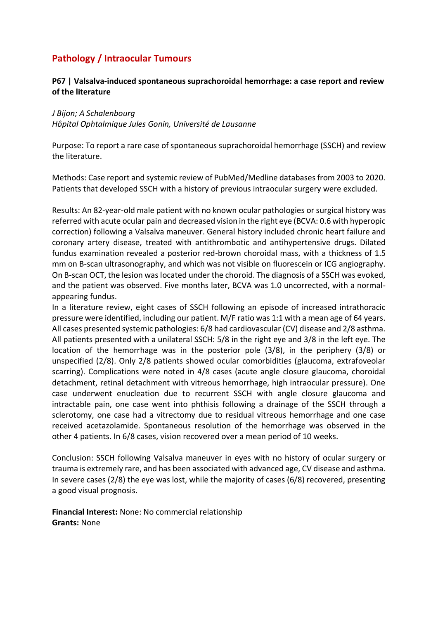# **Pathology / Intraocular Tumours**

### **P67 | Valsalva-induced spontaneous suprachoroidal hemorrhage: a case report and review of the literature**

#### *J Bijon; A Schalenbourg*

*Hôpital Ophtalmique Jules Gonin, Université de Lausanne*

Purpose: To report a rare case of spontaneous suprachoroidal hemorrhage (SSCH) and review the literature.

Methods: Case report and systemic review of PubMed/Medline databases from 2003 to 2020. Patients that developed SSCH with a history of previous intraocular surgery were excluded.

Results: An 82-year-old male patient with no known ocular pathologies or surgical history was referred with acute ocular pain and decreased vision in the right eye (BCVA: 0.6 with hyperopic correction) following a Valsalva maneuver. General history included chronic heart failure and coronary artery disease, treated with antithrombotic and antihypertensive drugs. Dilated fundus examination revealed a posterior red-brown choroidal mass, with a thickness of 1.5 mm on B-scan ultrasonography, and which was not visible on fluorescein or ICG angiography. On B-scan OCT, the lesion was located under the choroid. The diagnosis of a SSCH was evoked, and the patient was observed. Five months later, BCVA was 1.0 uncorrected, with a normalappearing fundus.

In a literature review, eight cases of SSCH following an episode of increased intrathoracic pressure were identified, including our patient. M/F ratio was 1:1 with a mean age of 64 years. All cases presented systemic pathologies: 6/8 had cardiovascular (CV) disease and 2/8 asthma. All patients presented with a unilateral SSCH: 5/8 in the right eye and 3/8 in the left eye. The location of the hemorrhage was in the posterior pole (3/8), in the periphery (3/8) or unspecified (2/8). Only 2/8 patients showed ocular comorbidities (glaucoma, extrafoveolar scarring). Complications were noted in 4/8 cases (acute angle closure glaucoma, choroidal detachment, retinal detachment with vitreous hemorrhage, high intraocular pressure). One case underwent enucleation due to recurrent SSCH with angle closure glaucoma and intractable pain, one case went into phthisis following a drainage of the SSCH through a sclerotomy, one case had a vitrectomy due to residual vitreous hemorrhage and one case received acetazolamide. Spontaneous resolution of the hemorrhage was observed in the other 4 patients. In 6/8 cases, vision recovered over a mean period of 10 weeks.

Conclusion: SSCH following Valsalva maneuver in eyes with no history of ocular surgery or trauma is extremely rare, and has been associated with advanced age, CV disease and asthma. In severe cases (2/8) the eye was lost, while the majority of cases (6/8) recovered, presenting a good visual prognosis.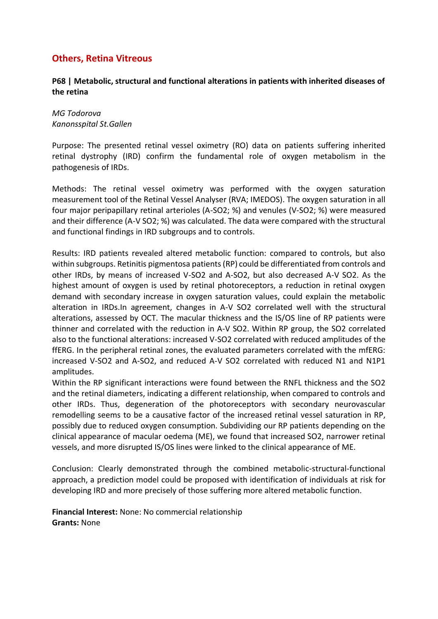### **Others, Retina Vitreous**

### **P68 | Metabolic, structural and functional alterations in patients with inherited diseases of the retina**

*MG Todorova Kanonsspital St.Gallen*

Purpose: The presented retinal vessel oximetry (RO) data on patients suffering inherited retinal dystrophy (IRD) confirm the fundamental role of oxygen metabolism in the pathogenesis of IRDs.

Methods: The retinal vessel oximetry was performed with the oxygen saturation measurement tool of the Retinal Vessel Analyser (RVA; IMEDOS). The oxygen saturation in all four major peripapillary retinal arterioles (A-SO2; %) and venules (V-SO2; %) were measured and their difference (A-V SO2; %) was calculated. The data were compared with the structural and functional findings in IRD subgroups and to controls.

Results: IRD patients revealed altered metabolic function: compared to controls, but also within subgroups. Retinitis pigmentosa patients (RP) could be differentiated from controls and other IRDs, by means of increased V-SO2 and A-SO2, but also decreased A-V SO2. As the highest amount of oxygen is used by retinal photoreceptors, a reduction in retinal oxygen demand with secondary increase in oxygen saturation values, could explain the metabolic alteration in IRDs.In agreement, changes in A-V SO2 correlated well with the structural alterations, assessed by OCT. The macular thickness and the IS/OS line of RP patients were thinner and correlated with the reduction in A-V SO2. Within RP group, the SO2 correlated also to the functional alterations: increased V-SO2 correlated with reduced amplitudes of the ffERG. In the peripheral retinal zones, the evaluated parameters correlated with the mfERG: increased V-SO2 and A-SO2, and reduced A-V SO2 correlated with reduced N1 and N1P1 amplitudes.

Within the RP significant interactions were found between the RNFL thickness and the SO2 and the retinal diameters, indicating a different relationship, when compared to controls and other IRDs. Thus, degeneration of the photoreceptors with secondary neurovascular remodelling seems to be a causative factor of the increased retinal vessel saturation in RP, possibly due to reduced oxygen consumption. Subdividing our RP patients depending on the clinical appearance of macular oedema (ME), we found that increased SO2, narrower retinal vessels, and more disrupted IS/OS lines were linked to the clinical appearance of ME.

Conclusion: Clearly demonstrated through the combined metabolic-structural-functional approach, a prediction model could be proposed with identification of individuals at risk for developing IRD and more precisely of those suffering more altered metabolic function.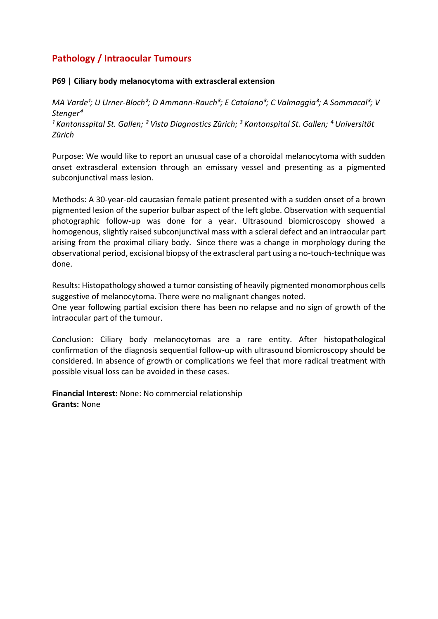# **Pathology / Intraocular Tumours**

#### **P69 | Ciliary body melanocytoma with extrascleral extension**

*MA Varde<sup>1</sup>; U Urner-Bloch<sup>2</sup>; D Ammann-Rauch<sup>3</sup>; E Catalano<sup>3</sup>; C Valmaggia<sup>3</sup>; A Sommacal<sup>3</sup>; V Stenger⁴*

<sup>1</sup> Kantonsspital St. Gallen; <sup>2</sup> Vista Diagnostics Zürich; <sup>3</sup> Kantonspital St. Gallen; <sup>4</sup> Universität *Zürich*

Purpose: We would like to report an unusual case of a choroidal melanocytoma with sudden onset extrascleral extension through an emissary vessel and presenting as a pigmented subconjunctival mass lesion.

Methods: A 30-year-old caucasian female patient presented with a sudden onset of a brown pigmented lesion of the superior bulbar aspect of the left globe. Observation with sequential photographic follow-up was done for a year. Ultrasound biomicroscopy showed a homogenous, slightly raised subconjunctival mass with a scleral defect and an intraocular part arising from the proximal ciliary body. Since there was a change in morphology during the observational period, excisional biopsy of the extrascleral part using a no-touch-technique was done.

Results: Histopathology showed a tumor consisting of heavily pigmented monomorphous cells suggestive of melanocytoma. There were no malignant changes noted. One year following partial excision there has been no relapse and no sign of growth of the intraocular part of the tumour.

Conclusion: Ciliary body melanocytomas are a rare entity. After histopathological confirmation of the diagnosis sequential follow-up with ultrasound biomicroscopy should be considered. In absence of growth or complications we feel that more radical treatment with possible visual loss can be avoided in these cases.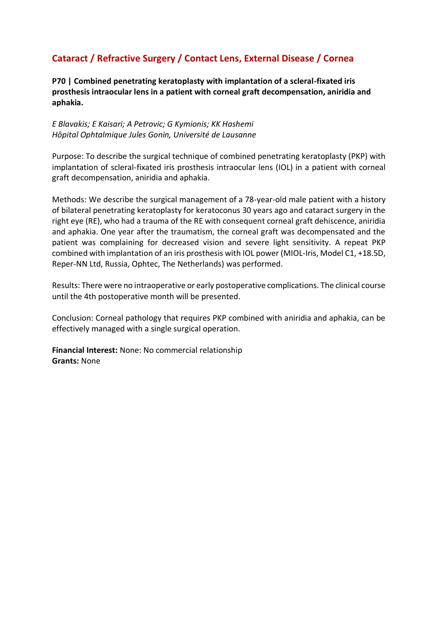# **Cataract / Refractive Surgery / Contact Lens, External Disease / Cornea**

**P70 | Combined penetrating keratoplasty with implantation of a scleral-fixated iris prosthesis intraocular lens in a patient with corneal graft decompensation, aniridia and aphakia.**

#### *E Blavakis; E Kaisari; A Petrovic; G Kymionis; KK Hashemi Hôpital Ophtalmique Jules Gonin, Université de Lausanne*

Purpose: To describe the surgical technique of combined penetrating keratoplasty (PKP) with implantation of scleral-fixated iris prosthesis intraocular lens (IOL) in a patient with corneal graft decompensation, aniridia and aphakia.

Methods: We describe the surgical management of a 78-year-old male patient with a history of bilateral penetrating keratoplasty for keratoconus 30 years ago and cataract surgery in the right eye (RE), who had a trauma of the RE with consequent corneal graft dehiscence, aniridia and aphakia. One year after the traumatism, the corneal graft was decompensated and the patient was complaining for decreased vision and severe light sensitivity. A repeat PKP combined with implantation of an iris prosthesis with IOL power (MIOL-Iris, Model C1, +18.5D, Reper-NN Ltd, Russia, Ophtec, The Netherlands) was performed.

Results: There were no intraoperative or early postoperative complications. The clinical course until the 4th postoperative month will be presented.

Conclusion: Corneal pathology that requires PKP combined with aniridia and aphakia, can be effectively managed with a single surgical operation.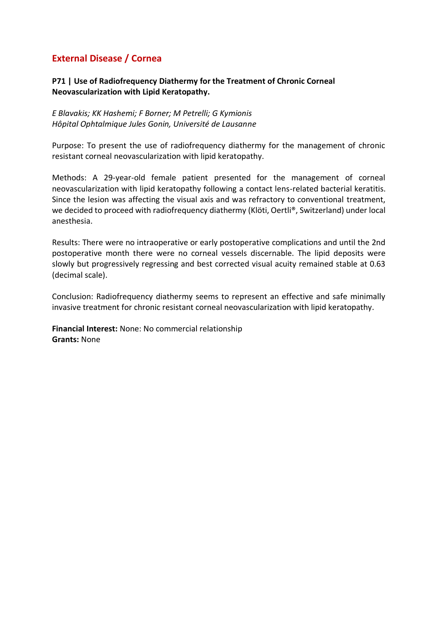# **External Disease / Cornea**

### **P71 | Use of Radiofrequency Diathermy for the Treatment of Chronic Corneal Neovascularization with Lipid Keratopathy.**

*E Blavakis; KK Hashemi; F Borner; M Petrelli; G Kymionis Hôpital Ophtalmique Jules Gonin, Université de Lausanne*

Purpose: To present the use of radiofrequency diathermy for the management of chronic resistant corneal neovascularization with lipid keratopathy.

Methods: A 29-year-old female patient presented for the management of corneal neovascularization with lipid keratopathy following a contact lens-related bacterial keratitis. Since the lesion was affecting the visual axis and was refractory to conventional treatment, we decided to proceed with radiofrequency diathermy (Klöti, Oertli®, Switzerland) under local anesthesia.

Results: There were no intraoperative or early postoperative complications and until the 2nd postoperative month there were no corneal vessels discernable. The lipid deposits were slowly but progressively regressing and best corrected visual acuity remained stable at 0.63 (decimal scale).

Conclusion: Radiofrequency diathermy seems to represent an effective and safe minimally invasive treatment for chronic resistant corneal neovascularization with lipid keratopathy.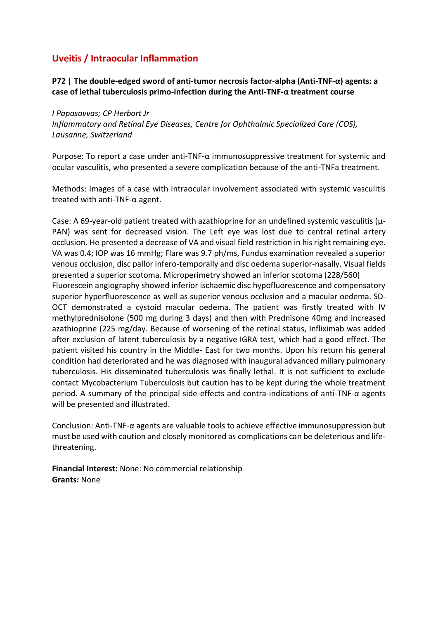## **Uveitis / Intraocular Inflammation**

**P72 | The double-edged sword of anti-tumor necrosis factor-alpha (Anti-TNF-α) agents: a case of lethal tuberculosis primo-infection during the Anti-TNF-α treatment course**

#### *I Papasavvas; CP Herbort Jr*

*Inflammatory and Retinal Eye Diseases, Centre for Ophthalmic Specialized Care (COS), Lausanne, Switzerland*

Purpose: To report a case under anti-TNF- $\alpha$  immunosuppressive treatment for systemic and ocular vasculitis, who presented a severe complication because of the anti-TNFa treatment.

Methods: Images of a case with intraocular involvement associated with systemic vasculitis treated with anti-TNF-α agent.

Case: A 69-year-old patient treated with azathioprine for an undefined systemic vasculitis (μ-PAN) was sent for decreased vision. The Left eye was lost due to central retinal artery occlusion. He presented a decrease of VA and visual field restriction in his right remaining eye. VA was 0.4; IOP was 16 mmHg; Flare was 9.7 ph/ms, Fundus examination revealed a superior venous occlusion, disc pallor infero-temporally and disc oedema superior-nasally. Visual fields presented a superior scotoma. Microperimetry showed an inferior scotoma (228/560) Fluorescein angiography showed inferior ischaemic disc hypofluorescence and compensatory superior hyperfluorescence as well as superior venous occlusion and a macular oedema. SD-OCT demonstrated a cystoid macular oedema. The patient was firstly treated with IV methylprednisolone (500 mg during 3 days) and then with Prednisone 40mg and increased azathioprine (225 mg/day. Because of worsening of the retinal status, Infliximab was added after exclusion of latent tuberculosis by a negative IGRA test, which had a good effect. The patient visited his country in the Middle- East for two months. Upon his return his general condition had deteriorated and he was diagnosed with inaugural advanced miliary pulmonary tuberculosis. His disseminated tuberculosis was finally lethal. It is not sufficient to exclude contact Mycobacterium Tuberculosis but caution has to be kept during the whole treatment period. A summary of the principal side-effects and contra-indications of anti-TNF-α agents will be presented and illustrated.

Conclusion: Anti-TNF-α agents are valuable tools to achieve effective immunosuppression but must be used with caution and closely monitored as complications can be deleterious and lifethreatening.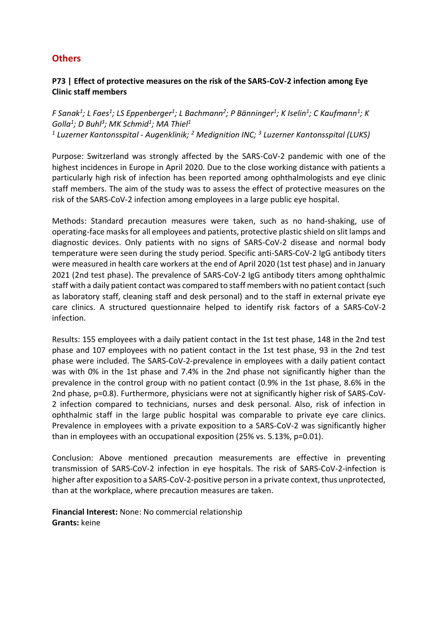### **Others**

### **P73 | Effect of protective measures on the risk of the SARS-CoV-2 infection among Eye Clinic staff members**

*F Sanak<sup>1</sup> ; L Faes<sup>1</sup> ; LS Eppenberger<sup>1</sup> ; L Bachmann<sup>2</sup> ; P Bänninger<sup>1</sup> ; K Iselin<sup>1</sup> ; C Kaufmann<sup>1</sup> ; K Golla<sup>1</sup> ; D Buhl<sup>3</sup> ; MK Schmid<sup>1</sup> ; MA Thiel<sup>1</sup> 1 Luzerner Kantonsspital - Augenklinik; <sup>2</sup> Medignition INC; <sup>3</sup> Luzerner Kantonsspital (LUKS)*

Purpose: Switzerland was strongly affected by the SARS-CoV-2 pandemic with one of the highest incidences in Europe in April 2020. Due to the close working distance with patients a particularly high risk of infection has been reported among ophthalmologists and eye clinic staff members. The aim of the study was to assess the effect of protective measures on the risk of the SARS-CoV-2 infection among employees in a large public eye hospital.

Methods: Standard precaution measures were taken, such as no hand-shaking, use of operating-face masks for all employees and patients, protective plastic shield on slit lamps and diagnostic devices. Only patients with no signs of SARS-CoV-2 disease and normal body temperature were seen during the study period. Specific anti-SARS-CoV-2 IgG antibody titers were measured in health care workers at the end of April 2020 (1st test phase) and in January 2021 (2nd test phase). The prevalence of SARS-CoV-2 IgG antibody titers among ophthalmic staff with a daily patient contact was compared to staff members with no patient contact (such as laboratory staff, cleaning staff and desk personal) and to the staff in external private eye care clinics. A structured questionnaire helped to identify risk factors of a SARS-CoV-2 infection.

Results: 155 employees with a daily patient contact in the 1st test phase, 148 in the 2nd test phase and 107 employees with no patient contact in the 1st test phase, 93 in the 2nd test phase were included. The SARS-CoV-2-prevalence in employees with a daily patient contact was with 0% in the 1st phase and 7.4% in the 2nd phase not significantly higher than the prevalence in the control group with no patient contact (0.9% in the 1st phase, 8.6% in the 2nd phase, p=0.8). Furthermore, physicians were not at significantly higher risk of SARS-CoV-2 infection compared to technicians, nurses and desk personal. Also, risk of infection in ophthalmic staff in the large public hospital was comparable to private eye care clinics. Prevalence in employees with a private exposition to a SARS-CoV-2 was significantly higher than in employees with an occupational exposition (25% vs. 5.13%, p=0.01).

Conclusion: Above mentioned precaution measurements are effective in preventing transmission of SARS-CoV-2 infection in eye hospitals. The risk of SARS-CoV-2-infection is higher after exposition to a SARS-CoV-2-positive person in a private context, thus unprotected, than at the workplace, where precaution measures are taken.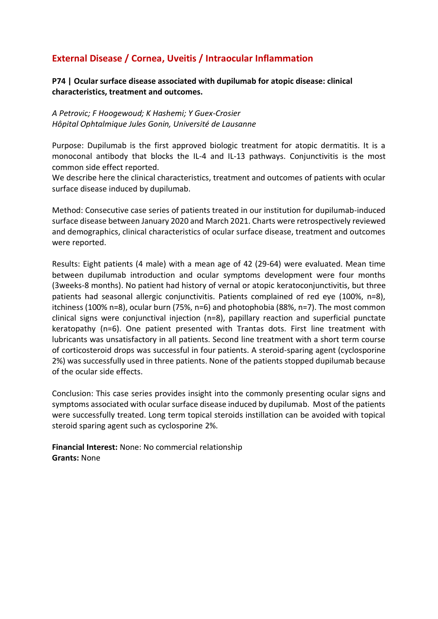# **External Disease / Cornea, Uveitis / Intraocular Inflammation**

**P74 | Ocular surface disease associated with dupilumab for atopic disease: clinical characteristics, treatment and outcomes.**

*A Petrovic; F Hoogewoud; K Hashemi; Y Guex-Crosier Hôpital Ophtalmique Jules Gonin, Université de Lausanne*

Purpose: Dupilumab is the first approved biologic treatment for atopic dermatitis. It is a monoconal antibody that blocks the IL-4 and IL-13 pathways. Conjunctivitis is the most common side effect reported.

We describe here the clinical characteristics, treatment and outcomes of patients with ocular surface disease induced by dupilumab.

Method: Consecutive case series of patients treated in our institution for dupilumab-induced surface disease between January 2020 and March 2021. Charts were retrospectively reviewed and demographics, clinical characteristics of ocular surface disease, treatment and outcomes were reported.

Results: Eight patients (4 male) with a mean age of 42 (29-64) were evaluated. Mean time between dupilumab introduction and ocular symptoms development were four months (3weeks-8 months). No patient had history of vernal or atopic keratoconjunctivitis, but three patients had seasonal allergic conjunctivitis. Patients complained of red eye (100%, n=8), itchiness (100% n=8), ocular burn (75%, n=6) and photophobia (88%, n=7). The most common clinical signs were conjunctival injection (n=8), papillary reaction and superficial punctate keratopathy (n=6). One patient presented with Trantas dots. First line treatment with lubricants was unsatisfactory in all patients. Second line treatment with a short term course of corticosteroid drops was successful in four patients. A steroid-sparing agent (cyclosporine 2%) was successfully used in three patients. None of the patients stopped dupilumab because of the ocular side effects.

Conclusion: This case series provides insight into the commonly presenting ocular signs and symptoms associated with ocular surface disease induced by dupilumab. Most of the patients were successfully treated. Long term topical steroids instillation can be avoided with topical steroid sparing agent such as cyclosporine 2%.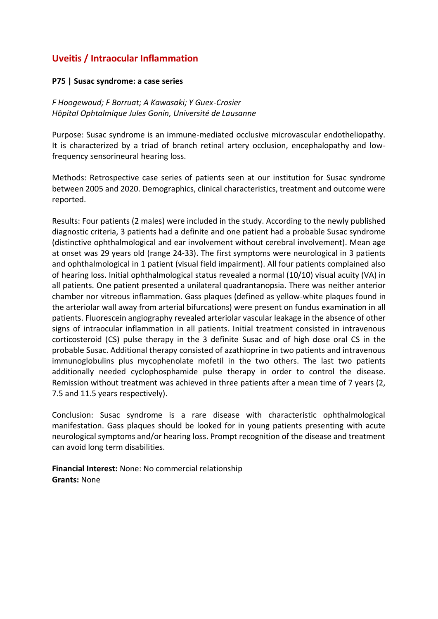## **Uveitis / Intraocular Inflammation**

#### **P75 | Susac syndrome: a case series**

*F Hoogewoud; F Borruat; A Kawasaki; Y Guex-Crosier Hôpital Ophtalmique Jules Gonin, Université de Lausanne*

Purpose: Susac syndrome is an immune-mediated occlusive microvascular endotheliopathy. It is characterized by a triad of branch retinal artery occlusion, encephalopathy and lowfrequency sensorineural hearing loss.

Methods: Retrospective case series of patients seen at our institution for Susac syndrome between 2005 and 2020. Demographics, clinical characteristics, treatment and outcome were reported.

Results: Four patients (2 males) were included in the study. According to the newly published diagnostic criteria, 3 patients had a definite and one patient had a probable Susac syndrome (distinctive ophthalmological and ear involvement without cerebral involvement). Mean age at onset was 29 years old (range 24-33). The first symptoms were neurological in 3 patients and ophthalmological in 1 patient (visual field impairment). All four patients complained also of hearing loss. Initial ophthalmological status revealed a normal (10/10) visual acuity (VA) in all patients. One patient presented a unilateral quadrantanopsia. There was neither anterior chamber nor vitreous inflammation. Gass plaques (defined as yellow-white plaques found in the arteriolar wall away from arterial bifurcations) were present on fundus examination in all patients. Fluorescein angiography revealed arteriolar vascular leakage in the absence of other signs of intraocular inflammation in all patients. Initial treatment consisted in intravenous corticosteroid (CS) pulse therapy in the 3 definite Susac and of high dose oral CS in the probable Susac. Additional therapy consisted of azathioprine in two patients and intravenous immunoglobulins plus mycophenolate mofetil in the two others. The last two patients additionally needed cyclophosphamide pulse therapy in order to control the disease. Remission without treatment was achieved in three patients after a mean time of 7 years (2, 7.5 and 11.5 years respectively).

Conclusion: Susac syndrome is a rare disease with characteristic ophthalmological manifestation. Gass plaques should be looked for in young patients presenting with acute neurological symptoms and/or hearing loss. Prompt recognition of the disease and treatment can avoid long term disabilities.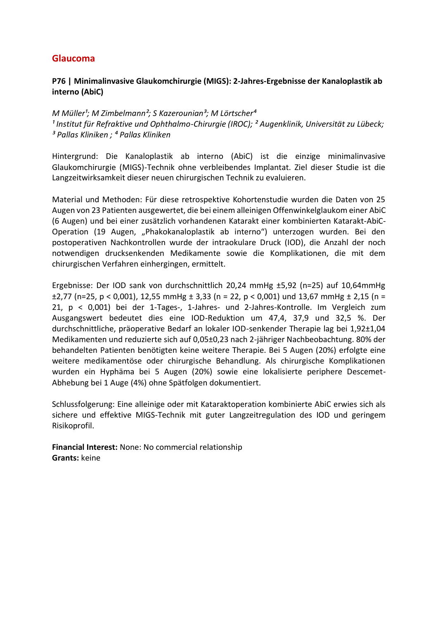### **Glaucoma**

### **P76 | Minimalinvasive Glaukomchirurgie (MIGS): 2-Jahres-Ergebnisse der Kanaloplastik ab interno (AbiC)**

*M Müller<sup>1</sup>; M Zimbelmann<sup>2</sup>; S Kazerounian<sup>3</sup>; M Lörtscher<sup>4</sup>* <sup>1</sup> Institut für Refraktive und Ophthalmo-Chirurgie (IROC); <sup>2</sup> Augenklinik, Universität zu Lübeck; *³ Pallas Kliniken ; ⁴ Pallas Kliniken*

Hintergrund: Die Kanaloplastik ab interno (AbiC) ist die einzige minimalinvasive Glaukomchirurgie (MIGS)-Technik ohne verbleibendes Implantat. Ziel dieser Studie ist die Langzeitwirksamkeit dieser neuen chirurgischen Technik zu evaluieren.

Material und Methoden: Für diese retrospektive Kohortenstudie wurden die Daten von 25 Augen von 23 Patienten ausgewertet, die bei einem alleinigen Offenwinkelglaukom einer AbiC (6 Augen) und bei einer zusätzlich vorhandenen Katarakt einer kombinierten Katarakt-AbiC-Operation (19 Augen, "Phakokanaloplastik ab interno") unterzogen wurden. Bei den postoperativen Nachkontrollen wurde der intraokulare Druck (IOD), die Anzahl der noch notwendigen drucksenkenden Medikamente sowie die Komplikationen, die mit dem chirurgischen Verfahren einhergingen, ermittelt.

Ergebnisse: Der IOD sank von durchschnittlich 20,24 mmHg ±5,92 (n=25) auf 10,64mmHg  $\pm$ 2,77 (n=25, p < 0,001), 12,55 mmHg  $\pm$  3,33 (n = 22, p < 0,001) und 13,67 mmHg  $\pm$  2,15 (n = 21, p < 0,001) bei der 1-Tages-, 1-Jahres- und 2‐Jahres-Kontrolle. Im Vergleich zum Ausgangswert bedeutet dies eine IOD-Reduktion um 47,4, 37,9 und 32,5 %. Der durchschnittliche, präoperative Bedarf an lokaler IOD-senkender Therapie lag bei 1,92±1,04 Medikamenten und reduzierte sich auf 0,05±0,23 nach 2-jähriger Nachbeobachtung. 80% der behandelten Patienten benötigten keine weitere Therapie. Bei 5 Augen (20%) erfolgte eine weitere medikamentöse oder chirurgische Behandlung. Als chirurgische Komplikationen wurden ein Hyphäma bei 5 Augen (20%) sowie eine lokalisierte periphere Descemet-Abhebung bei 1 Auge (4%) ohne Spätfolgen dokumentiert.

Schlussfolgerung: Eine alleinige oder mit Kataraktoperation kombinierte AbiC erwies sich als sichere und effektive MIGS-Technik mit guter Langzeitregulation des IOD und geringem Risikoprofil.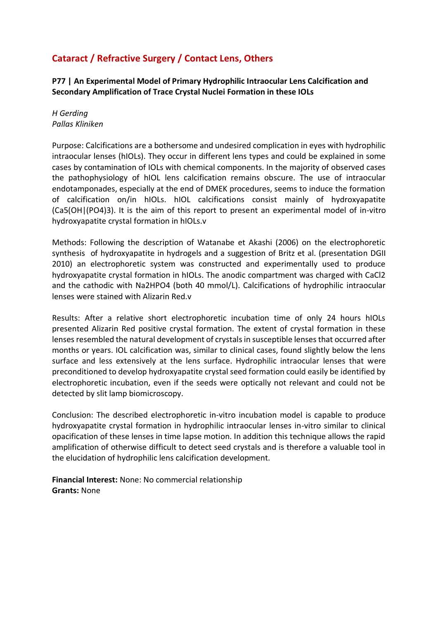# **Cataract / Refractive Surgery / Contact Lens, Others**

**P77 | An Experimental Model of Primary Hydrophilic Intraocular Lens Calcification and Secondary Amplification of Trace Crystal Nuclei Formation in these IOLs**

*H Gerding Pallas Kliniken*

Purpose: Calcifications are a bothersome and undesired complication in eyes with hydrophilic intraocular lenses (hIOLs). They occur in different lens types and could be explained in some cases by contamination of IOLs with chemical components. In the majority of observed cases the pathophysiology of hIOL lens calcification remains obscure. The use of intraocular endotamponades, especially at the end of DMEK procedures, seems to induce the formation of calcification on/in hIOLs. hIOL calcifications consist mainly of hydroxyapatite (Ca5(OH|(PO4)3). It is the aim of this report to present an experimental model of in-vitro hydroxyapatite crystal formation in hIOLs.v

Methods: Following the description of Watanabe et Akashi (2006) on the electrophoretic synthesis of hydroxyapatite in hydrogels and a suggestion of Britz et al. (presentation DGII 2010) an electrophoretic system was constructed and experimentally used to produce hydroxyapatite crystal formation in hIOLs. The anodic compartment was charged with CaCl2 and the cathodic with Na2HPO4 (both 40 mmol/L). Calcifications of hydrophilic intraocular lenses were stained with Alizarin Red.v

Results: After a relative short electrophoretic incubation time of only 24 hours hIOLs presented Alizarin Red positive crystal formation. The extent of crystal formation in these lenses resembled the natural development of crystals in susceptible lenses that occurred after months or years. IOL calcification was, similar to clinical cases, found slightly below the lens surface and less extensively at the lens surface. Hydrophilic intraocular lenses that were preconditioned to develop hydroxyapatite crystal seed formation could easily be identified by electrophoretic incubation, even if the seeds were optically not relevant and could not be detected by slit lamp biomicroscopy.

Conclusion: The described electrophoretic in-vitro incubation model is capable to produce hydroxyapatite crystal formation in hydrophilic intraocular lenses in-vitro similar to clinical opacification of these lenses in time lapse motion. In addition this technique allows the rapid amplification of otherwise difficult to detect seed crystals and is therefore a valuable tool in the elucidation of hydrophilic lens calcification development.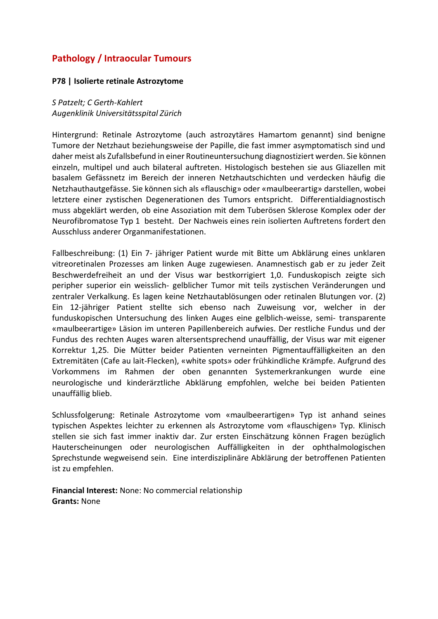# **Pathology / Intraocular Tumours**

#### **P78 | Isolierte retinale Astrozytome**

*S Patzelt; C Gerth-Kahlert Augenklinik Universitätsspital Zürich*

Hintergrund: Retinale Astrozytome (auch astrozytäres Hamartom genannt) sind benigne Tumore der Netzhaut beziehungsweise der Papille, die fast immer asymptomatisch sind und daher meist als Zufallsbefund in einer Routineuntersuchung diagnostiziert werden. Sie können einzeln, multipel und auch bilateral auftreten. Histologisch bestehen sie aus Gliazellen mit basalem Gefässnetz im Bereich der inneren Netzhautschichten und verdecken häufig die Netzhauthautgefässe. Sie können sich als «flauschig» oder «maulbeerartig» darstellen, wobei letztere einer zystischen Degenerationen des Tumors entspricht. Differentialdiagnostisch muss abgeklärt werden, ob eine Assoziation mit dem Tuberösen Sklerose Komplex oder der Neurofibromatose Typ 1 besteht. Der Nachweis eines rein isolierten Auftretens fordert den Ausschluss anderer Organmanifestationen.

Fallbeschreibung: (1) Ein 7- jähriger Patient wurde mit Bitte um Abklärung eines unklaren vitreoretinalen Prozesses am linken Auge zugewiesen. Anamnestisch gab er zu jeder Zeit Beschwerdefreiheit an und der Visus war bestkorrigiert 1,0. Funduskopisch zeigte sich peripher superior ein weisslich- gelblicher Tumor mit teils zystischen Veränderungen und zentraler Verkalkung. Es lagen keine Netzhautablösungen oder retinalen Blutungen vor. (2) Ein 12-jähriger Patient stellte sich ebenso nach Zuweisung vor, welcher in der funduskopischen Untersuchung des linken Auges eine gelblich-weisse, semi- transparente «maulbeerartige» Läsion im unteren Papillenbereich aufwies. Der restliche Fundus und der Fundus des rechten Auges waren altersentsprechend unauffällig, der Visus war mit eigener Korrektur 1,25. Die Mütter beider Patienten verneinten Pigmentauffälligkeiten an den Extremitäten (Cafe au lait-Flecken), «white spots» oder frühkindliche Krämpfe. Aufgrund des Vorkommens im Rahmen der oben genannten Systemerkrankungen wurde eine neurologische und kinderärztliche Abklärung empfohlen, welche bei beiden Patienten unauffällig blieb.

Schlussfolgerung: Retinale Astrozytome vom «maulbeerartigen» Typ ist anhand seines typischen Aspektes leichter zu erkennen als Astrozytome vom «flauschigen» Typ. Klinisch stellen sie sich fast immer inaktiv dar. Zur ersten Einschätzung können Fragen bezüglich Hauterscheinungen oder neurologischen Auffälligkeiten in der ophthalmologischen Sprechstunde wegweisend sein. Eine interdisziplinäre Abklärung der betroffenen Patienten ist zu empfehlen.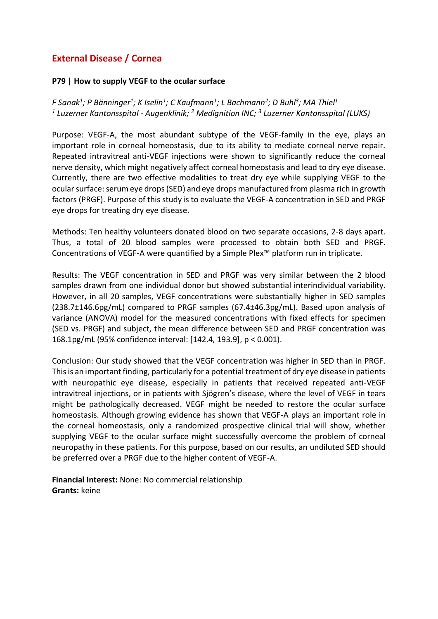# **External Disease / Cornea**

#### **P79 | How to supply VEGF to the ocular surface**

*F Sanak<sup>1</sup> ; P Bänninger<sup>1</sup> ; K Iselin<sup>1</sup> ; C Kaufmann<sup>1</sup> ; L Bachmann<sup>2</sup> ; D Buhl<sup>3</sup> ; MA Thiel<sup>1</sup> 1 Luzerner Kantonsspital - Augenklinik; <sup>2</sup> Medignition INC; <sup>3</sup> Luzerner Kantonsspital (LUKS)*

Purpose: VEGF-A, the most abundant subtype of the VEGF-family in the eye, plays an important role in corneal homeostasis, due to its ability to mediate corneal nerve repair. Repeated intravitreal anti-VEGF injections were shown to significantly reduce the corneal nerve density, which might negatively affect corneal homeostasis and lead to dry eye disease. Currently, there are two effective modalities to treat dry eye while supplying VEGF to the ocular surface: serum eye drops (SED) and eye drops manufactured from plasma rich in growth factors (PRGF). Purpose of this study is to evaluate the VEGF-A concentration in SED and PRGF eye drops for treating dry eye disease.

Methods: Ten healthy volunteers donated blood on two separate occasions, 2-8 days apart. Thus, a total of 20 blood samples were processed to obtain both SED and PRGF. Concentrations of VEGF-A were quantified by a Simple Plex™ platform run in triplicate.

Results: The VEGF concentration in SED and PRGF was very similar between the 2 blood samples drawn from one individual donor but showed substantial interindividual variability. However, in all 20 samples, VEGF concentrations were substantially higher in SED samples (238.7±146.6pg/mL) compared to PRGF samples (67.4±46.3pg/mL). Based upon analysis of variance (ANOVA) model for the measured concentrations with fixed effects for specimen (SED vs. PRGF) and subject, the mean difference between SED and PRGF concentration was 168.1pg/mL (95% confidence interval: [142.4, 193.9], p < 0.001).

Conclusion: Our study showed that the VEGF concentration was higher in SED than in PRGF. This is an important finding, particularly for a potential treatment of dry eye disease in patients with neuropathic eye disease, especially in patients that received repeated anti-VEGF intravitreal injections, or in patients with Sjögren's disease, where the level of VEGF in tears might be pathologically decreased. VEGF might be needed to restore the ocular surface homeostasis. Although growing evidence has shown that VEGF-A plays an important role in the corneal homeostasis, only a randomized prospective clinical trial will show, whether supplying VEGF to the ocular surface might successfully overcome the problem of corneal neuropathy in these patients. For this purpose, based on our results, an undiluted SED should be preferred over a PRGF due to the higher content of VEGF-A.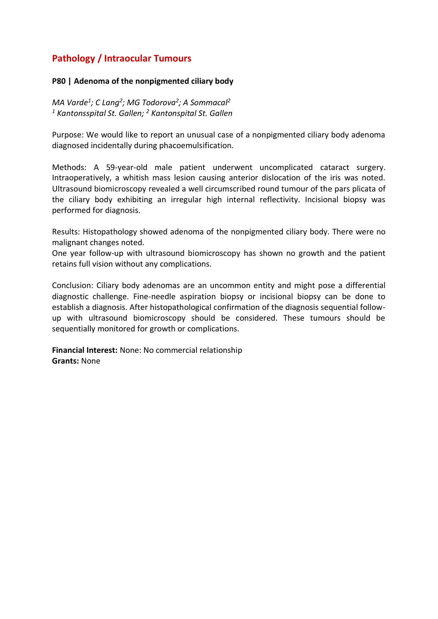# **Pathology / Intraocular Tumours**

### **P80 | Adenoma of the nonpigmented ciliary body**

*MA Varde<sup>1</sup> ; C Lang<sup>2</sup> ; MG Todorova<sup>2</sup> ; A Sommacal<sup>2</sup> <sup>1</sup> Kantonsspital St. Gallen; <sup>2</sup> Kantonspital St. Gallen*

Purpose: We would like to report an unusual case of a nonpigmented ciliary body adenoma diagnosed incidentally during phacoemulsification.

Methods: A 59-year-old male patient underwent uncomplicated cataract surgery. Intraoperatively, a whitish mass lesion causing anterior dislocation of the iris was noted. Ultrasound biomicroscopy revealed a well circumscribed round tumour of the pars plicata of the ciliary body exhibiting an irregular high internal reflectivity. Incisional biopsy was performed for diagnosis.

Results: Histopathology showed adenoma of the nonpigmented ciliary body. There were no malignant changes noted.

One year follow-up with ultrasound biomicroscopy has shown no growth and the patient retains full vision without any complications.

Conclusion: Ciliary body adenomas are an uncommon entity and might pose a differential diagnostic challenge. Fine-needle aspiration biopsy or incisional biopsy can be done to establish a diagnosis. After histopathological confirmation of the diagnosis sequential followup with ultrasound biomicroscopy should be considered. These tumours should be sequentially monitored for growth or complications.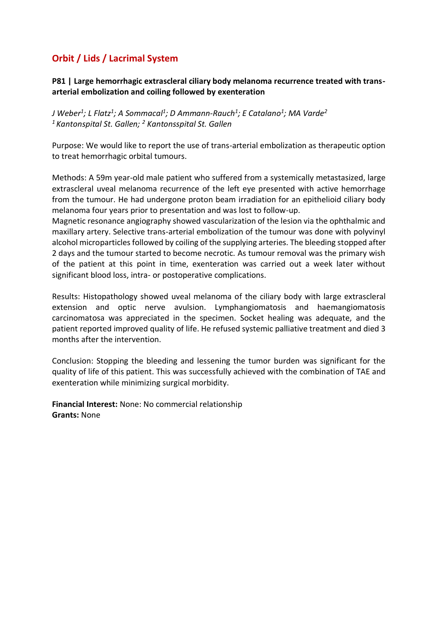# **Orbit / Lids / Lacrimal System**

**P81 | Large hemorrhagic extrascleral ciliary body melanoma recurrence treated with transarterial embolization and coiling followed by exenteration** 

*J Weber<sup>1</sup> ; L Flatz<sup>1</sup> ; A Sommacal<sup>1</sup> ; D Ammann-Rauch<sup>1</sup> ; E Catalano<sup>1</sup> ; MA Varde<sup>2</sup> <sup>1</sup>Kantonspital St. Gallen; <sup>2</sup> Kantonsspital St. Gallen*

Purpose: We would like to report the use of trans-arterial embolization as therapeutic option to treat hemorrhagic orbital tumours.

Methods: A 59m year-old male patient who suffered from a systemically metastasized, large extrascleral uveal melanoma recurrence of the left eye presented with active hemorrhage from the tumour. He had undergone proton beam irradiation for an epithelioid ciliary body melanoma four years prior to presentation and was lost to follow-up.

Magnetic resonance angiography showed vascularization of the lesion via the ophthalmic and maxillary artery. Selective trans-arterial embolization of the tumour was done with polyvinyl alcohol microparticles followed by coiling of the supplying arteries. The bleeding stopped after 2 days and the tumour started to become necrotic. As tumour removal was the primary wish of the patient at this point in time, exenteration was carried out a week later without significant blood loss, intra- or postoperative complications.

Results: Histopathology showed uveal melanoma of the ciliary body with large extrascleral extension and optic nerve avulsion. Lymphangiomatosis and haemangiomatosis carcinomatosa was appreciated in the specimen. Socket healing was adequate, and the patient reported improved quality of life. He refused systemic palliative treatment and died 3 months after the intervention.

Conclusion: Stopping the bleeding and lessening the tumor burden was significant for the quality of life of this patient. This was successfully achieved with the combination of TAE and exenteration while minimizing surgical morbidity.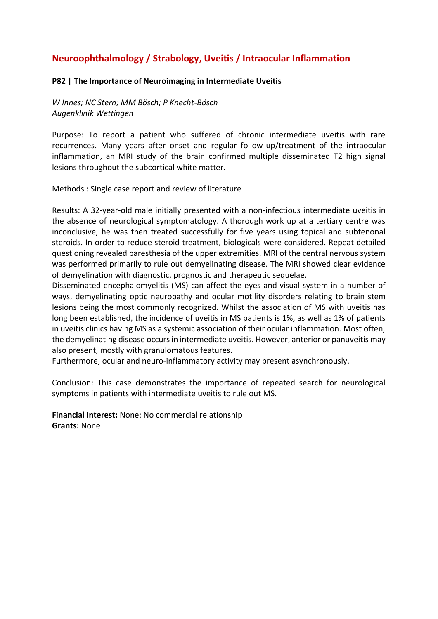# **Neuroophthalmology / Strabology, Uveitis / Intraocular Inflammation**

#### **P82 | The Importance of Neuroimaging in Intermediate Uveitis**

*W Innes; NC Stern; MM Bösch; P Knecht-Bösch Augenklinik Wettingen*

Purpose: To report a patient who suffered of chronic intermediate uveitis with rare recurrences. Many years after onset and regular follow-up/treatment of the intraocular inflammation, an MRI study of the brain confirmed multiple disseminated T2 high signal lesions throughout the subcortical white matter.

Methods : Single case report and review of literature

Results: A 32-year-old male initially presented with a non-infectious intermediate uveitis in the absence of neurological symptomatology. A thorough work up at a tertiary centre was inconclusive, he was then treated successfully for five years using topical and subtenonal steroids. In order to reduce steroid treatment, biologicals were considered. Repeat detailed questioning revealed paresthesia of the upper extremities. MRI of the central nervous system was performed primarily to rule out demyelinating disease. The MRI showed clear evidence of demyelination with diagnostic, prognostic and therapeutic sequelae.

Disseminated encephalomyelitis (MS) can affect the eyes and visual system in a number of ways, demyelinating optic neuropathy and ocular motility disorders relating to brain stem lesions being the most commonly recognized. Whilst the association of MS with uveitis has long been established, the incidence of uveitis in MS patients is 1%, as well as 1% of patients in uveitis clinics having MS as a systemic association of their ocular inflammation. Most often, the demyelinating disease occurs in intermediate uveitis. However, anterior or panuveitis may also present, mostly with granulomatous features.

Furthermore, ocular and neuro-inflammatory activity may present asynchronously.

Conclusion: This case demonstrates the importance of repeated search for neurological symptoms in patients with intermediate uveitis to rule out MS.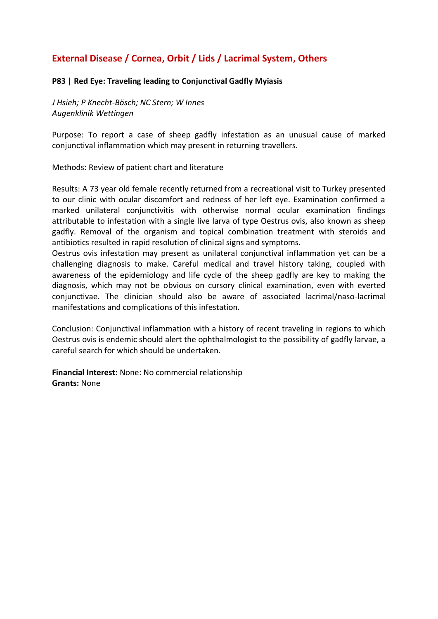# **External Disease / Cornea, Orbit / Lids / Lacrimal System, Others**

### **P83 | Red Eye: Traveling leading to Conjunctival Gadfly Myiasis**

*J Hsieh; P Knecht-Bösch; NC Stern; W Innes Augenklinik Wettingen*

Purpose: To report a case of sheep gadfly infestation as an unusual cause of marked conjunctival inflammation which may present in returning travellers.

Methods: Review of patient chart and literature

Results: A 73 year old female recently returned from a recreational visit to Turkey presented to our clinic with ocular discomfort and redness of her left eye. Examination confirmed a marked unilateral conjunctivitis with otherwise normal ocular examination findings attributable to infestation with a single live larva of type Oestrus ovis, also known as sheep gadfly. Removal of the organism and topical combination treatment with steroids and antibiotics resulted in rapid resolution of clinical signs and symptoms.

Oestrus ovis infestation may present as unilateral conjunctival inflammation yet can be a challenging diagnosis to make. Careful medical and travel history taking, coupled with awareness of the epidemiology and life cycle of the sheep gadfly are key to making the diagnosis, which may not be obvious on cursory clinical examination, even with everted conjunctivae. The clinician should also be aware of associated lacrimal/naso-lacrimal manifestations and complications of this infestation.

Conclusion: Conjunctival inflammation with a history of recent traveling in regions to which Oestrus ovis is endemic should alert the ophthalmologist to the possibility of gadfly larvae, a careful search for which should be undertaken.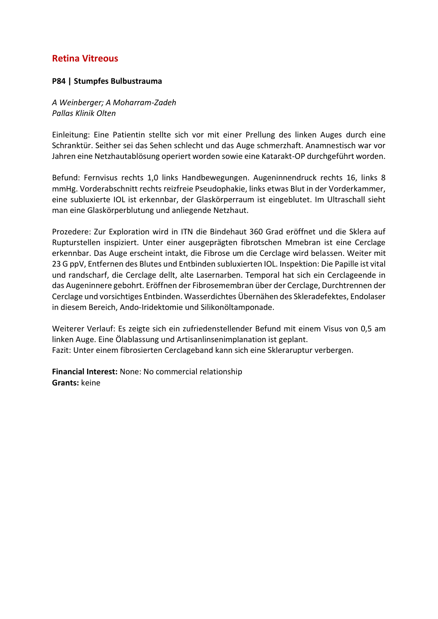### **Retina Vitreous**

### **P84 | Stumpfes Bulbustrauma**

*A Weinberger; A Moharram-Zadeh Pallas Klinik Olten*

Einleitung: Eine Patientin stellte sich vor mit einer Prellung des linken Auges durch eine Schranktür. Seither sei das Sehen schlecht und das Auge schmerzhaft. Anamnestisch war vor Jahren eine Netzhautablösung operiert worden sowie eine Katarakt-OP durchgeführt worden.

Befund: Fernvisus rechts 1,0 links Handbewegungen. Augeninnendruck rechts 16, links 8 mmHg. Vorderabschnitt rechts reizfreie Pseudophakie, links etwas Blut in der Vorderkammer, eine subluxierte IOL ist erkennbar, der Glaskörperraum ist eingeblutet. Im Ultraschall sieht man eine Glaskörperblutung und anliegende Netzhaut.

Prozedere: Zur Exploration wird in ITN die Bindehaut 360 Grad eröffnet und die Sklera auf Rupturstellen inspiziert. Unter einer ausgeprägten fibrotschen Mmebran ist eine Cerclage erkennbar. Das Auge erscheint intakt, die Fibrose um die Cerclage wird belassen. Weiter mit 23 G ppV, Entfernen des Blutes und Entbinden subluxierten IOL. Inspektion: Die Papille ist vital und randscharf, die Cerclage dellt, alte Lasernarben. Temporal hat sich ein Cerclageende in das Augeninnere gebohrt. Eröffnen der Fibrosemembran über der Cerclage, Durchtrennen der Cerclage und vorsichtiges Entbinden. Wasserdichtes Übernähen des Skleradefektes, Endolaser in diesem Bereich, Ando-Iridektomie und Silikonöltamponade.

Weiterer Verlauf: Es zeigte sich ein zufriedenstellender Befund mit einem Visus von 0,5 am linken Auge. Eine Ölablassung und Artisanlinsenimplanation ist geplant. Fazit: Unter einem fibrosierten Cerclageband kann sich eine Skleraruptur verbergen.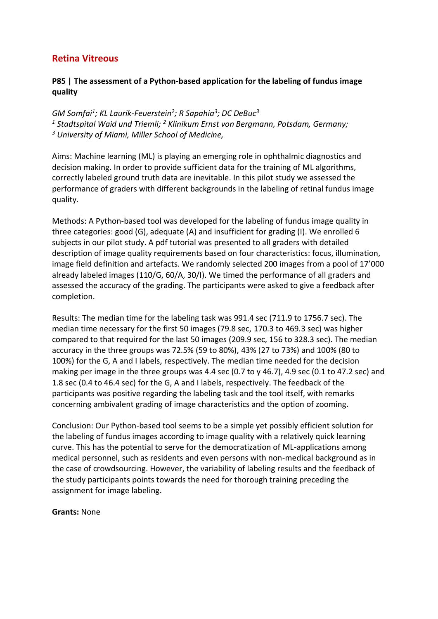### **Retina Vitreous**

### **P85 | The assessment of a Python-based application for the labeling of fundus image quality**

*GM Somfai<sup>1</sup> ; KL Laurik-Feuerstein<sup>2</sup> ; R Sapahia<sup>3</sup> ; DC DeBuc<sup>3</sup> <sup>1</sup> Stadtspital Waid und Triemli; <sup>2</sup> Klinikum Ernst von Bergmann, Potsdam, Germany; <sup>3</sup> University of Miami, Miller School of Medicine,*

Aims: Machine learning (ML) is playing an emerging role in ophthalmic diagnostics and decision making. In order to provide sufficient data for the training of ML algorithms, correctly labeled ground truth data are inevitable. In this pilot study we assessed the performance of graders with different backgrounds in the labeling of retinal fundus image quality.

Methods: A Python-based tool was developed for the labeling of fundus image quality in three categories: good (G), adequate (A) and insufficient for grading (I). We enrolled 6 subjects in our pilot study. A pdf tutorial was presented to all graders with detailed description of image quality requirements based on four characteristics: focus, illumination, image field definition and artefacts. We randomly selected 200 images from a pool of 17'000 already labeled images (110/G, 60/A, 30/I). We timed the performance of all graders and assessed the accuracy of the grading. The participants were asked to give a feedback after completion.

Results: The median time for the labeling task was 991.4 sec (711.9 to 1756.7 sec). The median time necessary for the first 50 images (79.8 sec, 170.3 to 469.3 sec) was higher compared to that required for the last 50 images (209.9 sec, 156 to 328.3 sec). The median accuracy in the three groups was 72.5% (59 to 80%), 43% (27 to 73%) and 100% (80 to 100%) for the G, A and I labels, respectively. The median time needed for the decision making per image in the three groups was 4.4 sec (0.7 to y 46.7), 4.9 sec (0.1 to 47.2 sec) and 1.8 sec (0.4 to 46.4 sec) for the G, A and I labels, respectively. The feedback of the participants was positive regarding the labeling task and the tool itself, with remarks concerning ambivalent grading of image characteristics and the option of zooming.

Conclusion: Our Python-based tool seems to be a simple yet possibly efficient solution for the labeling of fundus images according to image quality with a relatively quick learning curve. This has the potential to serve for the democratization of ML-applications among medical personnel, such as residents and even persons with non-medical background as in the case of crowdsourcing. However, the variability of labeling results and the feedback of the study participants points towards the need for thorough training preceding the assignment for image labeling.

#### **Grants:** None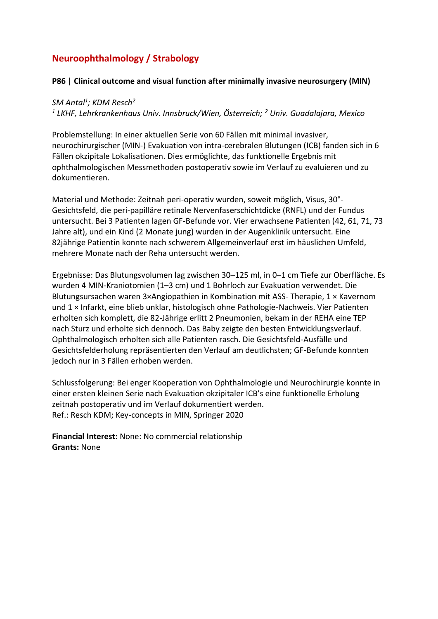# **Neuroophthalmology / Strabology**

### **P86 | Clinical outcome and visual function after minimally invasive neurosurgery (MIN)**

### *SM Antal<sup>1</sup> ; KDM Resch<sup>2</sup> 1 LKHF, Lehrkrankenhaus Univ. Innsbruck/Wien, Österreich; <sup>2</sup> Univ. Guadalajara, Mexico*

Problemstellung: In einer aktuellen Serie von 60 Fällen mit minimal invasiver, neurochirurgischer (MIN-) Evakuation von intra-cerebralen Blutungen (ICB) fanden sich in 6 Fällen okzipitale Lokalisationen. Dies ermöglichte, das funktionelle Ergebnis mit ophthalmologischen Messmethoden postoperativ sowie im Verlauf zu evaluieren und zu dokumentieren.

Material und Methode: Zeitnah peri-operativ wurden, soweit möglich, Visus, 30°- Gesichtsfeld, die peri-papilläre retinale Nervenfaserschichtdicke (RNFL) und der Fundus untersucht. Bei 3 Patienten lagen GF-Befunde vor. Vier erwachsene Patienten (42, 61, 71, 73 Jahre alt), und ein Kind (2 Monate jung) wurden in der Augenklinik untersucht. Eine 82jährige Patientin konnte nach schwerem Allgemeinverlauf erst im häuslichen Umfeld, mehrere Monate nach der Reha untersucht werden.

Ergebnisse: Das Blutungsvolumen lag zwischen 30–125 ml, in 0–1 cm Tiefe zur Oberfläche. Es wurden 4 MIN-Kraniotomien (1–3 cm) und 1 Bohrloch zur Evakuation verwendet. Die Blutungsursachen waren 3×Angiopathien in Kombination mit ASS- Therapie, 1 × Kavernom und 1 × Infarkt, eine blieb unklar, histologisch ohne Pathologie-Nachweis. Vier Patienten erholten sich komplett, die 82-Jährige erlitt 2 Pneumonien, bekam in der REHA eine TEP nach Sturz und erholte sich dennoch. Das Baby zeigte den besten Entwicklungsverlauf. Ophthalmologisch erholten sich alle Patienten rasch. Die Gesichtsfeld-Ausfälle und Gesichtsfelderholung repräsentierten den Verlauf am deutlichsten; GF-Befunde konnten jedoch nur in 3 Fällen erhoben werden.

Schlussfolgerung: Bei enger Kooperation von Ophthalmologie und Neurochirurgie konnte in einer ersten kleinen Serie nach Evakuation okzipitaler ICB's eine funktionelle Erholung zeitnah postoperativ und im Verlauf dokumentiert werden. Ref.: Resch KDM; Key-concepts in MIN, Springer 2020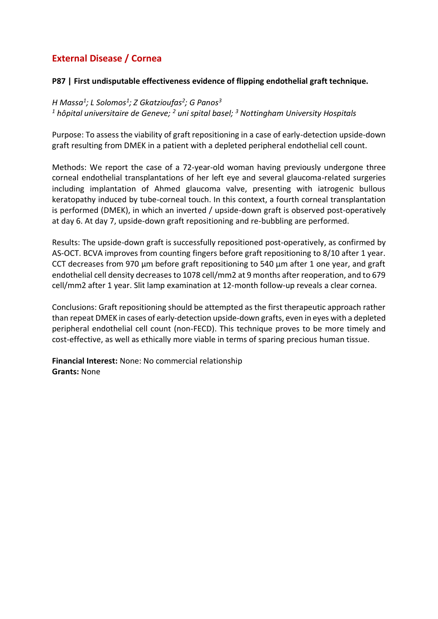# **External Disease / Cornea**

### **P87 | First undisputable effectiveness evidence of flipping endothelial graft technique.**

*H Massa<sup>1</sup> ; L Solomos<sup>1</sup> ; Z Gkatzioufas<sup>2</sup> ; G Panos<sup>3</sup> <sup>1</sup> hôpital universitaire de Geneve; <sup>2</sup> uni spital basel; <sup>3</sup> Nottingham University Hospitals*

Purpose: To assess the viability of graft repositioning in a case of early-detection upside-down graft resulting from DMEK in a patient with a depleted peripheral endothelial cell count.

Methods: We report the case of a 72-year-old woman having previously undergone three corneal endothelial transplantations of her left eye and several glaucoma-related surgeries including implantation of Ahmed glaucoma valve, presenting with iatrogenic bullous keratopathy induced by tube-corneal touch. In this context, a fourth corneal transplantation is performed (DMEK), in which an inverted / upside-down graft is observed post-operatively at day 6. At day 7, upside-down graft repositioning and re-bubbling are performed.

Results: The upside-down graft is successfully repositioned post-operatively, as confirmed by AS-OCT. BCVA improves from counting fingers before graft repositioning to 8/10 after 1 year. CCT decreases from 970 μm before graft repositioning to 540 μm after 1 one year, and graft endothelial cell density decreases to 1078 cell/mm2 at 9 months after reoperation, and to 679 cell/mm2 after 1 year. Slit lamp examination at 12-month follow-up reveals a clear cornea.

Conclusions: Graft repositioning should be attempted as the first therapeutic approach rather than repeat DMEK in cases of early-detection upside-down grafts, even in eyes with a depleted peripheral endothelial cell count (non-FECD). This technique proves to be more timely and cost-effective, as well as ethically more viable in terms of sparing precious human tissue.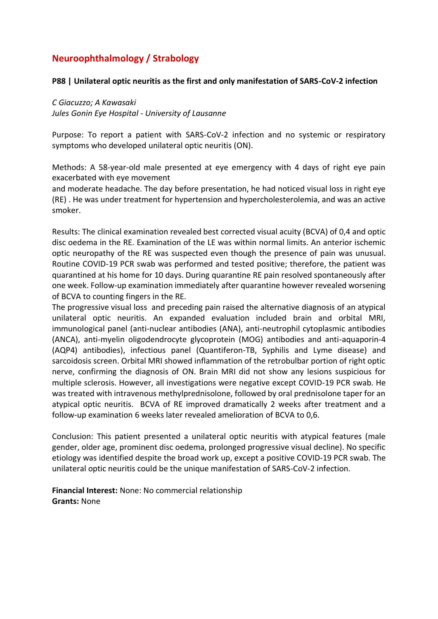# **Neuroophthalmology / Strabology**

#### **P88 | Unilateral optic neuritis as the first and only manifestation of SARS-CoV-2 infection**

*C Giacuzzo; A Kawasaki Jules Gonin Eye Hospital - University of Lausanne*

Purpose: To report a patient with SARS-CoV-2 infection and no systemic or respiratory symptoms who developed unilateral optic neuritis (ON).

Methods: A 58-year-old male presented at eye emergency with 4 days of right eye pain exacerbated with eye movement

and moderate headache. The day before presentation, he had noticed visual loss in right eye (RE) . He was under treatment for hypertension and hypercholesterolemia, and was an active smoker.

Results: The clinical examination revealed best corrected visual acuity (BCVA) of 0,4 and optic disc oedema in the RE. Examination of the LE was within normal limits. An anterior ischemic optic neuropathy of the RE was suspected even though the presence of pain was unusual. Routine COVID-19 PCR swab was performed and tested positive; therefore, the patient was quarantined at his home for 10 days. During quarantine RE pain resolved spontaneously after one week. Follow-up examination immediately after quarantine however revealed worsening of BCVA to counting fingers in the RE.

The progressive visual loss and preceding pain raised the alternative diagnosis of an atypical unilateral optic neuritis. An expanded evaluation included brain and orbital MRI, immunological panel (anti-nuclear antibodies (ANA), anti-neutrophil cytoplasmic antibodies (ANCA), anti-myelin oligodendrocyte glycoprotein (MOG) antibodies and anti-aquaporin-4 (AQP4) antibodies), infectious panel (Quantiferon-TB, Syphilis and Lyme disease) and sarcoidosis screen. Orbital MRI showed inflammation of the retrobulbar portion of right optic nerve, confirming the diagnosis of ON. Brain MRI did not show any lesions suspicious for multiple sclerosis. However, all investigations were negative except COVID-19 PCR swab. He was treated with intravenous methylprednisolone, followed by oral prednisolone taper for an atypical optic neuritis. BCVA of RE improved dramatically 2 weeks after treatment and a follow-up examination 6 weeks later revealed amelioration of BCVA to 0,6.

Conclusion: This patient presented a unilateral optic neuritis with atypical features (male gender, older age, prominent disc oedema, prolonged progressive visual decline). No specific etiology was identified despite the broad work up, except a positive COVID-19 PCR swab. The unilateral optic neuritis could be the unique manifestation of SARS-CoV-2 infection.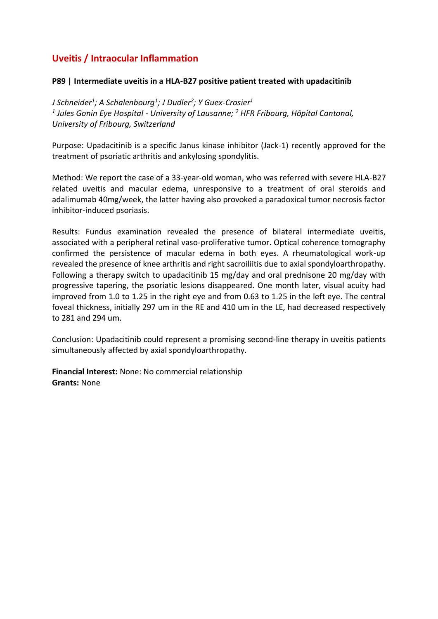# **Uveitis / Intraocular Inflammation**

### **P89 | Intermediate uveitis in a HLA-B27 positive patient treated with upadacitinib**

*J Schneider<sup>1</sup> ; A Schalenbourg<sup>1</sup> ; J Dudler<sup>2</sup> ; Y Guex-Crosier<sup>1</sup> 1 Jules Gonin Eye Hospital - University of Lausanne; <sup>2</sup> HFR Fribourg, Hôpital Cantonal, University of Fribourg, Switzerland*

Purpose: Upadacitinib is a specific Janus kinase inhibitor (Jack-1) recently approved for the treatment of psoriatic arthritis and ankylosing spondylitis.

Method: We report the case of a 33-year-old woman, who was referred with severe HLA-B27 related uveitis and macular edema, unresponsive to a treatment of oral steroids and adalimumab 40mg/week, the latter having also provoked a paradoxical tumor necrosis factor inhibitor-induced psoriasis.

Results: Fundus examination revealed the presence of bilateral intermediate uveitis, associated with a peripheral retinal vaso-proliferative tumor. Optical coherence tomography confirmed the persistence of macular edema in both eyes. A rheumatological work-up revealed the presence of knee arthritis and right sacroiliitis due to axial spondyloarthropathy. Following a therapy switch to upadacitinib 15 mg/day and oral prednisone 20 mg/day with progressive tapering, the psoriatic lesions disappeared. One month later, visual acuity had improved from 1.0 to 1.25 in the right eye and from 0.63 to 1.25 in the left eye. The central foveal thickness, initially 297 um in the RE and 410 um in the LE, had decreased respectively to 281 and 294 um.

Conclusion: Upadacitinib could represent a promising second-line therapy in uveitis patients simultaneously affected by axial spondyloarthropathy.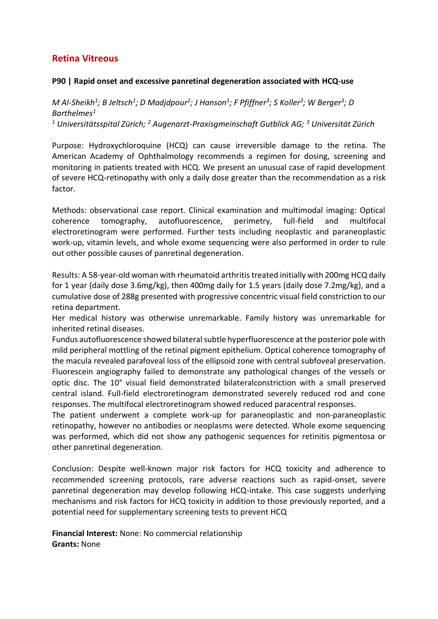## **Retina Vitreous**

#### **P90 | Rapid onset and excessive panretinal degeneration associated with HCQ-use**

*M Al-Sheikh<sup>1</sup> ; B Jeltsch<sup>1</sup> ; D Madjdpour<sup>2</sup> ; J Hanson<sup>1</sup> ; F Pfiffner<sup>3</sup> ; S Koller<sup>3</sup> ; W Berger<sup>3</sup> ; D Barthelmes<sup>1</sup> <sup>1</sup> Universitätsspital Zürich; <sup>2</sup> Augenarzt-Praxisgmeinschaft Gutblick AG; <sup>3</sup> Universität Zürich*

Purpose: Hydroxychloroquine (HCQ) can cause irreversible damage to the retina. The American Academy of Ophthalmology recommends a regimen for dosing, screening and monitoring in patients treated with HCQ. We present an unusual case of rapid development of severe HCQ-retinopathy with only a daily dose greater than the recommendation as a risk factor.

Methods: observational case report. Clinical examination and multimodal imaging: Optical coherence tomography, autofluorescence, perimetry, full-field and multifocal electroretinogram were performed. Further tests including neoplastic and paraneoplastic work-up, vitamin levels, and whole exome sequencing were also performed in order to rule out other possible causes of panretinal degeneration.

Results: A 58-year-old woman with rheumatoid arthritis treated initially with 200mg HCQ daily for 1 year (daily dose 3.6mg/kg), then 400mg daily for 1.5 years (daily dose 7.2mg/kg), and a cumulative dose of 288g presented with progressive concentric visual field constriction to our retina department.

Her medical history was otherwise unremarkable. Family history was unremarkable for inherited retinal diseases.

Fundus autofluorescence showed bilateral subtle hyperfluorescence at the posterior pole with mild peripheral mottling of the retinal pigment epithelium. Optical coherence tomography of the macula revealed parafoveal loss of the ellipsoid zone with central subfoveal preservation. Fluorescein angiography failed to demonstrate any pathological changes of the vessels or optic disc. The 10° visual field demonstrated bilateralconstriction with a small preserved central island. Full-field electroretinogram demonstrated severely reduced rod and cone responses. The multifocal electroretinogram showed reduced paracentral responses.

The patient underwent a complete work-up for paraneoplastic and non-paraneoplastic retinopathy, however no antibodies or neoplasms were detected. Whole exome sequencing was performed, which did not show any pathogenic sequences for retinitis pigmentosa or other panretinal degeneration.

Conclusion: Despite well-known major risk factors for HCQ toxicity and adherence to recommended screening protocols, rare adverse reactions such as rapid-onset, severe panretinal degeneration may develop following HCQ-intake. This case suggests underlying mechanisms and risk factors for HCQ toxicity in addition to those previously reported, and a potential need for supplementary screening tests to prevent HCQ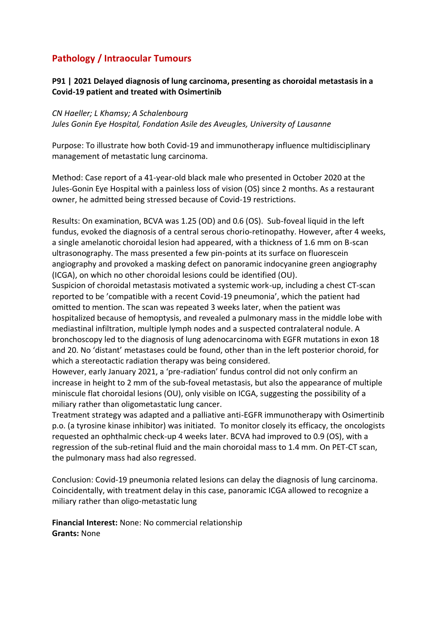# **Pathology / Intraocular Tumours**

### **P91 | 2021 Delayed diagnosis of lung carcinoma, presenting as choroidal metastasis in a Covid-19 patient and treated with Osimertinib**

*CN Haeller; L Khamsy; A Schalenbourg Jules Gonin Eye Hospital, Fondation Asile des Aveugles, University of Lausanne*

Purpose: To illustrate how both Covid-19 and immunotherapy influence multidisciplinary management of metastatic lung carcinoma.

Method: Case report of a 41-year-old black male who presented in October 2020 at the Jules-Gonin Eye Hospital with a painless loss of vision (OS) since 2 months. As a restaurant owner, he admitted being stressed because of Covid-19 restrictions.

Results: On examination, BCVA was 1.25 (OD) and 0.6 (OS). Sub-foveal liquid in the left fundus, evoked the diagnosis of a central serous chorio-retinopathy. However, after 4 weeks, a single amelanotic choroidal lesion had appeared, with a thickness of 1.6 mm on B-scan ultrasonography. The mass presented a few pin-points at its surface on fluorescein angiography and provoked a masking defect on panoramic indocyanine green angiography (ICGA), on which no other choroidal lesions could be identified (OU).

Suspicion of choroidal metastasis motivated a systemic work-up, including a chest CT-scan reported to be 'compatible with a recent Covid-19 pneumonia', which the patient had omitted to mention. The scan was repeated 3 weeks later, when the patient was hospitalized because of hemoptysis, and revealed a pulmonary mass in the middle lobe with mediastinal infiltration, multiple lymph nodes and a suspected contralateral nodule. A bronchoscopy led to the diagnosis of lung adenocarcinoma with EGFR mutations in exon 18 and 20. No 'distant' metastases could be found, other than in the left posterior choroid, for which a stereotactic radiation therapy was being considered.

However, early January 2021, a 'pre-radiation' fundus control did not only confirm an increase in height to 2 mm of the sub-foveal metastasis, but also the appearance of multiple miniscule flat choroidal lesions (OU), only visible on ICGA, suggesting the possibility of a miliary rather than oligometastatic lung cancer.

Treatment strategy was adapted and a palliative anti-EGFR immunotherapy with Osimertinib p.o. (a tyrosine kinase inhibitor) was initiated. To monitor closely its efficacy, the oncologists requested an ophthalmic check-up 4 weeks later. BCVA had improved to 0.9 (OS), with a regression of the sub-retinal fluid and the main choroidal mass to 1.4 mm. On PET-CT scan, the pulmonary mass had also regressed.

Conclusion: Covid-19 pneumonia related lesions can delay the diagnosis of lung carcinoma. Coincidentally, with treatment delay in this case, panoramic ICGA allowed to recognize a miliary rather than oligo-metastatic lung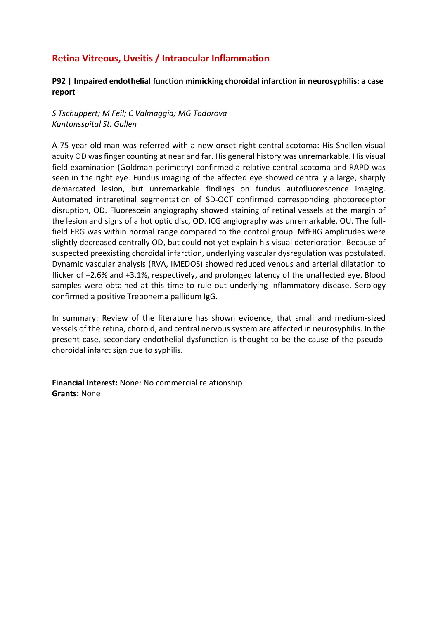# **Retina Vitreous, Uveitis / Intraocular Inflammation**

### **P92 | Impaired endothelial function mimicking choroidal infarction in neurosyphilis: a case report**

*S Tschuppert; M Feil; C Valmaggia; MG Todorova Kantonsspital St. Gallen*

A 75-year-old man was referred with a new onset right central scotoma: His Snellen visual acuity OD was finger counting at near and far. His general history was unremarkable. His visual field examination (Goldman perimetry) confirmed a relative central scotoma and RAPD was seen in the right eye. Fundus imaging of the affected eye showed centrally a large, sharply demarcated lesion, but unremarkable findings on fundus autofluorescence imaging. Automated intraretinal segmentation of SD-OCT confirmed corresponding photoreceptor disruption, OD. Fluorescein angiography showed staining of retinal vessels at the margin of the lesion and signs of a hot optic disc, OD. ICG angiography was unremarkable, OU. The fullfield ERG was within normal range compared to the control group. MfERG amplitudes were slightly decreased centrally OD, but could not yet explain his visual deterioration. Because of suspected preexisting choroidal infarction, underlying vascular dysregulation was postulated. Dynamic vascular analysis (RVA, IMEDOS) showed reduced venous and arterial dilatation to flicker of +2.6% and +3.1%, respectively, and prolonged latency of the unaffected eye. Blood samples were obtained at this time to rule out underlying inflammatory disease. Serology confirmed a positive Treponema pallidum IgG.

In summary: Review of the literature has shown evidence, that small and medium-sized vessels of the retina, choroid, and central nervous system are affected in neurosyphilis. In the present case, secondary endothelial dysfunction is thought to be the cause of the pseudochoroidal infarct sign due to syphilis.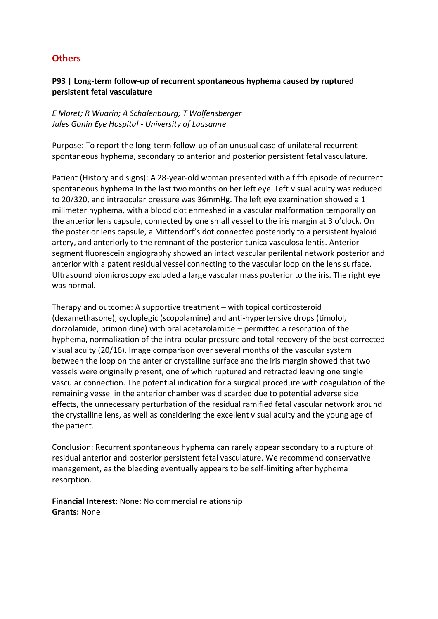## **Others**

### **P93 | Long-term follow-up of recurrent spontaneous hyphema caused by ruptured persistent fetal vasculature**

*E Moret; R Wuarin; A Schalenbourg; T Wolfensberger Jules Gonin Eye Hospital - University of Lausanne*

Purpose: To report the long-term follow-up of an unusual case of unilateral recurrent spontaneous hyphema, secondary to anterior and posterior persistent fetal vasculature.

Patient (History and signs): A 28-year-old woman presented with a fifth episode of recurrent spontaneous hyphema in the last two months on her left eye. Left visual acuity was reduced to 20/320, and intraocular pressure was 36mmHg. The left eye examination showed a 1 milimeter hyphema, with a blood clot enmeshed in a vascular malformation temporally on the anterior lens capsule, connected by one small vessel to the iris margin at 3 o'clock. On the posterior lens capsule, a Mittendorf's dot connected posteriorly to a persistent hyaloid artery, and anteriorly to the remnant of the posterior tunica vasculosa lentis. Anterior segment fluorescein angiography showed an intact vascular perilental network posterior and anterior with a patent residual vessel connecting to the vascular loop on the lens surface. Ultrasound biomicroscopy excluded a large vascular mass posterior to the iris. The right eye was normal.

Therapy and outcome: A supportive treatment – with topical corticosteroid (dexamethasone), cycloplegic (scopolamine) and anti-hypertensive drops (timolol, dorzolamide, brimonidine) with oral acetazolamide – permitted a resorption of the hyphema, normalization of the intra-ocular pressure and total recovery of the best corrected visual acuity (20/16). Image comparison over several months of the vascular system between the loop on the anterior crystalline surface and the iris margin showed that two vessels were originally present, one of which ruptured and retracted leaving one single vascular connection. The potential indication for a surgical procedure with coagulation of the remaining vessel in the anterior chamber was discarded due to potential adverse side effects, the unnecessary perturbation of the residual ramified fetal vascular network around the crystalline lens, as well as considering the excellent visual acuity and the young age of the patient.

Conclusion: Recurrent spontaneous hyphema can rarely appear secondary to a rupture of residual anterior and posterior persistent fetal vasculature. We recommend conservative management, as the bleeding eventually appears to be self-limiting after hyphema resorption.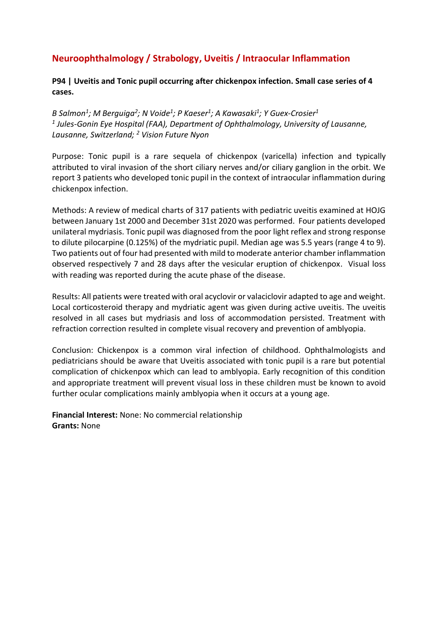# **Neuroophthalmology / Strabology, Uveitis / Intraocular Inflammation**

**P94 | Uveitis and Tonic pupil occurring after chickenpox infection. Small case series of 4 cases.**

*B Salmon<sup>1</sup> ; M Berguiga<sup>2</sup> ; N Voide<sup>1</sup> ; P Kaeser<sup>1</sup> ; A Kawasaki<sup>1</sup> ; Y Guex-Crosier<sup>1</sup> 1 Jules-Gonin Eye Hospital (FAA), Department of Ophthalmology, University of Lausanne, Lausanne, Switzerland; <sup>2</sup> Vision Future Nyon*

Purpose: Tonic pupil is a rare sequela of chickenpox (varicella) infection and typically attributed to viral invasion of the short ciliary nerves and/or ciliary ganglion in the orbit. We report 3 patients who developed tonic pupil in the context of intraocular inflammation during chickenpox infection.

Methods: A review of medical charts of 317 patients with pediatric uveitis examined at HOJG between January 1st 2000 and December 31st 2020 was performed. Four patients developed unilateral mydriasis. Tonic pupil was diagnosed from the poor light reflex and strong response to dilute pilocarpine (0.125%) of the mydriatic pupil. Median age was 5.5 years (range 4 to 9). Two patients out of four had presented with mild to moderate anterior chamber inflammation observed respectively 7 and 28 days after the vesicular eruption of chickenpox. Visual loss with reading was reported during the acute phase of the disease.

Results: All patients were treated with oral acyclovir or valaciclovir adapted to age and weight. Local corticosteroid therapy and mydriatic agent was given during active uveitis. The uveitis resolved in all cases but mydriasis and loss of accommodation persisted. Treatment with refraction correction resulted in complete visual recovery and prevention of amblyopia.

Conclusion: Chickenpox is a common viral infection of childhood. Ophthalmologists and pediatricians should be aware that Uveitis associated with tonic pupil is a rare but potential complication of chickenpox which can lead to amblyopia. Early recognition of this condition and appropriate treatment will prevent visual loss in these children must be known to avoid further ocular complications mainly amblyopia when it occurs at a young age.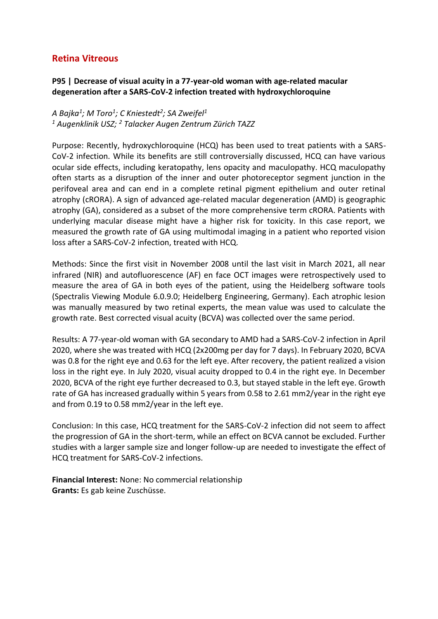### **Retina Vitreous**

### **P95 | Decrease of visual acuity in a 77-year-old woman with age-related macular degeneration after a SARS-CoV-2 infection treated with hydroxychloroquine**

*A Bajka<sup>1</sup> ; M Toro<sup>1</sup> ; C Kniestedt<sup>2</sup> ; SA Zweifel<sup>1</sup> <sup>1</sup> Augenklinik USZ; <sup>2</sup> Talacker Augen Zentrum Zürich TAZZ*

Purpose: Recently, hydroxychloroquine (HCQ) has been used to treat patients with a SARS-CoV-2 infection. While its benefits are still controversially discussed, HCQ can have various ocular side effects, including keratopathy, lens opacity and maculopathy. HCQ maculopathy often starts as a disruption of the inner and outer photoreceptor segment junction in the perifoveal area and can end in a complete retinal pigment epithelium and outer retinal atrophy (cRORA). A sign of advanced age-related macular degeneration (AMD) is geographic atrophy (GA), considered as a subset of the more comprehensive term cRORA. Patients with underlying macular disease might have a higher risk for toxicity. In this case report, we measured the growth rate of GA using multimodal imaging in a patient who reported vision loss after a SARS-CoV-2 infection, treated with HCQ.

Methods: Since the first visit in November 2008 until the last visit in March 2021, all near infrared (NIR) and autofluorescence (AF) en face OCT images were retrospectively used to measure the area of GA in both eyes of the patient, using the Heidelberg software tools (Spectralis Viewing Module 6.0.9.0; Heidelberg Engineering, Germany). Each atrophic lesion was manually measured by two retinal experts, the mean value was used to calculate the growth rate. Best corrected visual acuity (BCVA) was collected over the same period.

Results: A 77-year-old woman with GA secondary to AMD had a SARS-CoV-2 infection in April 2020, where she was treated with HCQ (2x200mg per day for 7 days). In February 2020, BCVA was 0.8 for the right eye and 0.63 for the left eye. After recovery, the patient realized a vision loss in the right eye. In July 2020, visual acuity dropped to 0.4 in the right eye. In December 2020, BCVA of the right eye further decreased to 0.3, but stayed stable in the left eye. Growth rate of GA has increased gradually within 5 years from 0.58 to 2.61 mm2/year in the right eye and from 0.19 to 0.58 mm2/year in the left eye.

Conclusion: In this case, HCQ treatment for the SARS-CoV-2 infection did not seem to affect the progression of GA in the short-term, while an effect on BCVA cannot be excluded. Further studies with a larger sample size and longer follow-up are needed to investigate the effect of HCQ treatment for SARS-CoV-2 infections.

**Financial Interest:** None: No commercial relationship **Grants:** Es gab keine Zuschüsse.